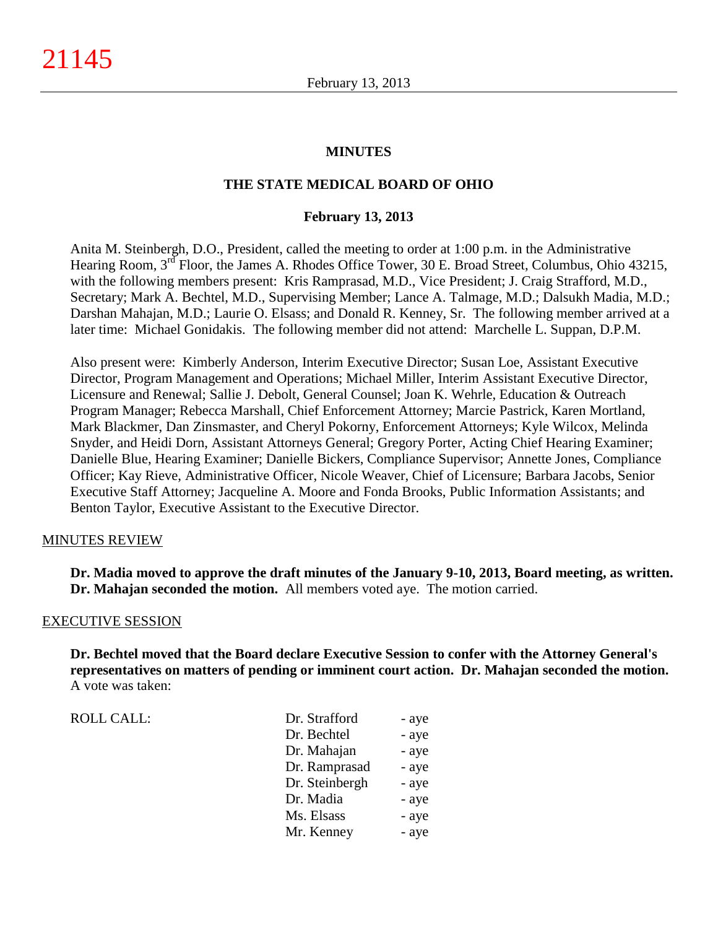#### **MINUTES**

#### **THE STATE MEDICAL BOARD OF OHIO**

#### **February 13, 2013**

Anita M. Steinbergh, D.O., President, called the meeting to order at 1:00 p.m. in the Administrative Hearing Room, 3<sup>rd</sup> Floor, the James A. Rhodes Office Tower, 30 E. Broad Street, Columbus, Ohio 43215, with the following members present: Kris Ramprasad, M.D., Vice President; J. Craig Strafford, M.D., Secretary; Mark A. Bechtel, M.D., Supervising Member; Lance A. Talmage, M.D.; Dalsukh Madia, M.D.; Darshan Mahajan, M.D.; Laurie O. Elsass; and Donald R. Kenney, Sr. The following member arrived at a later time: Michael Gonidakis. The following member did not attend: Marchelle L. Suppan, D.P.M.

Also present were: Kimberly Anderson, Interim Executive Director; Susan Loe, Assistant Executive Director, Program Management and Operations; Michael Miller, Interim Assistant Executive Director, Licensure and Renewal; Sallie J. Debolt, General Counsel; Joan K. Wehrle, Education & Outreach Program Manager; Rebecca Marshall, Chief Enforcement Attorney; Marcie Pastrick, Karen Mortland, Mark Blackmer, Dan Zinsmaster, and Cheryl Pokorny, Enforcement Attorneys; Kyle Wilcox, Melinda Snyder, and Heidi Dorn, Assistant Attorneys General; Gregory Porter, Acting Chief Hearing Examiner; Danielle Blue, Hearing Examiner; Danielle Bickers, Compliance Supervisor; Annette Jones, Compliance Officer; Kay Rieve, Administrative Officer, Nicole Weaver, Chief of Licensure; Barbara Jacobs, Senior Executive Staff Attorney; Jacqueline A. Moore and Fonda Brooks, Public Information Assistants; and Benton Taylor, Executive Assistant to the Executive Director.

#### MINUTES REVIEW

**Dr. Madia moved to approve the draft minutes of the January 9-10, 2013, Board meeting, as written. Dr. Mahajan seconded the motion.** All members voted aye. The motion carried.

#### EXECUTIVE SESSION

**Dr. Bechtel moved that the Board declare Executive Session to confer with the Attorney General's representatives on matters of pending or imminent court action. Dr. Mahajan seconded the motion.** A vote was taken:

ROLL CALL: T

| Dr. Strafford  | - aye |
|----------------|-------|
| Dr. Bechtel    | - aye |
| Dr. Mahajan    | - aye |
| Dr. Ramprasad  | - aye |
| Dr. Steinbergh | - aye |
| Dr. Madia      | - aye |
| Ms. Elsass     | - aye |
| Mr. Kenney     | - aye |
|                |       |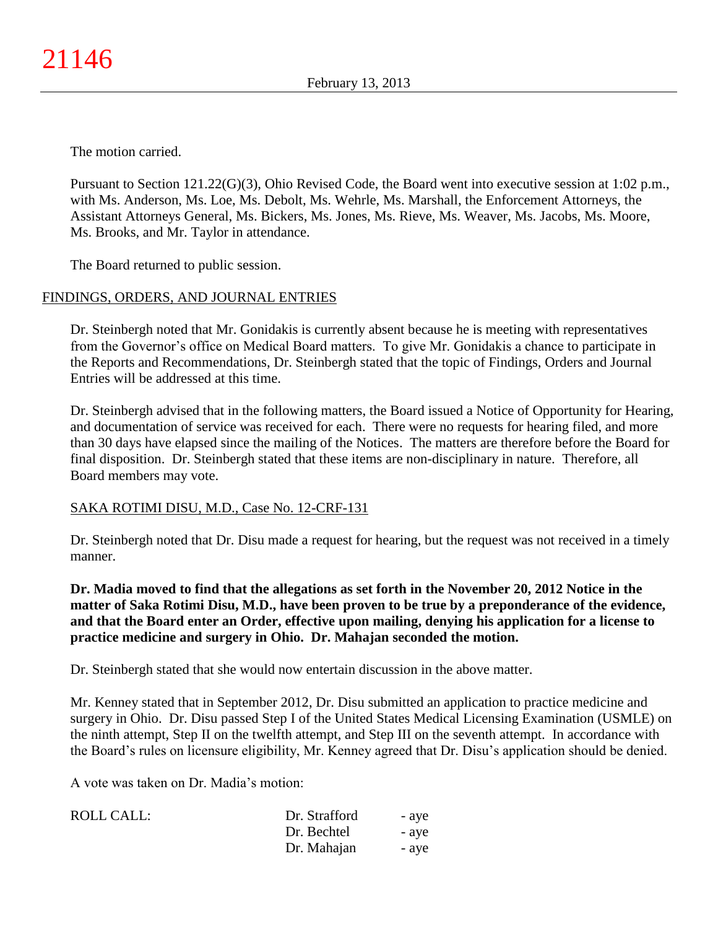The motion carried.

Pursuant to Section 121.22(G)(3), Ohio Revised Code, the Board went into executive session at 1:02 p.m., with Ms. Anderson, Ms. Loe, Ms. Debolt, Ms. Wehrle, Ms. Marshall, the Enforcement Attorneys, the Assistant Attorneys General, Ms. Bickers, Ms. Jones, Ms. Rieve, Ms. Weaver, Ms. Jacobs, Ms. Moore, Ms. Brooks, and Mr. Taylor in attendance.

The Board returned to public session.

## FINDINGS, ORDERS, AND JOURNAL ENTRIES

Dr. Steinbergh noted that Mr. Gonidakis is currently absent because he is meeting with representatives from the Governor's office on Medical Board matters. To give Mr. Gonidakis a chance to participate in the Reports and Recommendations, Dr. Steinbergh stated that the topic of Findings, Orders and Journal Entries will be addressed at this time.

Dr. Steinbergh advised that in the following matters, the Board issued a Notice of Opportunity for Hearing, and documentation of service was received for each. There were no requests for hearing filed, and more than 30 days have elapsed since the mailing of the Notices.The matters are therefore before the Board for final disposition. Dr. Steinbergh stated that these items are non-disciplinary in nature. Therefore, all Board members may vote.

## SAKA ROTIMI DISU, M.D., Case No. 12-CRF-131

Dr. Steinbergh noted that Dr. Disu made a request for hearing, but the request was not received in a timely manner.

**Dr. Madia moved to find that the allegations as set forth in the November 20, 2012 Notice in the matter of Saka Rotimi Disu, M.D., have been proven to be true by a preponderance of the evidence, and that the Board enter an Order, effective upon mailing, denying his application for a license to practice medicine and surgery in Ohio. Dr. Mahajan seconded the motion.**

Dr. Steinbergh stated that she would now entertain discussion in the above matter.

Mr. Kenney stated that in September 2012, Dr. Disu submitted an application to practice medicine and surgery in Ohio. Dr. Disu passed Step I of the United States Medical Licensing Examination (USMLE) on the ninth attempt, Step II on the twelfth attempt, and Step III on the seventh attempt. In accordance with the Board's rules on licensure eligibility, Mr. Kenney agreed that Dr. Disu's application should be denied.

A vote was taken on Dr. Madia's motion:

| ROLL CALL: | Dr. Strafford | - ave |
|------------|---------------|-------|
|            | Dr. Bechtel   | - aye |
|            | Dr. Mahajan   | - ave |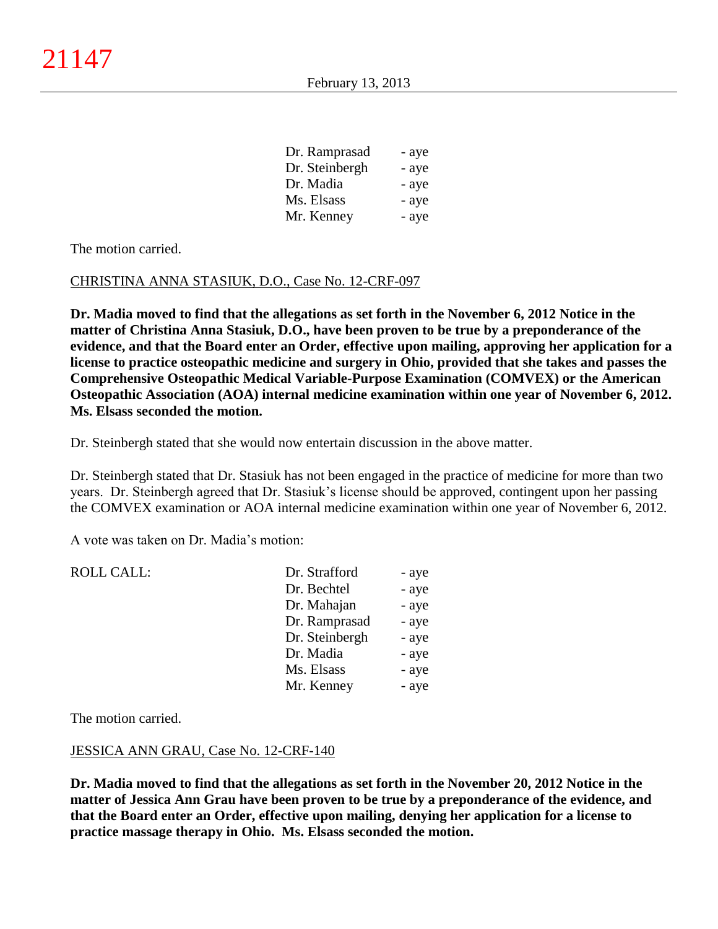| Dr. Ramprasad  | - aye |
|----------------|-------|
| Dr. Steinbergh | - aye |
| Dr. Madia      | - aye |
| Ms. Elsass     | - aye |
| Mr. Kenney     | - aye |

The motion carried.

#### CHRISTINA ANNA STASIUK, D.O., Case No. 12-CRF-097

**Dr. Madia moved to find that the allegations as set forth in the November 6, 2012 Notice in the matter of Christina Anna Stasiuk, D.O., have been proven to be true by a preponderance of the evidence, and that the Board enter an Order, effective upon mailing, approving her application for a license to practice osteopathic medicine and surgery in Ohio, provided that she takes and passes the Comprehensive Osteopathic Medical Variable-Purpose Examination (COMVEX) or the American Osteopathic Association (AOA) internal medicine examination within one year of November 6, 2012. Ms. Elsass seconded the motion.**

Dr. Steinbergh stated that she would now entertain discussion in the above matter.

Dr. Steinbergh stated that Dr. Stasiuk has not been engaged in the practice of medicine for more than two years. Dr. Steinbergh agreed that Dr. Stasiuk's license should be approved, contingent upon her passing the COMVEX examination or AOA internal medicine examination within one year of November 6, 2012.

A vote was taken on Dr. Madia's motion:

| <b>ROLL CALL:</b> | Dr. Strafford  | - aye |
|-------------------|----------------|-------|
|                   | Dr. Bechtel    | - aye |
|                   | Dr. Mahajan    | - aye |
|                   | Dr. Ramprasad  | - aye |
|                   | Dr. Steinbergh | - aye |
|                   | Dr. Madia      | - aye |
|                   | Ms. Elsass     | - aye |
|                   | Mr. Kenney     | - aye |
|                   |                |       |

The motion carried.

#### JESSICA ANN GRAU, Case No. 12-CRF-140

**Dr. Madia moved to find that the allegations as set forth in the November 20, 2012 Notice in the matter of Jessica Ann Grau have been proven to be true by a preponderance of the evidence, and that the Board enter an Order, effective upon mailing, denying her application for a license to practice massage therapy in Ohio. Ms. Elsass seconded the motion.**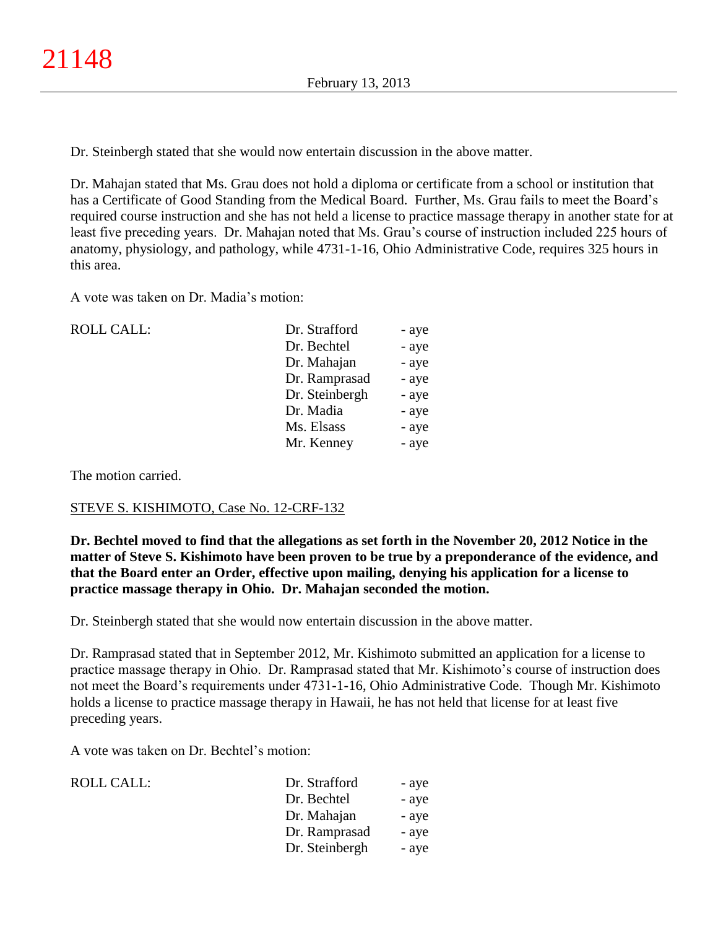Dr. Steinbergh stated that she would now entertain discussion in the above matter.

Dr. Mahajan stated that Ms. Grau does not hold a diploma or certificate from a school or institution that has a Certificate of Good Standing from the Medical Board. Further, Ms. Grau fails to meet the Board's required course instruction and she has not held a license to practice massage therapy in another state for at least five preceding years. Dr. Mahajan noted that Ms. Grau's course of instruction included 225 hours of anatomy, physiology, and pathology, while 4731-1-16, Ohio Administrative Code, requires 325 hours in this area.

A vote was taken on Dr. Madia's motion:

| <b>ROLL CALL:</b> | Dr. Strafford  | - aye |
|-------------------|----------------|-------|
|                   | Dr. Bechtel    | - aye |
|                   | Dr. Mahajan    | - aye |
|                   | Dr. Ramprasad  | - aye |
|                   | Dr. Steinbergh | - aye |
|                   | Dr. Madia      | - aye |
|                   | Ms. Elsass     | - aye |
|                   | Mr. Kenney     | - aye |
|                   |                |       |

The motion carried.

## STEVE S. KISHIMOTO, Case No. 12-CRF-132

**Dr. Bechtel moved to find that the allegations as set forth in the November 20, 2012 Notice in the matter of Steve S. Kishimoto have been proven to be true by a preponderance of the evidence, and that the Board enter an Order, effective upon mailing, denying his application for a license to practice massage therapy in Ohio. Dr. Mahajan seconded the motion.**

Dr. Steinbergh stated that she would now entertain discussion in the above matter.

Dr. Ramprasad stated that in September 2012, Mr. Kishimoto submitted an application for a license to practice massage therapy in Ohio. Dr. Ramprasad stated that Mr. Kishimoto's course of instruction does not meet the Board's requirements under 4731-1-16, Ohio Administrative Code. Though Mr. Kishimoto holds a license to practice massage therapy in Hawaii, he has not held that license for at least five preceding years.

A vote was taken on Dr. Bechtel's motion:

| ROLL CALL: | Dr. Strafford  | - aye |
|------------|----------------|-------|
|            | Dr. Bechtel    | - aye |
|            | Dr. Mahajan    | - aye |
|            | Dr. Ramprasad  | - aye |
|            | Dr. Steinbergh | - aye |
|            |                |       |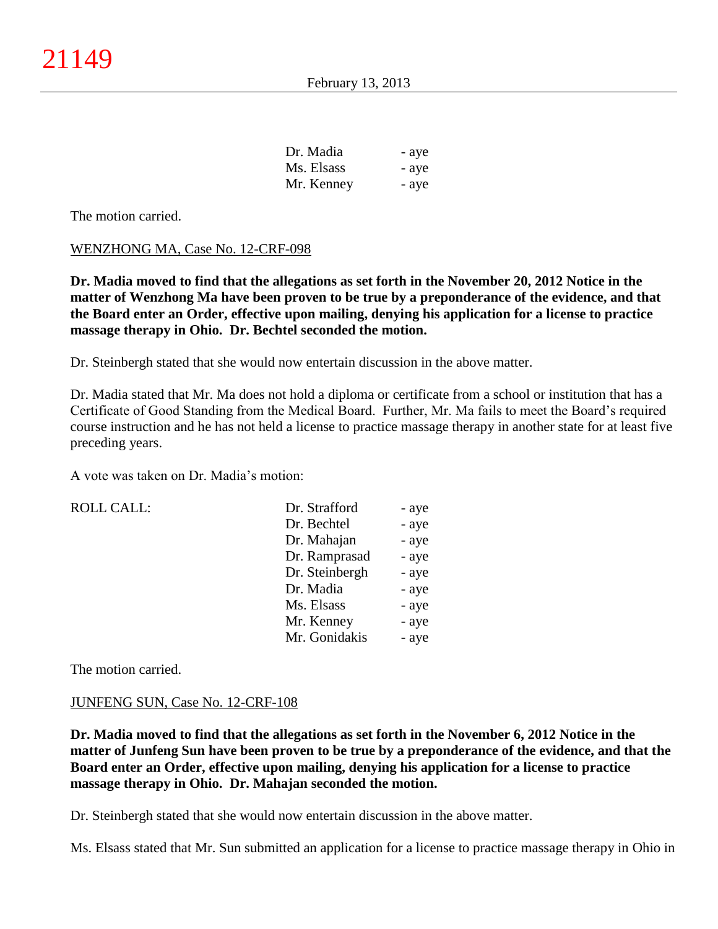| Dr. Madia  | - aye |
|------------|-------|
| Ms. Elsass | - aye |
| Mr. Kenney | - aye |

The motion carried.

#### WENZHONG MA, Case No. 12-CRF-098

**Dr. Madia moved to find that the allegations as set forth in the November 20, 2012 Notice in the matter of Wenzhong Ma have been proven to be true by a preponderance of the evidence, and that the Board enter an Order, effective upon mailing, denying his application for a license to practice massage therapy in Ohio. Dr. Bechtel seconded the motion.**

Dr. Steinbergh stated that she would now entertain discussion in the above matter.

Dr. Madia stated that Mr. Ma does not hold a diploma or certificate from a school or institution that has a Certificate of Good Standing from the Medical Board. Further, Mr. Ma fails to meet the Board's required course instruction and he has not held a license to practice massage therapy in another state for at least five preceding years.

A vote was taken on Dr. Madia's motion:

 $ROLL CALL$ :

| Dr. Strafford  | - aye |
|----------------|-------|
| Dr. Bechtel    | - aye |
| Dr. Mahajan    | - aye |
| Dr. Ramprasad  | - aye |
| Dr. Steinbergh | - aye |
| Dr. Madia      | - aye |
| Ms. Elsass     | - aye |
| Mr. Kenney     | - aye |
| Mr. Gonidakis  | - aye |

The motion carried.

#### JUNFENG SUN, Case No. 12-CRF-108

**Dr. Madia moved to find that the allegations as set forth in the November 6, 2012 Notice in the matter of Junfeng Sun have been proven to be true by a preponderance of the evidence, and that the Board enter an Order, effective upon mailing, denying his application for a license to practice massage therapy in Ohio. Dr. Mahajan seconded the motion.**

Dr. Steinbergh stated that she would now entertain discussion in the above matter.

Ms. Elsass stated that Mr. Sun submitted an application for a license to practice massage therapy in Ohio in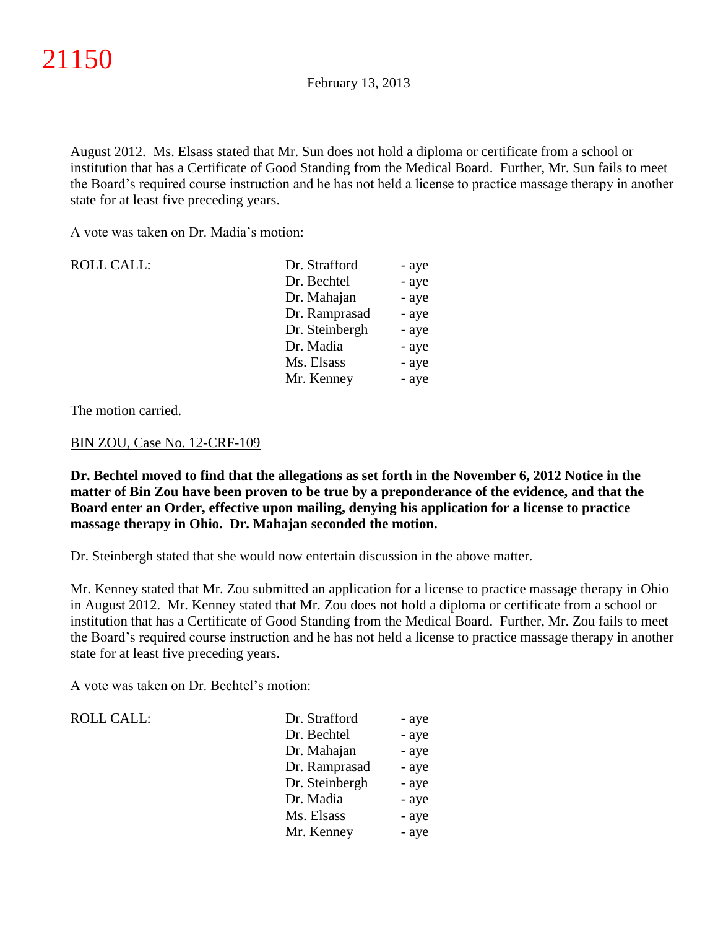August 2012. Ms. Elsass stated that Mr. Sun does not hold a diploma or certificate from a school or institution that has a Certificate of Good Standing from the Medical Board. Further, Mr. Sun fails to meet the Board's required course instruction and he has not held a license to practice massage therapy in another state for at least five preceding years.

A vote was taken on Dr. Madia's motion:

| <b>ROLL CALL:</b> | Dr. Strafford  | - aye |
|-------------------|----------------|-------|
|                   | Dr. Bechtel    | - aye |
|                   | Dr. Mahajan    | - aye |
|                   | Dr. Ramprasad  | - aye |
|                   | Dr. Steinbergh | - aye |
|                   | Dr. Madia      | - aye |
|                   | Ms. Elsass     | - aye |
|                   | Mr. Kenney     | - aye |

The motion carried.

#### BIN ZOU, Case No. 12-CRF-109

**Dr. Bechtel moved to find that the allegations as set forth in the November 6, 2012 Notice in the matter of Bin Zou have been proven to be true by a preponderance of the evidence, and that the Board enter an Order, effective upon mailing, denying his application for a license to practice massage therapy in Ohio. Dr. Mahajan seconded the motion.**

Dr. Steinbergh stated that she would now entertain discussion in the above matter.

Mr. Kenney stated that Mr. Zou submitted an application for a license to practice massage therapy in Ohio in August 2012. Mr. Kenney stated that Mr. Zou does not hold a diploma or certificate from a school or institution that has a Certificate of Good Standing from the Medical Board. Further, Mr. Zou fails to meet the Board's required course instruction and he has not held a license to practice massage therapy in another state for at least five preceding years.

A vote was taken on Dr. Bechtel's motion:

## ROLL CALL:

| Dr. Strafford  | - aye |
|----------------|-------|
| Dr. Bechtel    | - aye |
| Dr. Mahajan    | - aye |
| Dr. Ramprasad  | - aye |
| Dr. Steinbergh | - aye |
| Dr. Madia      | - aye |
| Ms. Elsass     | - aye |
| Mr. Kenney     | - aye |
|                |       |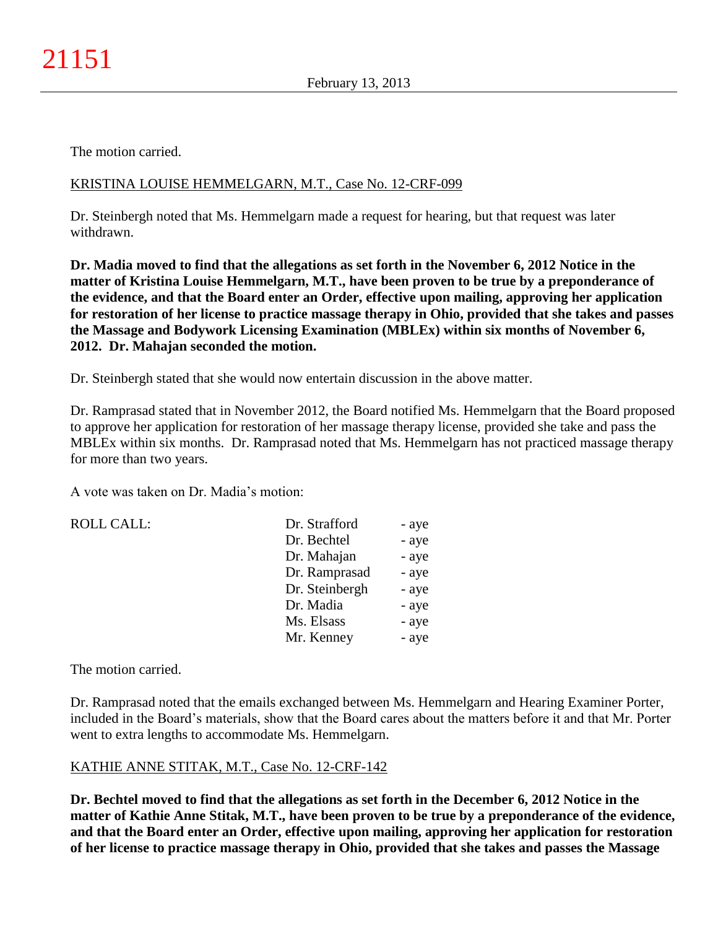The motion carried.

# KRISTINA LOUISE HEMMELGARN, M.T., Case No. 12-CRF-099

Dr. Steinbergh noted that Ms. Hemmelgarn made a request for hearing, but that request was later withdrawn.

**Dr. Madia moved to find that the allegations as set forth in the November 6, 2012 Notice in the matter of Kristina Louise Hemmelgarn, M.T., have been proven to be true by a preponderance of the evidence, and that the Board enter an Order, effective upon mailing, approving her application for restoration of her license to practice massage therapy in Ohio, provided that she takes and passes the Massage and Bodywork Licensing Examination (MBLEx) within six months of November 6, 2012. Dr. Mahajan seconded the motion.**

Dr. Steinbergh stated that she would now entertain discussion in the above matter.

Dr. Ramprasad stated that in November 2012, the Board notified Ms. Hemmelgarn that the Board proposed to approve her application for restoration of her massage therapy license, provided she take and pass the MBLEx within six months. Dr. Ramprasad noted that Ms. Hemmelgarn has not practiced massage therapy for more than two years.

A vote was taken on Dr. Madia's motion:

ROLL CALL:

| Dr. Strafford  | - aye |
|----------------|-------|
| Dr. Bechtel    | - aye |
| Dr. Mahajan    | - aye |
| Dr. Ramprasad  | - aye |
| Dr. Steinbergh | - aye |
| Dr. Madia      | - aye |
| Ms. Elsass     | - aye |
| Mr. Kenney     | - aye |

The motion carried.

Dr. Ramprasad noted that the emails exchanged between Ms. Hemmelgarn and Hearing Examiner Porter, included in the Board's materials, show that the Board cares about the matters before it and that Mr. Porter went to extra lengths to accommodate Ms. Hemmelgarn.

# KATHIE ANNE STITAK, M.T., Case No. 12-CRF-142

**Dr. Bechtel moved to find that the allegations as set forth in the December 6, 2012 Notice in the matter of Kathie Anne Stitak, M.T., have been proven to be true by a preponderance of the evidence, and that the Board enter an Order, effective upon mailing, approving her application for restoration of her license to practice massage therapy in Ohio, provided that she takes and passes the Massage**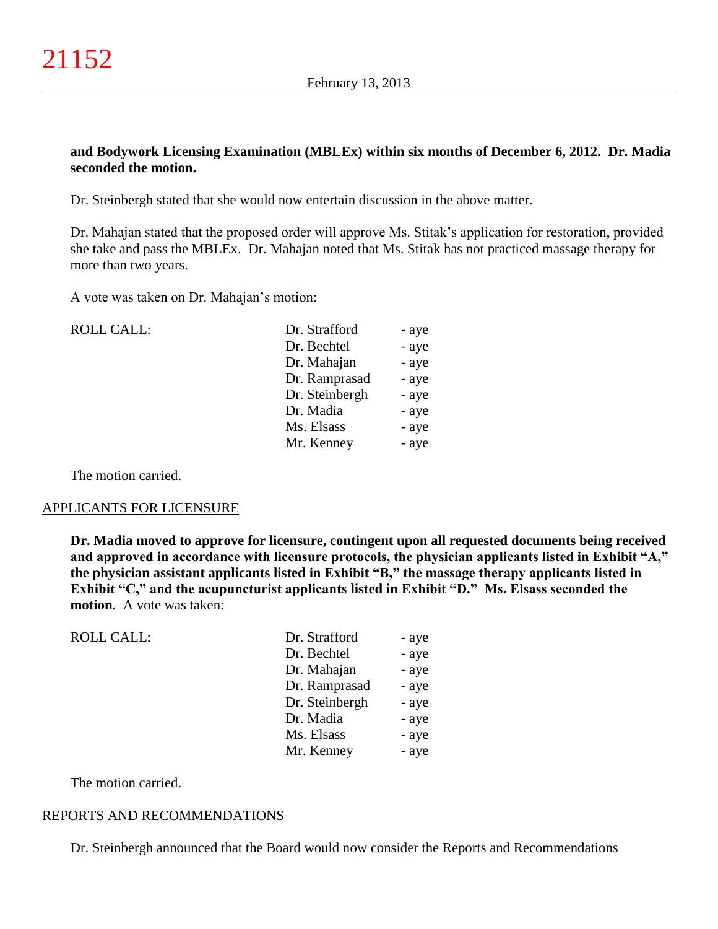## **and Bodywork Licensing Examination (MBLEx) within six months of December 6, 2012. Dr. Madia seconded the motion.**

Dr. Steinbergh stated that she would now entertain discussion in the above matter.

Dr. Mahajan stated that the proposed order will approve Ms. Stitak's application for restoration, provided she take and pass the MBLEx. Dr. Mahajan noted that Ms. Stitak has not practiced massage therapy for more than two years.

A vote was taken on Dr. Mahajan's motion:

| <b>ROLL CALL:</b> | Dr. Strafford  | - aye |
|-------------------|----------------|-------|
|                   | Dr. Bechtel    | - aye |
|                   | Dr. Mahajan    | - aye |
|                   | Dr. Ramprasad  | - aye |
|                   | Dr. Steinbergh | - aye |
|                   | Dr. Madia      | - aye |
|                   | Ms. Elsass     | - aye |
|                   | Mr. Kenney     | - aye |
|                   |                |       |

The motion carried.

#### APPLICANTS FOR LICENSURE

**Dr. Madia moved to approve for licensure, contingent upon all requested documents being received and approved in accordance with licensure protocols, the physician applicants listed in Exhibit "A," the physician assistant applicants listed in Exhibit "B," the massage therapy applicants listed in Exhibit "C," and the acupuncturist applicants listed in Exhibit "D." Ms. Elsass seconded the motion.** A vote was taken:

| <b>ROLL CALL:</b> | Dr. Strafford  | - aye |
|-------------------|----------------|-------|
|                   | Dr. Bechtel    | - aye |
|                   | Dr. Mahajan    | - aye |
|                   | Dr. Ramprasad  | - aye |
|                   | Dr. Steinbergh | - aye |
|                   | Dr. Madia      | - aye |
|                   | Ms. Elsass     | - aye |
|                   | Mr. Kenney     | - aye |
|                   |                |       |

The motion carried.

#### REPORTS AND RECOMMENDATIONS

Dr. Steinbergh announced that the Board would now consider the Reports and Recommendations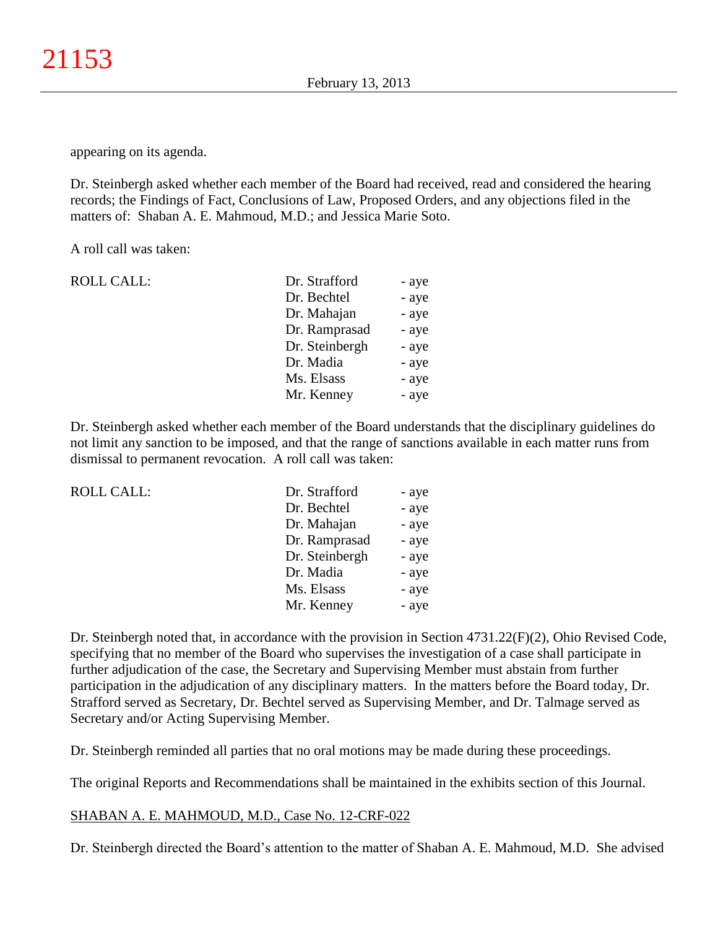appearing on its agenda.

Dr. Steinbergh asked whether each member of the Board had received, read and considered the hearing records; the Findings of Fact, Conclusions of Law, Proposed Orders, and any objections filed in the matters of: Shaban A. E. Mahmoud, M.D.; and Jessica Marie Soto.

A roll call was taken:

| <b>ROLL CALL:</b> | Dr. Strafford  | - aye |
|-------------------|----------------|-------|
|                   | Dr. Bechtel    | - aye |
|                   | Dr. Mahajan    | - aye |
|                   | Dr. Ramprasad  | - aye |
|                   | Dr. Steinbergh | - aye |
|                   | Dr. Madia      | - aye |
|                   | Ms. Elsass     | - aye |
|                   | Mr. Kenney     | - aye |
|                   |                |       |

Dr. Steinbergh asked whether each member of the Board understands that the disciplinary guidelines do not limit any sanction to be imposed, and that the range of sanctions available in each matter runs from dismissal to permanent revocation. A roll call was taken:

| <b>ROLL CALL:</b> | Dr. Strafford  | - aye |
|-------------------|----------------|-------|
|                   | Dr. Bechtel    | - aye |
|                   | Dr. Mahajan    | - aye |
|                   | Dr. Ramprasad  | - aye |
|                   | Dr. Steinbergh | - aye |
|                   | Dr. Madia      | - aye |
|                   | Ms. Elsass     | - aye |
|                   | Mr. Kenney     | - aye |
|                   |                |       |

Dr. Steinbergh noted that, in accordance with the provision in Section 4731.22(F)(2), Ohio Revised Code, specifying that no member of the Board who supervises the investigation of a case shall participate in further adjudication of the case, the Secretary and Supervising Member must abstain from further participation in the adjudication of any disciplinary matters. In the matters before the Board today, Dr. Strafford served as Secretary, Dr. Bechtel served as Supervising Member, and Dr. Talmage served as Secretary and/or Acting Supervising Member.

Dr. Steinbergh reminded all parties that no oral motions may be made during these proceedings.

The original Reports and Recommendations shall be maintained in the exhibits section of this Journal.

#### SHABAN A. E. MAHMOUD, M.D., Case No. 12-CRF-022

Dr. Steinbergh directed the Board's attention to the matter of Shaban A. E. Mahmoud, M.D. She advised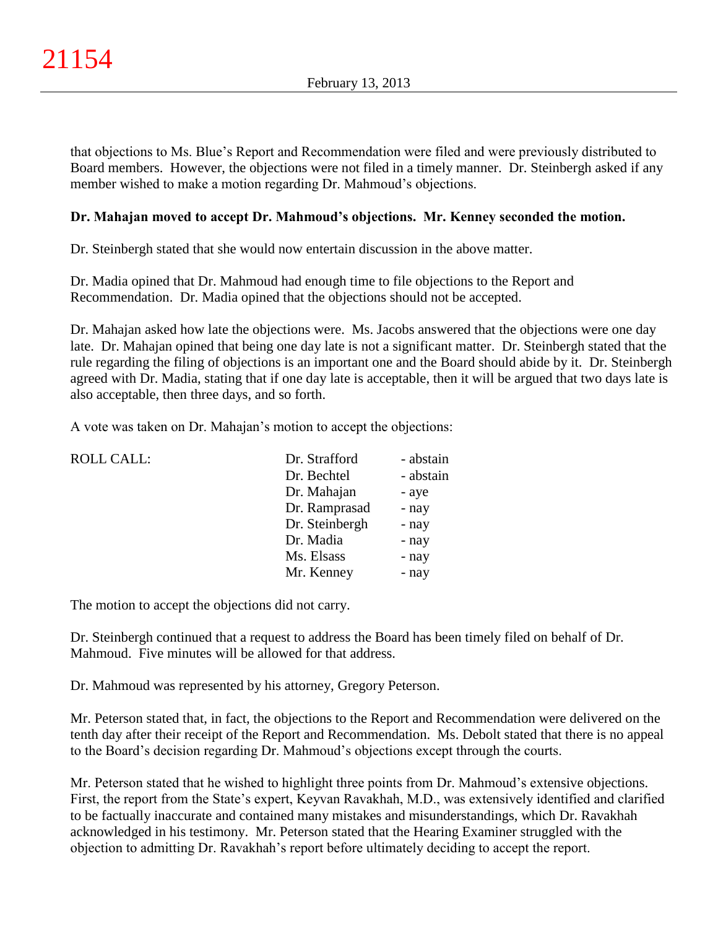that objections to Ms. Blue's Report and Recommendation were filed and were previously distributed to Board members. However, the objections were not filed in a timely manner. Dr. Steinbergh asked if any member wished to make a motion regarding Dr. Mahmoud's objections.

# **Dr. Mahajan moved to accept Dr. Mahmoud's objections. Mr. Kenney seconded the motion.**

Dr. Steinbergh stated that she would now entertain discussion in the above matter.

Dr. Madia opined that Dr. Mahmoud had enough time to file objections to the Report and Recommendation. Dr. Madia opined that the objections should not be accepted.

Dr. Mahajan asked how late the objections were. Ms. Jacobs answered that the objections were one day late. Dr. Mahajan opined that being one day late is not a significant matter. Dr. Steinbergh stated that the rule regarding the filing of objections is an important one and the Board should abide by it. Dr. Steinbergh agreed with Dr. Madia, stating that if one day late is acceptable, then it will be argued that two days late is also acceptable, then three days, and so forth.

A vote was taken on Dr. Mahajan's motion to accept the objections:

| <b>ROLL CALL:</b> | Dr. Strafford  | - abstain |
|-------------------|----------------|-----------|
|                   | Dr. Bechtel    | - abstain |
|                   | Dr. Mahajan    | - aye     |
|                   | Dr. Ramprasad  | - nay     |
|                   | Dr. Steinbergh | - nay     |
|                   | Dr. Madia      | - nay     |
|                   | Ms. Elsass     | - nay     |
|                   | Mr. Kenney     | - nay     |
|                   |                |           |

The motion to accept the objections did not carry.

Dr. Steinbergh continued that a request to address the Board has been timely filed on behalf of Dr. Mahmoud. Five minutes will be allowed for that address.

Dr. Mahmoud was represented by his attorney, Gregory Peterson.

Mr. Peterson stated that, in fact, the objections to the Report and Recommendation were delivered on the tenth day after their receipt of the Report and Recommendation. Ms. Debolt stated that there is no appeal to the Board's decision regarding Dr. Mahmoud's objections except through the courts.

Mr. Peterson stated that he wished to highlight three points from Dr. Mahmoud's extensive objections. First, the report from the State's expert, Keyvan Ravakhah, M.D., was extensively identified and clarified to be factually inaccurate and contained many mistakes and misunderstandings, which Dr. Ravakhah acknowledged in his testimony. Mr. Peterson stated that the Hearing Examiner struggled with the objection to admitting Dr. Ravakhah's report before ultimately deciding to accept the report.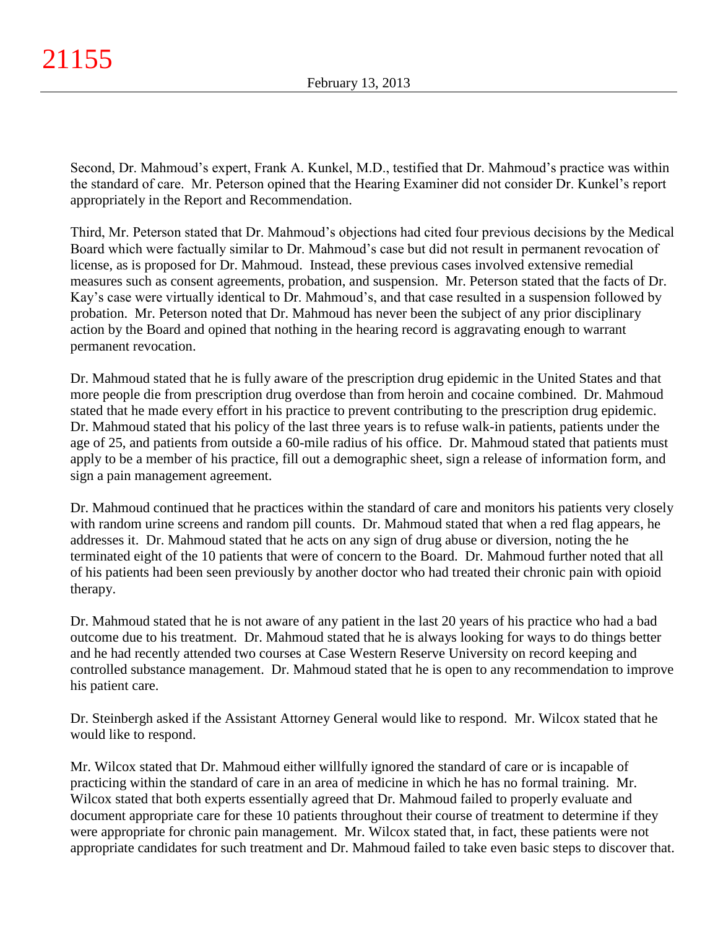Second, Dr. Mahmoud's expert, Frank A. Kunkel, M.D., testified that Dr. Mahmoud's practice was within the standard of care. Mr. Peterson opined that the Hearing Examiner did not consider Dr. Kunkel's report appropriately in the Report and Recommendation.

Third, Mr. Peterson stated that Dr. Mahmoud's objections had cited four previous decisions by the Medical Board which were factually similar to Dr. Mahmoud's case but did not result in permanent revocation of license, as is proposed for Dr. Mahmoud. Instead, these previous cases involved extensive remedial measures such as consent agreements, probation, and suspension. Mr. Peterson stated that the facts of Dr. Kay's case were virtually identical to Dr. Mahmoud's, and that case resulted in a suspension followed by probation. Mr. Peterson noted that Dr. Mahmoud has never been the subject of any prior disciplinary action by the Board and opined that nothing in the hearing record is aggravating enough to warrant permanent revocation.

Dr. Mahmoud stated that he is fully aware of the prescription drug epidemic in the United States and that more people die from prescription drug overdose than from heroin and cocaine combined. Dr. Mahmoud stated that he made every effort in his practice to prevent contributing to the prescription drug epidemic. Dr. Mahmoud stated that his policy of the last three years is to refuse walk-in patients, patients under the age of 25, and patients from outside a 60-mile radius of his office. Dr. Mahmoud stated that patients must apply to be a member of his practice, fill out a demographic sheet, sign a release of information form, and sign a pain management agreement.

Dr. Mahmoud continued that he practices within the standard of care and monitors his patients very closely with random urine screens and random pill counts. Dr. Mahmoud stated that when a red flag appears, he addresses it. Dr. Mahmoud stated that he acts on any sign of drug abuse or diversion, noting the he terminated eight of the 10 patients that were of concern to the Board. Dr. Mahmoud further noted that all of his patients had been seen previously by another doctor who had treated their chronic pain with opioid therapy.

Dr. Mahmoud stated that he is not aware of any patient in the last 20 years of his practice who had a bad outcome due to his treatment. Dr. Mahmoud stated that he is always looking for ways to do things better and he had recently attended two courses at Case Western Reserve University on record keeping and controlled substance management. Dr. Mahmoud stated that he is open to any recommendation to improve his patient care.

Dr. Steinbergh asked if the Assistant Attorney General would like to respond. Mr. Wilcox stated that he would like to respond.

Mr. Wilcox stated that Dr. Mahmoud either willfully ignored the standard of care or is incapable of practicing within the standard of care in an area of medicine in which he has no formal training. Mr. Wilcox stated that both experts essentially agreed that Dr. Mahmoud failed to properly evaluate and document appropriate care for these 10 patients throughout their course of treatment to determine if they were appropriate for chronic pain management. Mr. Wilcox stated that, in fact, these patients were not appropriate candidates for such treatment and Dr. Mahmoud failed to take even basic steps to discover that.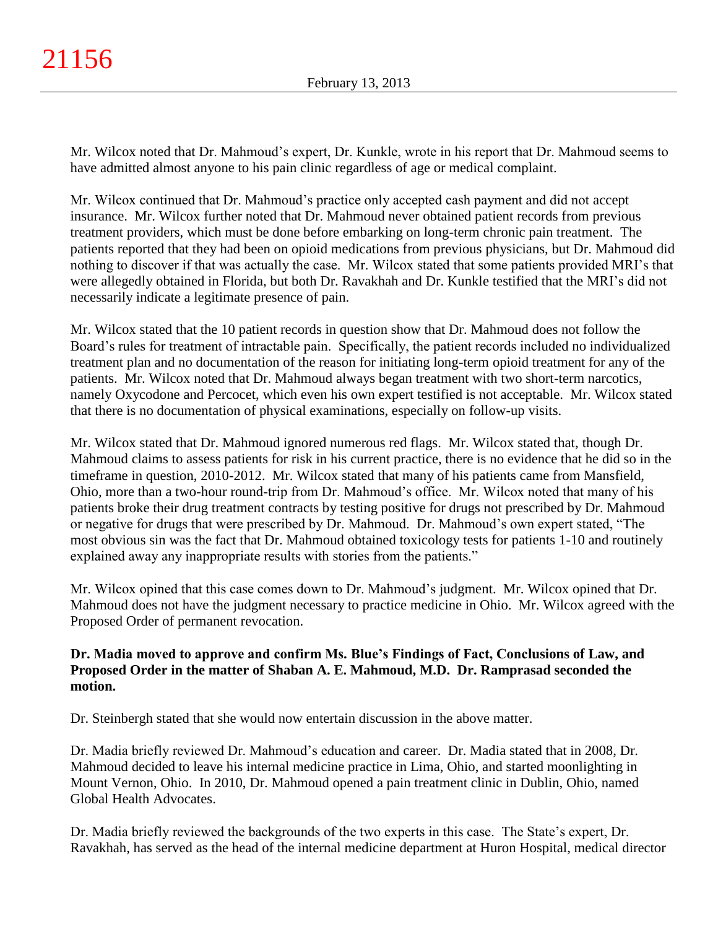Mr. Wilcox noted that Dr. Mahmoud's expert, Dr. Kunkle, wrote in his report that Dr. Mahmoud seems to have admitted almost anyone to his pain clinic regardless of age or medical complaint.

Mr. Wilcox continued that Dr. Mahmoud's practice only accepted cash payment and did not accept insurance. Mr. Wilcox further noted that Dr. Mahmoud never obtained patient records from previous treatment providers, which must be done before embarking on long-term chronic pain treatment. The patients reported that they had been on opioid medications from previous physicians, but Dr. Mahmoud did nothing to discover if that was actually the case. Mr. Wilcox stated that some patients provided MRI's that were allegedly obtained in Florida, but both Dr. Ravakhah and Dr. Kunkle testified that the MRI's did not necessarily indicate a legitimate presence of pain.

Mr. Wilcox stated that the 10 patient records in question show that Dr. Mahmoud does not follow the Board's rules for treatment of intractable pain. Specifically, the patient records included no individualized treatment plan and no documentation of the reason for initiating long-term opioid treatment for any of the patients. Mr. Wilcox noted that Dr. Mahmoud always began treatment with two short-term narcotics, namely Oxycodone and Percocet, which even his own expert testified is not acceptable. Mr. Wilcox stated that there is no documentation of physical examinations, especially on follow-up visits.

Mr. Wilcox stated that Dr. Mahmoud ignored numerous red flags. Mr. Wilcox stated that, though Dr. Mahmoud claims to assess patients for risk in his current practice, there is no evidence that he did so in the timeframe in question, 2010-2012. Mr. Wilcox stated that many of his patients came from Mansfield, Ohio, more than a two-hour round-trip from Dr. Mahmoud's office. Mr. Wilcox noted that many of his patients broke their drug treatment contracts by testing positive for drugs not prescribed by Dr. Mahmoud or negative for drugs that were prescribed by Dr. Mahmoud. Dr. Mahmoud's own expert stated, "The most obvious sin was the fact that Dr. Mahmoud obtained toxicology tests for patients 1-10 and routinely explained away any inappropriate results with stories from the patients."

Mr. Wilcox opined that this case comes down to Dr. Mahmoud's judgment. Mr. Wilcox opined that Dr. Mahmoud does not have the judgment necessary to practice medicine in Ohio. Mr. Wilcox agreed with the Proposed Order of permanent revocation.

# **Dr. Madia moved to approve and confirm Ms. Blue's Findings of Fact, Conclusions of Law, and Proposed Order in the matter of Shaban A. E. Mahmoud, M.D. Dr. Ramprasad seconded the motion.**

Dr. Steinbergh stated that she would now entertain discussion in the above matter.

Dr. Madia briefly reviewed Dr. Mahmoud's education and career. Dr. Madia stated that in 2008, Dr. Mahmoud decided to leave his internal medicine practice in Lima, Ohio, and started moonlighting in Mount Vernon, Ohio. In 2010, Dr. Mahmoud opened a pain treatment clinic in Dublin, Ohio, named Global Health Advocates.

Dr. Madia briefly reviewed the backgrounds of the two experts in this case. The State's expert, Dr. Ravakhah, has served as the head of the internal medicine department at Huron Hospital, medical director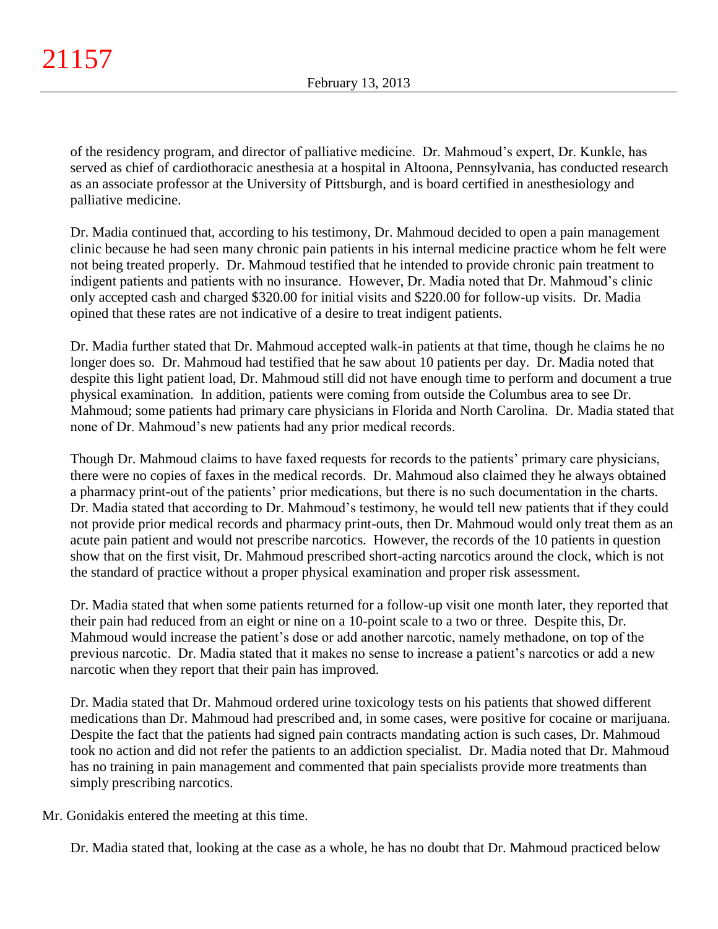of the residency program, and director of palliative medicine. Dr. Mahmoud's expert, Dr. Kunkle, has served as chief of cardiothoracic anesthesia at a hospital in Altoona, Pennsylvania, has conducted research as an associate professor at the University of Pittsburgh, and is board certified in anesthesiology and palliative medicine.

Dr. Madia continued that, according to his testimony, Dr. Mahmoud decided to open a pain management clinic because he had seen many chronic pain patients in his internal medicine practice whom he felt were not being treated properly. Dr. Mahmoud testified that he intended to provide chronic pain treatment to indigent patients and patients with no insurance. However, Dr. Madia noted that Dr. Mahmoud's clinic only accepted cash and charged \$320.00 for initial visits and \$220.00 for follow-up visits. Dr. Madia opined that these rates are not indicative of a desire to treat indigent patients.

Dr. Madia further stated that Dr. Mahmoud accepted walk-in patients at that time, though he claims he no longer does so. Dr. Mahmoud had testified that he saw about 10 patients per day. Dr. Madia noted that despite this light patient load, Dr. Mahmoud still did not have enough time to perform and document a true physical examination. In addition, patients were coming from outside the Columbus area to see Dr. Mahmoud; some patients had primary care physicians in Florida and North Carolina. Dr. Madia stated that none of Dr. Mahmoud's new patients had any prior medical records.

Though Dr. Mahmoud claims to have faxed requests for records to the patients' primary care physicians, there were no copies of faxes in the medical records. Dr. Mahmoud also claimed they he always obtained a pharmacy print-out of the patients' prior medications, but there is no such documentation in the charts. Dr. Madia stated that according to Dr. Mahmoud's testimony, he would tell new patients that if they could not provide prior medical records and pharmacy print-outs, then Dr. Mahmoud would only treat them as an acute pain patient and would not prescribe narcotics. However, the records of the 10 patients in question show that on the first visit, Dr. Mahmoud prescribed short-acting narcotics around the clock, which is not the standard of practice without a proper physical examination and proper risk assessment.

Dr. Madia stated that when some patients returned for a follow-up visit one month later, they reported that their pain had reduced from an eight or nine on a 10-point scale to a two or three. Despite this, Dr. Mahmoud would increase the patient's dose or add another narcotic, namely methadone, on top of the previous narcotic. Dr. Madia stated that it makes no sense to increase a patient's narcotics or add a new narcotic when they report that their pain has improved.

Dr. Madia stated that Dr. Mahmoud ordered urine toxicology tests on his patients that showed different medications than Dr. Mahmoud had prescribed and, in some cases, were positive for cocaine or marijuana. Despite the fact that the patients had signed pain contracts mandating action is such cases, Dr. Mahmoud took no action and did not refer the patients to an addiction specialist. Dr. Madia noted that Dr. Mahmoud has no training in pain management and commented that pain specialists provide more treatments than simply prescribing narcotics.

Mr. Gonidakis entered the meeting at this time.

Dr. Madia stated that, looking at the case as a whole, he has no doubt that Dr. Mahmoud practiced below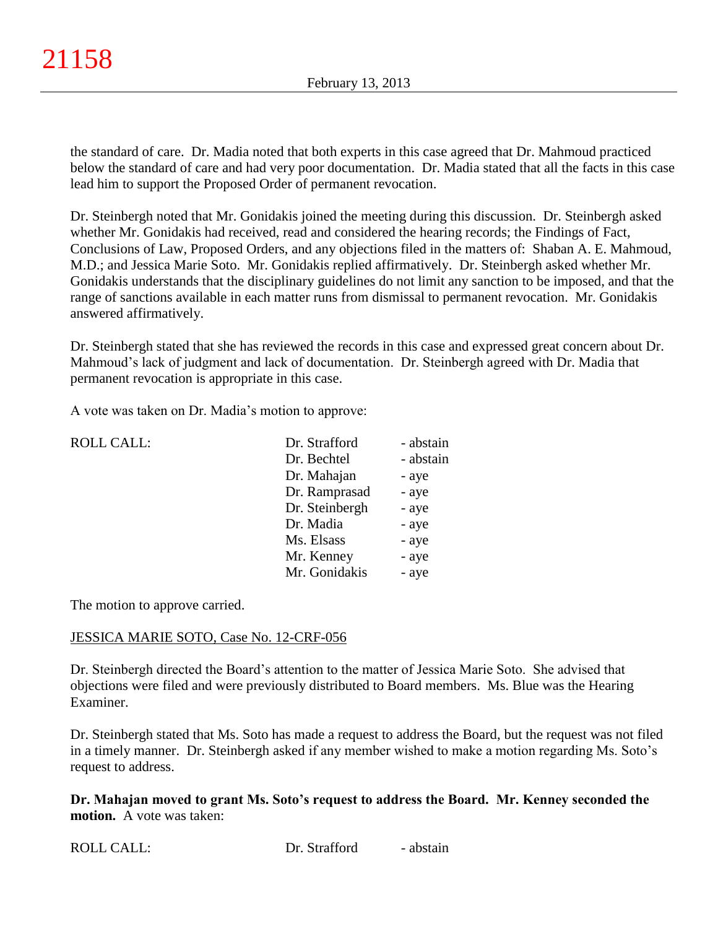the standard of care. Dr. Madia noted that both experts in this case agreed that Dr. Mahmoud practiced below the standard of care and had very poor documentation. Dr. Madia stated that all the facts in this case lead him to support the Proposed Order of permanent revocation.

Dr. Steinbergh noted that Mr. Gonidakis joined the meeting during this discussion. Dr. Steinbergh asked whether Mr. Gonidakis had received, read and considered the hearing records; the Findings of Fact, Conclusions of Law, Proposed Orders, and any objections filed in the matters of: Shaban A. E. Mahmoud, M.D.; and Jessica Marie Soto. Mr. Gonidakis replied affirmatively. Dr. Steinbergh asked whether Mr. Gonidakis understands that the disciplinary guidelines do not limit any sanction to be imposed, and that the range of sanctions available in each matter runs from dismissal to permanent revocation. Mr. Gonidakis answered affirmatively.

Dr. Steinbergh stated that she has reviewed the records in this case and expressed great concern about Dr. Mahmoud's lack of judgment and lack of documentation. Dr. Steinbergh agreed with Dr. Madia that permanent revocation is appropriate in this case.

A vote was taken on Dr. Madia's motion to approve:

| <b>ROLL CALL:</b> | Dr. Strafford  | - abstain |
|-------------------|----------------|-----------|
|                   | Dr. Bechtel    | - abstain |
|                   | Dr. Mahajan    | - aye     |
|                   | Dr. Ramprasad  | - aye     |
|                   | Dr. Steinbergh | - aye     |
|                   | Dr. Madia      | - aye     |
|                   | Ms. Elsass     | - aye     |
|                   | Mr. Kenney     | - aye     |
|                   | Mr. Gonidakis  | - aye     |
|                   |                |           |

The motion to approve carried.

## JESSICA MARIE SOTO, Case No. 12-CRF-056

Dr. Steinbergh directed the Board's attention to the matter of Jessica Marie Soto. She advised that objections were filed and were previously distributed to Board members. Ms. Blue was the Hearing Examiner.

Dr. Steinbergh stated that Ms. Soto has made a request to address the Board, but the request was not filed in a timely manner. Dr. Steinbergh asked if any member wished to make a motion regarding Ms. Soto's request to address.

## **Dr. Mahajan moved to grant Ms. Soto's request to address the Board. Mr. Kenney seconded the motion.** A vote was taken:

ROLL CALL: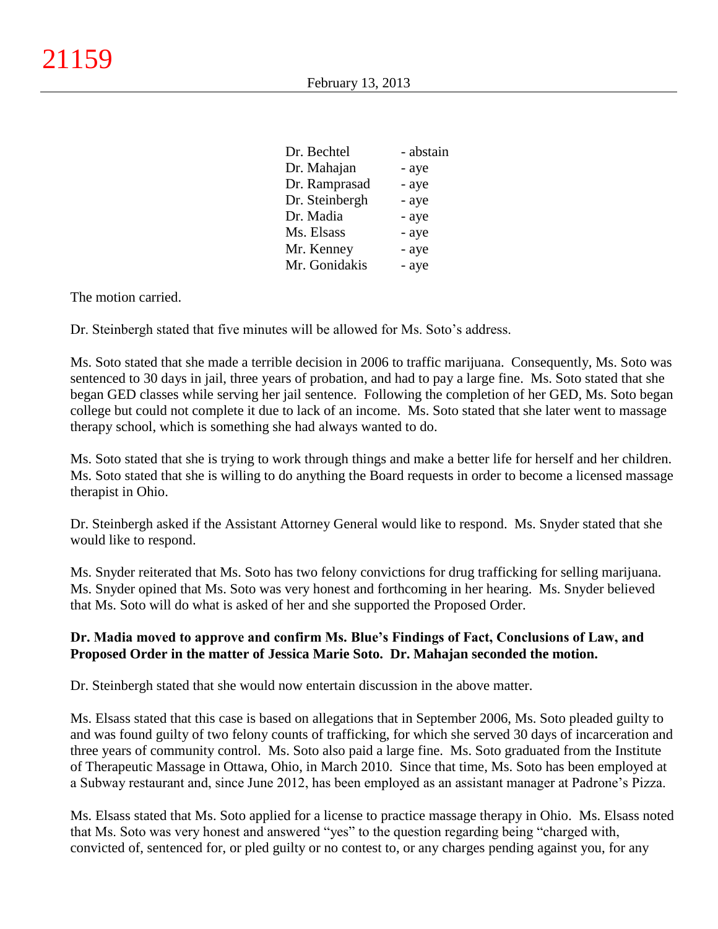| Dr. Bechtel    | - abstain |
|----------------|-----------|
| Dr. Mahajan    | - aye     |
| Dr. Ramprasad  | - aye     |
| Dr. Steinbergh | - aye     |
| Dr. Madia      | - aye     |
| Ms. Elsass     | - aye     |
| Mr. Kenney     | - aye     |
| Mr. Gonidakis  | - aye     |

The motion carried.

Dr. Steinbergh stated that five minutes will be allowed for Ms. Soto's address.

Ms. Soto stated that she made a terrible decision in 2006 to traffic marijuana. Consequently, Ms. Soto was sentenced to 30 days in jail, three years of probation, and had to pay a large fine. Ms. Soto stated that she began GED classes while serving her jail sentence. Following the completion of her GED, Ms. Soto began college but could not complete it due to lack of an income. Ms. Soto stated that she later went to massage therapy school, which is something she had always wanted to do.

Ms. Soto stated that she is trying to work through things and make a better life for herself and her children. Ms. Soto stated that she is willing to do anything the Board requests in order to become a licensed massage therapist in Ohio.

Dr. Steinbergh asked if the Assistant Attorney General would like to respond. Ms. Snyder stated that she would like to respond.

Ms. Snyder reiterated that Ms. Soto has two felony convictions for drug trafficking for selling marijuana. Ms. Snyder opined that Ms. Soto was very honest and forthcoming in her hearing. Ms. Snyder believed that Ms. Soto will do what is asked of her and she supported the Proposed Order.

## **Dr. Madia moved to approve and confirm Ms. Blue's Findings of Fact, Conclusions of Law, and Proposed Order in the matter of Jessica Marie Soto. Dr. Mahajan seconded the motion.**

Dr. Steinbergh stated that she would now entertain discussion in the above matter.

Ms. Elsass stated that this case is based on allegations that in September 2006, Ms. Soto pleaded guilty to and was found guilty of two felony counts of trafficking, for which she served 30 days of incarceration and three years of community control. Ms. Soto also paid a large fine. Ms. Soto graduated from the Institute of Therapeutic Massage in Ottawa, Ohio, in March 2010. Since that time, Ms. Soto has been employed at a Subway restaurant and, since June 2012, has been employed as an assistant manager at Padrone's Pizza.

Ms. Elsass stated that Ms. Soto applied for a license to practice massage therapy in Ohio. Ms. Elsass noted that Ms. Soto was very honest and answered "yes" to the question regarding being "charged with, convicted of, sentenced for, or pled guilty or no contest to, or any charges pending against you, for any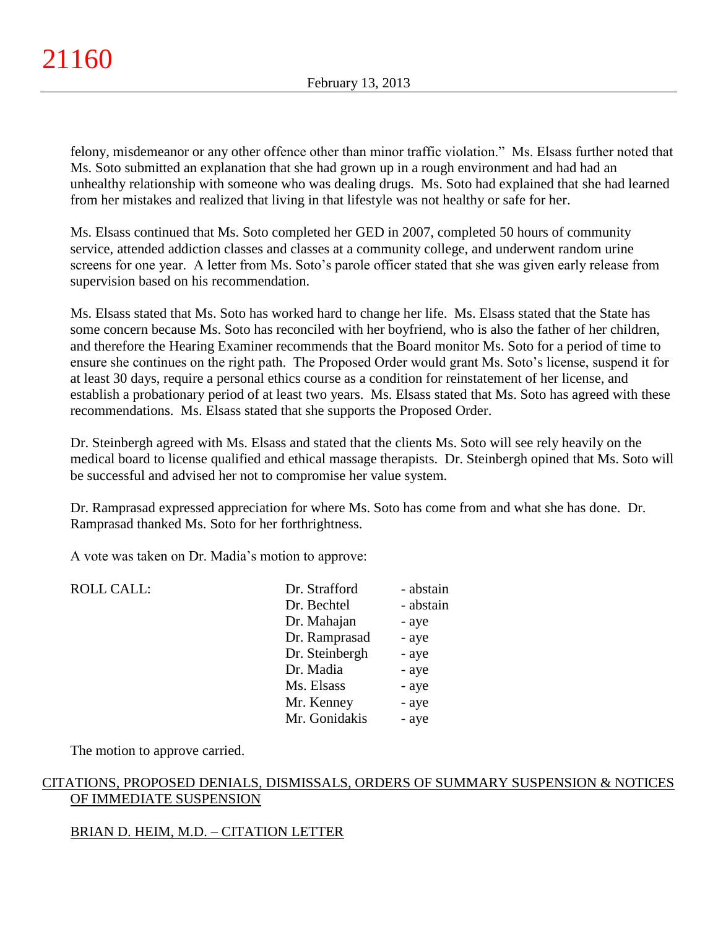felony, misdemeanor or any other offence other than minor traffic violation." Ms. Elsass further noted that Ms. Soto submitted an explanation that she had grown up in a rough environment and had had an unhealthy relationship with someone who was dealing drugs. Ms. Soto had explained that she had learned from her mistakes and realized that living in that lifestyle was not healthy or safe for her.

Ms. Elsass continued that Ms. Soto completed her GED in 2007, completed 50 hours of community service, attended addiction classes and classes at a community college, and underwent random urine screens for one year. A letter from Ms. Soto's parole officer stated that she was given early release from supervision based on his recommendation.

Ms. Elsass stated that Ms. Soto has worked hard to change her life. Ms. Elsass stated that the State has some concern because Ms. Soto has reconciled with her boyfriend, who is also the father of her children, and therefore the Hearing Examiner recommends that the Board monitor Ms. Soto for a period of time to ensure she continues on the right path. The Proposed Order would grant Ms. Soto's license, suspend it for at least 30 days, require a personal ethics course as a condition for reinstatement of her license, and establish a probationary period of at least two years. Ms. Elsass stated that Ms. Soto has agreed with these recommendations. Ms. Elsass stated that she supports the Proposed Order.

Dr. Steinbergh agreed with Ms. Elsass and stated that the clients Ms. Soto will see rely heavily on the medical board to license qualified and ethical massage therapists. Dr. Steinbergh opined that Ms. Soto will be successful and advised her not to compromise her value system.

Dr. Ramprasad expressed appreciation for where Ms. Soto has come from and what she has done. Dr. Ramprasad thanked Ms. Soto for her forthrightness.

A vote was taken on Dr. Madia's motion to approve:

| <b>ROLL CALL:</b> | Dr. Strafford<br>Dr. Bechtel | - abstain<br>- abstain |
|-------------------|------------------------------|------------------------|
|                   | Dr. Mahajan                  | - aye                  |
|                   | Dr. Ramprasad                |                        |
|                   |                              | - aye                  |
|                   | Dr. Steinbergh               | - aye                  |
|                   | Dr. Madia                    | - aye                  |
|                   | Ms. Elsass                   | - aye                  |
|                   | Mr. Kenney                   | - aye                  |
|                   | Mr. Gonidakis                | - aye                  |
|                   |                              |                        |

The motion to approve carried.

# CITATIONS, PROPOSED DENIALS, DISMISSALS, ORDERS OF SUMMARY SUSPENSION & NOTICES OF IMMEDIATE SUSPENSION

# BRIAN D. HEIM, M.D. – CITATION LETTER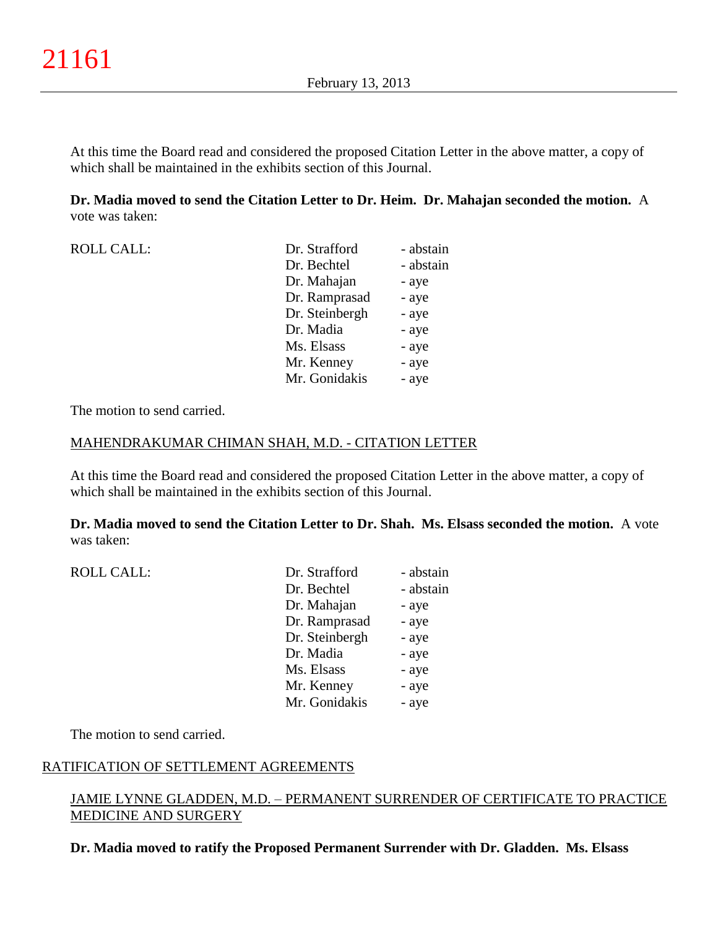At this time the Board read and considered the proposed Citation Letter in the above matter, a copy of which shall be maintained in the exhibits section of this Journal.

**Dr. Madia moved to send the Citation Letter to Dr. Heim. Dr. Mahajan seconded the motion.** A vote was taken:

| <b>ROLL CALL:</b> | Dr. Strafford  | - abstain |
|-------------------|----------------|-----------|
|                   | Dr. Bechtel    | - abstain |
|                   | Dr. Mahajan    | - aye     |
|                   | Dr. Ramprasad  | - aye     |
|                   | Dr. Steinbergh | - aye     |
|                   | Dr. Madia      | - aye     |
|                   | Ms. Elsass     | - aye     |
|                   | Mr. Kenney     | - aye     |
|                   | Mr. Gonidakis  | - aye     |

The motion to send carried.

#### MAHENDRAKUMAR CHIMAN SHAH, M.D. - CITATION LETTER

At this time the Board read and considered the proposed Citation Letter in the above matter, a copy of which shall be maintained in the exhibits section of this Journal.

**Dr. Madia moved to send the Citation Letter to Dr. Shah. Ms. Elsass seconded the motion.** A vote was taken:

| <b>ROLL CALL:</b> | Dr. Strafford  | - abstain |
|-------------------|----------------|-----------|
|                   | Dr. Bechtel    | - abstain |
|                   | Dr. Mahajan    | - aye     |
|                   | Dr. Ramprasad  | - aye     |
|                   | Dr. Steinbergh | - aye     |
|                   | Dr. Madia      | - aye     |
|                   | Ms. Elsass     | - aye     |
|                   | Mr. Kenney     | - aye     |
|                   | Mr. Gonidakis  | - aye     |
|                   |                |           |

The motion to send carried.

## RATIFICATION OF SETTLEMENT AGREEMENTS

## JAMIE LYNNE GLADDEN, M.D. – PERMANENT SURRENDER OF CERTIFICATE TO PRACTICE MEDICINE AND SURGERY

**Dr. Madia moved to ratify the Proposed Permanent Surrender with Dr. Gladden. Ms. Elsass**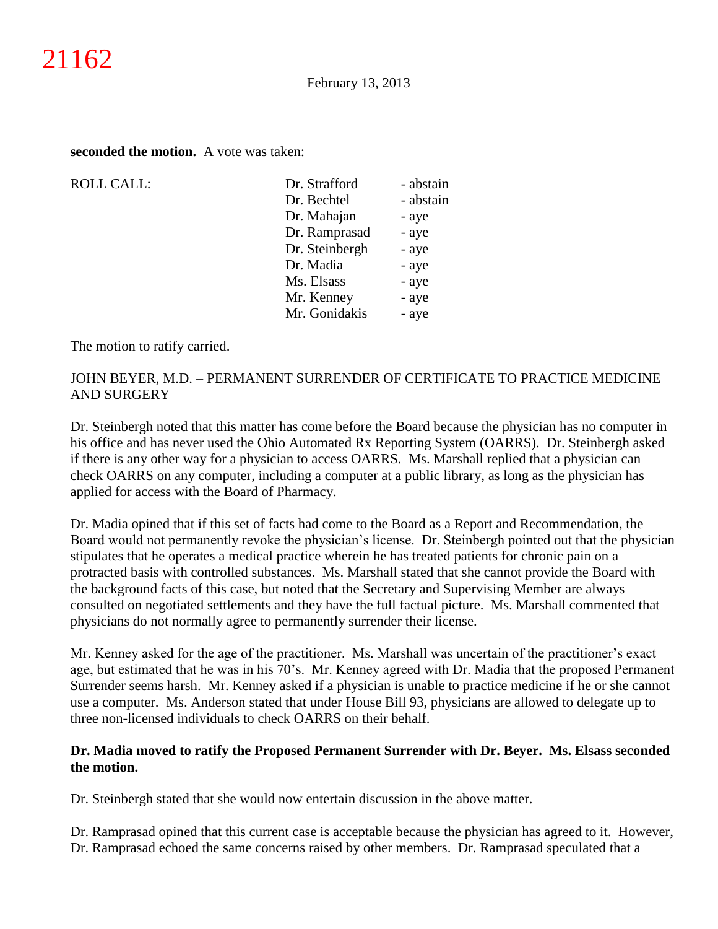**seconded the motion.** A vote was taken:

| <b>ROLL CALL:</b> |
|-------------------|
|                   |

| <b>ROLL CALL:</b> | Dr. Strafford  | - abstain |
|-------------------|----------------|-----------|
|                   | Dr. Bechtel    | - abstain |
|                   | Dr. Mahajan    | - aye     |
|                   | Dr. Ramprasad  | - aye     |
|                   | Dr. Steinbergh | - aye     |
|                   | Dr. Madia      | - aye     |
|                   | Ms. Elsass     | - aye     |
|                   | Mr. Kenney     | - aye     |
|                   | Mr. Gonidakis  | - aye     |
|                   |                |           |

The motion to ratify carried.

# JOHN BEYER, M.D. – PERMANENT SURRENDER OF CERTIFICATE TO PRACTICE MEDICINE AND SURGERY

Dr. Steinbergh noted that this matter has come before the Board because the physician has no computer in his office and has never used the Ohio Automated Rx Reporting System (OARRS). Dr. Steinbergh asked if there is any other way for a physician to access OARRS. Ms. Marshall replied that a physician can check OARRS on any computer, including a computer at a public library, as long as the physician has applied for access with the Board of Pharmacy.

Dr. Madia opined that if this set of facts had come to the Board as a Report and Recommendation, the Board would not permanently revoke the physician's license. Dr. Steinbergh pointed out that the physician stipulates that he operates a medical practice wherein he has treated patients for chronic pain on a protracted basis with controlled substances. Ms. Marshall stated that she cannot provide the Board with the background facts of this case, but noted that the Secretary and Supervising Member are always consulted on negotiated settlements and they have the full factual picture. Ms. Marshall commented that physicians do not normally agree to permanently surrender their license.

Mr. Kenney asked for the age of the practitioner. Ms. Marshall was uncertain of the practitioner's exact age, but estimated that he was in his 70's. Mr. Kenney agreed with Dr. Madia that the proposed Permanent Surrender seems harsh. Mr. Kenney asked if a physician is unable to practice medicine if he or she cannot use a computer. Ms. Anderson stated that under House Bill 93, physicians are allowed to delegate up to three non-licensed individuals to check OARRS on their behalf.

# **Dr. Madia moved to ratify the Proposed Permanent Surrender with Dr. Beyer. Ms. Elsass seconded the motion.**

Dr. Steinbergh stated that she would now entertain discussion in the above matter.

Dr. Ramprasad opined that this current case is acceptable because the physician has agreed to it. However, Dr. Ramprasad echoed the same concerns raised by other members. Dr. Ramprasad speculated that a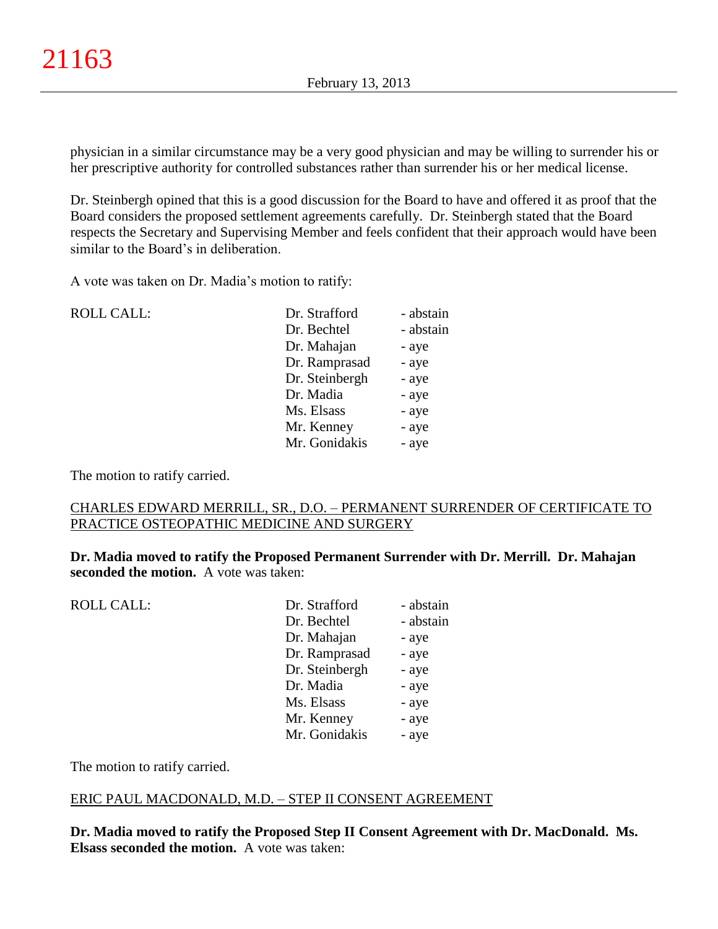physician in a similar circumstance may be a very good physician and may be willing to surrender his or her prescriptive authority for controlled substances rather than surrender his or her medical license.

Dr. Steinbergh opined that this is a good discussion for the Board to have and offered it as proof that the Board considers the proposed settlement agreements carefully. Dr. Steinbergh stated that the Board respects the Secretary and Supervising Member and feels confident that their approach would have been similar to the Board's in deliberation.

A vote was taken on Dr. Madia's motion to ratify:

| <b>ROLL CALL:</b> | Dr. Strafford  | - abstain |
|-------------------|----------------|-----------|
|                   | Dr. Bechtel    | - abstain |
|                   | Dr. Mahajan    | - aye     |
|                   | Dr. Ramprasad  | - aye     |
|                   | Dr. Steinbergh | - aye     |
|                   | Dr. Madia      | - aye     |
|                   | Ms. Elsass     | - aye     |
|                   | Mr. Kenney     | - aye     |
|                   | Mr. Gonidakis  | - aye     |
|                   |                |           |

The motion to ratify carried.

## CHARLES EDWARD MERRILL, SR., D.O. – PERMANENT SURRENDER OF CERTIFICATE TO PRACTICE OSTEOPATHIC MEDICINE AND SURGERY

**Dr. Madia moved to ratify the Proposed Permanent Surrender with Dr. Merrill. Dr. Mahajan seconded the motion.** A vote was taken:

| <b>ROLL CALL:</b> | Dr. Strafford  | - abstain |
|-------------------|----------------|-----------|
|                   | Dr. Bechtel    | - abstain |
|                   | Dr. Mahajan    | - aye     |
|                   | Dr. Ramprasad  | - aye     |
|                   | Dr. Steinbergh | - aye     |
|                   | Dr. Madia      | - aye     |
|                   | Ms. Elsass     | - aye     |
|                   | Mr. Kenney     | - aye     |
|                   | Mr. Gonidakis  | - aye     |
|                   |                |           |

The motion to ratify carried.

#### ERIC PAUL MACDONALD, M.D. – STEP II CONSENT AGREEMENT

**Dr. Madia moved to ratify the Proposed Step II Consent Agreement with Dr. MacDonald. Ms. Elsass seconded the motion.** A vote was taken: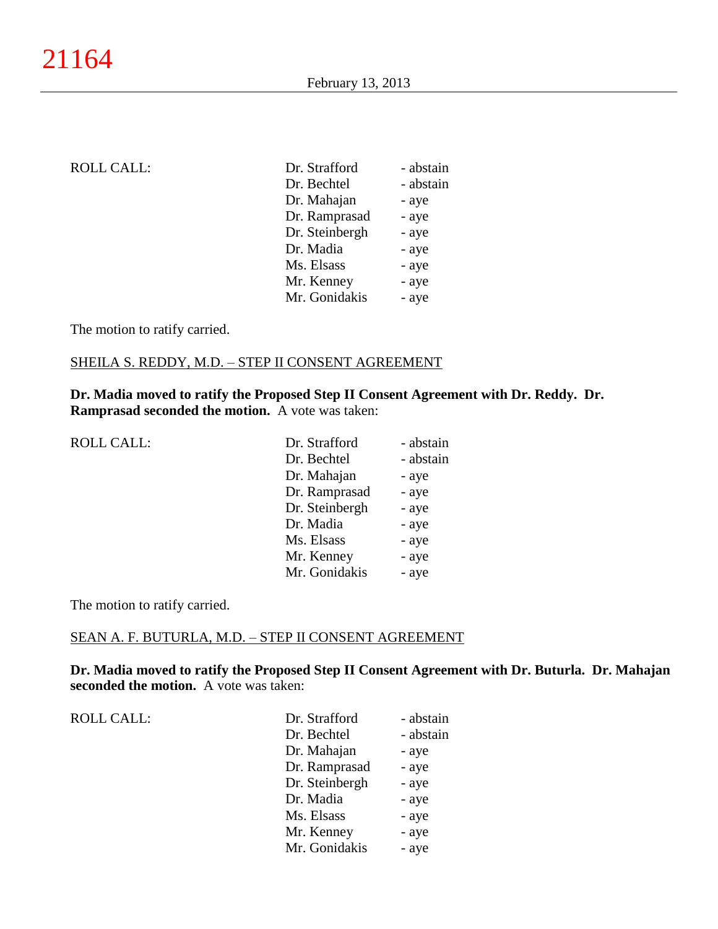| <b>ROLL CALL:</b> | Dr. Strafford  | - abstain |
|-------------------|----------------|-----------|
|                   | Dr. Bechtel    | - abstain |
|                   | Dr. Mahajan    | - aye     |
|                   | Dr. Ramprasad  | - aye     |
|                   | Dr. Steinbergh | - aye     |
|                   | Dr. Madia      | - aye     |
|                   | Ms. Elsass     | - aye     |
|                   | Mr. Kenney     | - aye     |
|                   | Mr. Gonidakis  | - aye     |
|                   |                |           |

# SHEILA S. REDDY, M.D. – STEP II CONSENT AGREEMENT

**Dr. Madia moved to ratify the Proposed Step II Consent Agreement with Dr. Reddy. Dr. Ramprasad seconded the motion.** A vote was taken:

| <b>ROLL CALL:</b> | Dr. Strafford  | - abstain |
|-------------------|----------------|-----------|
|                   | Dr. Bechtel    | - abstain |
|                   | Dr. Mahajan    | - aye     |
|                   | Dr. Ramprasad  | - aye     |
|                   | Dr. Steinbergh | - aye     |
|                   | Dr. Madia      | - aye     |
|                   | Ms. Elsass     | - aye     |
|                   | Mr. Kenney     | - aye     |
|                   | Mr. Gonidakis  | - aye     |
|                   |                |           |

The motion to ratify carried.

# SEAN A. F. BUTURLA, M.D. – STEP II CONSENT AGREEMENT

**Dr. Madia moved to ratify the Proposed Step II Consent Agreement with Dr. Buturla. Dr. Mahajan seconded the motion.** A vote was taken:

| Dr. Strafford  | - abstain |
|----------------|-----------|
| Dr. Bechtel    | - abstain |
| Dr. Mahajan    | - aye     |
| Dr. Ramprasad  | - aye     |
| Dr. Steinbergh | - aye     |
| Dr. Madia      | - aye     |
| Ms. Elsass     | - aye     |
| Mr. Kenney     | - aye     |
| Mr. Gonidakis  | - aye     |
|                |           |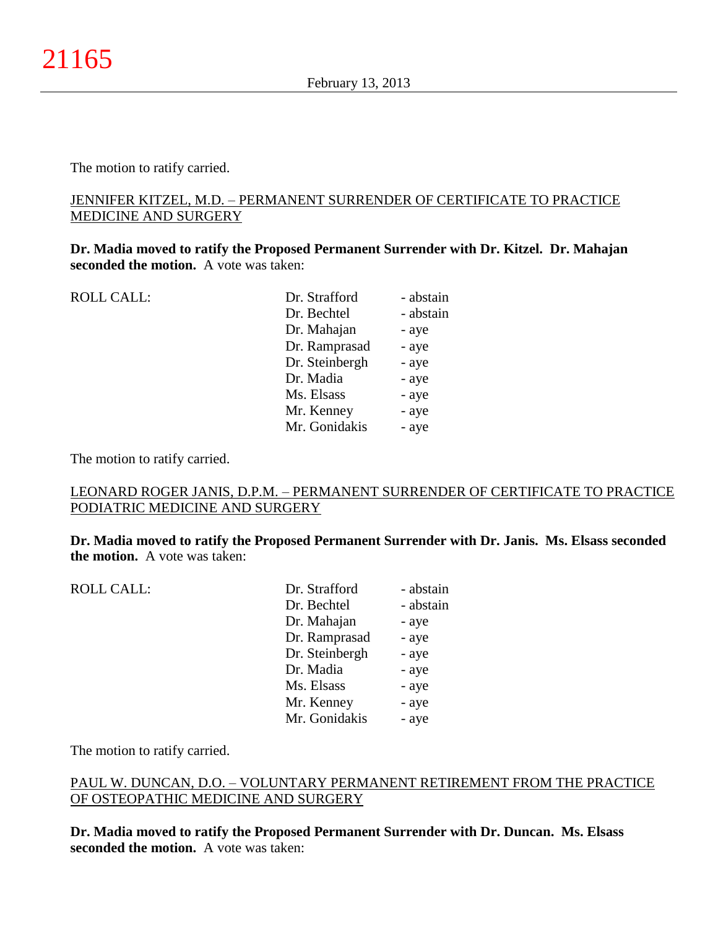## JENNIFER KITZEL, M.D. – PERMANENT SURRENDER OF CERTIFICATE TO PRACTICE MEDICINE AND SURGERY

**Dr. Madia moved to ratify the Proposed Permanent Surrender with Dr. Kitzel. Dr. Mahajan seconded the motion.** A vote was taken:

ROLL CALL:

| <b>ROLL CALL:</b> | Dr. Strafford  | - abstain |
|-------------------|----------------|-----------|
|                   | Dr. Bechtel    | - abstain |
|                   | Dr. Mahajan    | - aye     |
|                   | Dr. Ramprasad  | - aye     |
|                   | Dr. Steinbergh | - aye     |
|                   | Dr. Madia      | - aye     |
|                   | Ms. Elsass     | - aye     |
|                   | Mr. Kenney     | - aye     |
|                   | Mr. Gonidakis  | - aye     |
|                   |                |           |

The motion to ratify carried.

## LEONARD ROGER JANIS, D.P.M. – PERMANENT SURRENDER OF CERTIFICATE TO PRACTICE PODIATRIC MEDICINE AND SURGERY

**Dr. Madia moved to ratify the Proposed Permanent Surrender with Dr. Janis. Ms. Elsass seconded the motion.** A vote was taken:

| Dr. Strafford<br>Dr. Bechtel    | - abstain<br>- abstain |
|---------------------------------|------------------------|
| Dr. Mahajan                     | - aye                  |
| Dr. Ramprasad<br>Dr. Steinbergh | - aye<br>- aye         |
| Dr. Madia                       | - aye                  |
| Ms. Elsass                      | - aye                  |
| Mr. Kenney<br>Mr. Gonidakis     | - aye<br>- aye         |
|                                 |                        |

The motion to ratify carried.

# PAUL W. DUNCAN, D.O. – VOLUNTARY PERMANENT RETIREMENT FROM THE PRACTICE OF OSTEOPATHIC MEDICINE AND SURGERY

**Dr. Madia moved to ratify the Proposed Permanent Surrender with Dr. Duncan. Ms. Elsass seconded the motion.** A vote was taken: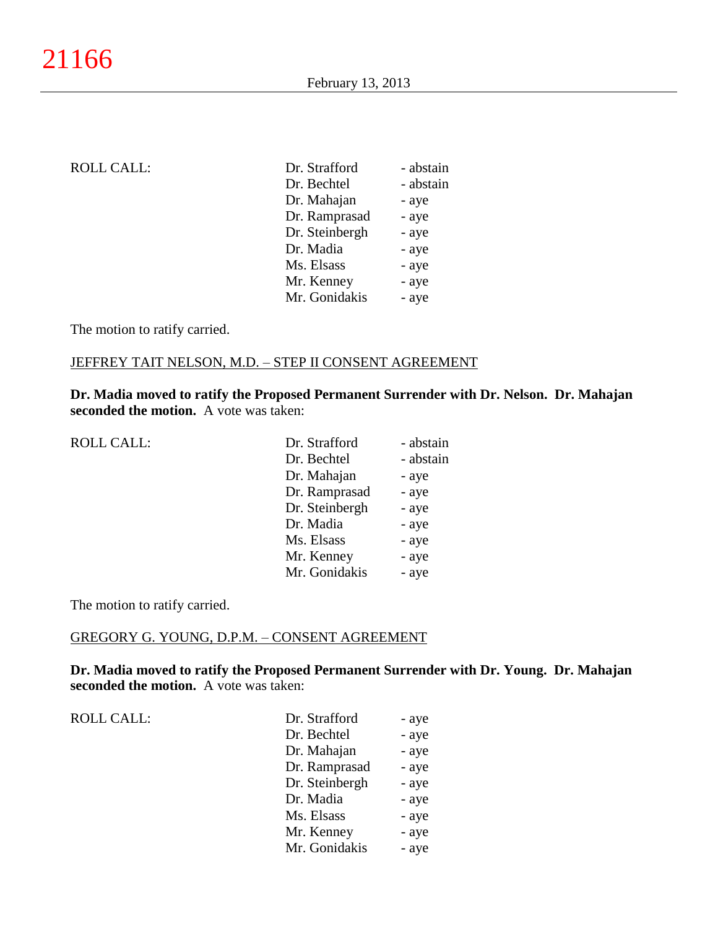| <b>ROLL CALL:</b> | Dr. Strafford  | - abstain |
|-------------------|----------------|-----------|
|                   | Dr. Bechtel    | - abstain |
|                   | Dr. Mahajan    | - aye     |
|                   | Dr. Ramprasad  | - aye     |
|                   | Dr. Steinbergh | - aye     |
|                   | Dr. Madia      | - aye     |
|                   | Ms. Elsass     | - aye     |
|                   | Mr. Kenney     | - aye     |
|                   | Mr. Gonidakis  | - aye     |
|                   |                |           |

# JEFFREY TAIT NELSON, M.D. – STEP II CONSENT AGREEMENT

**Dr. Madia moved to ratify the Proposed Permanent Surrender with Dr. Nelson. Dr. Mahajan seconded the motion.** A vote was taken:

| <b>ROLL CALL:</b> | Dr. Strafford  | - abstain |
|-------------------|----------------|-----------|
|                   | Dr. Bechtel    | - abstain |
|                   | Dr. Mahajan    | - aye     |
|                   | Dr. Ramprasad  | - aye     |
|                   | Dr. Steinbergh | - aye     |
|                   | Dr. Madia      | - aye     |
|                   | Ms. Elsass     | - aye     |
|                   | Mr. Kenney     | - aye     |
|                   | Mr. Gonidakis  | - aye     |
|                   |                |           |

The motion to ratify carried.

# GREGORY G. YOUNG, D.P.M. – CONSENT AGREEMENT

**Dr. Madia moved to ratify the Proposed Permanent Surrender with Dr. Young. Dr. Mahajan seconded the motion.** A vote was taken:

ROLL CALL:  $\qquad \qquad \blacksquare$ 

| Dr. Strafford  | - aye |
|----------------|-------|
| Dr. Bechtel    | - aye |
| Dr. Mahajan    | - aye |
| Dr. Ramprasad  | - aye |
| Dr. Steinbergh | - aye |
| Dr. Madia      | - aye |
| Ms. Elsass     | - aye |
| Mr. Kenney     | - aye |
| Mr. Gonidakis  | - aye |
|                |       |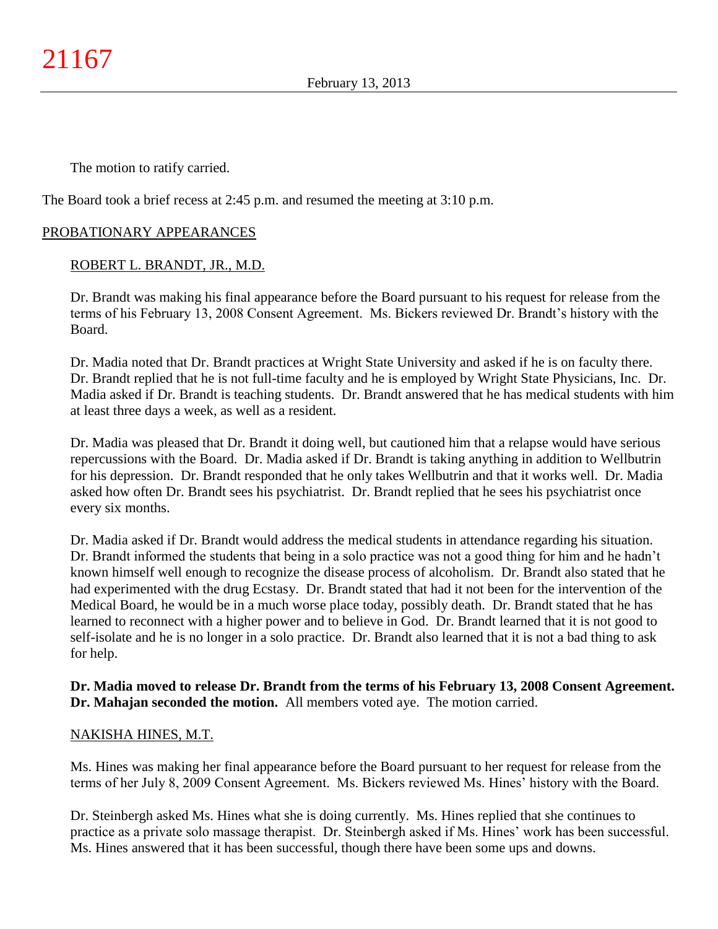The Board took a brief recess at 2:45 p.m. and resumed the meeting at 3:10 p.m.

# PROBATIONARY APPEARANCES

# ROBERT L. BRANDT, JR., M.D.

Dr. Brandt was making his final appearance before the Board pursuant to his request for release from the terms of his February 13, 2008 Consent Agreement. Ms. Bickers reviewed Dr. Brandt's history with the Board.

Dr. Madia noted that Dr. Brandt practices at Wright State University and asked if he is on faculty there. Dr. Brandt replied that he is not full-time faculty and he is employed by Wright State Physicians, Inc. Dr. Madia asked if Dr. Brandt is teaching students. Dr. Brandt answered that he has medical students with him at least three days a week, as well as a resident.

Dr. Madia was pleased that Dr. Brandt it doing well, but cautioned him that a relapse would have serious repercussions with the Board. Dr. Madia asked if Dr. Brandt is taking anything in addition to Wellbutrin for his depression. Dr. Brandt responded that he only takes Wellbutrin and that it works well. Dr. Madia asked how often Dr. Brandt sees his psychiatrist. Dr. Brandt replied that he sees his psychiatrist once every six months.

Dr. Madia asked if Dr. Brandt would address the medical students in attendance regarding his situation. Dr. Brandt informed the students that being in a solo practice was not a good thing for him and he hadn't known himself well enough to recognize the disease process of alcoholism. Dr. Brandt also stated that he had experimented with the drug Ecstasy. Dr. Brandt stated that had it not been for the intervention of the Medical Board, he would be in a much worse place today, possibly death. Dr. Brandt stated that he has learned to reconnect with a higher power and to believe in God. Dr. Brandt learned that it is not good to self-isolate and he is no longer in a solo practice. Dr. Brandt also learned that it is not a bad thing to ask for help.

**Dr. Madia moved to release Dr. Brandt from the terms of his February 13, 2008 Consent Agreement. Dr. Mahajan seconded the motion.** All members voted aye. The motion carried.

## NAKISHA HINES, M.T.

Ms. Hines was making her final appearance before the Board pursuant to her request for release from the terms of her July 8, 2009 Consent Agreement. Ms. Bickers reviewed Ms. Hines' history with the Board.

Dr. Steinbergh asked Ms. Hines what she is doing currently. Ms. Hines replied that she continues to practice as a private solo massage therapist. Dr. Steinbergh asked if Ms. Hines' work has been successful. Ms. Hines answered that it has been successful, though there have been some ups and downs.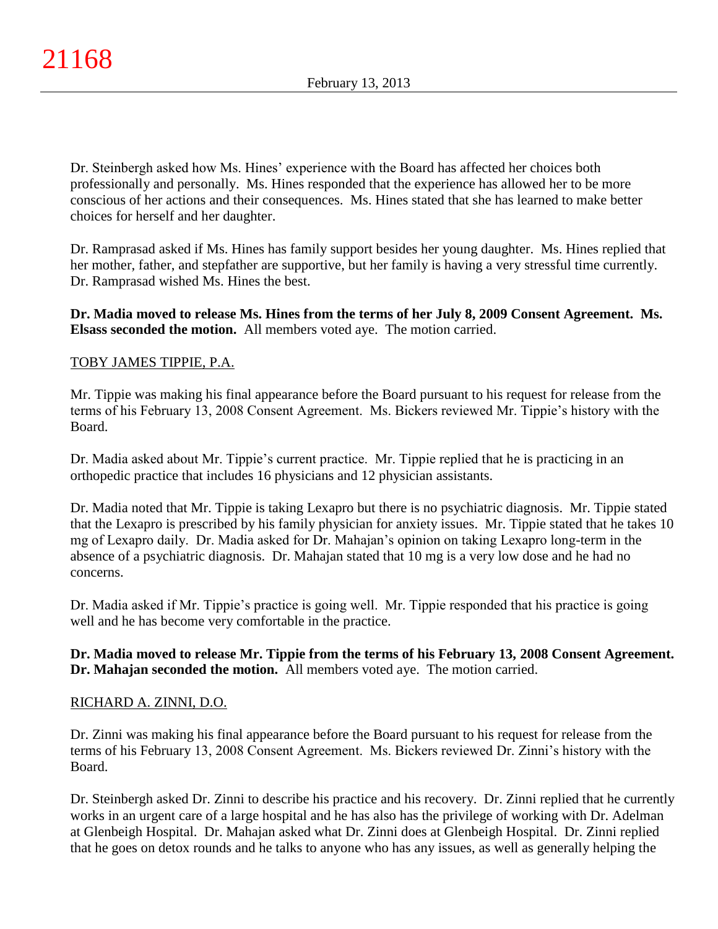Dr. Steinbergh asked how Ms. Hines' experience with the Board has affected her choices both professionally and personally. Ms. Hines responded that the experience has allowed her to be more conscious of her actions and their consequences. Ms. Hines stated that she has learned to make better choices for herself and her daughter.

Dr. Ramprasad asked if Ms. Hines has family support besides her young daughter. Ms. Hines replied that her mother, father, and stepfather are supportive, but her family is having a very stressful time currently. Dr. Ramprasad wished Ms. Hines the best.

**Dr. Madia moved to release Ms. Hines from the terms of her July 8, 2009 Consent Agreement. Ms. Elsass seconded the motion.** All members voted aye. The motion carried.

# TOBY JAMES TIPPIE, P.A.

Mr. Tippie was making his final appearance before the Board pursuant to his request for release from the terms of his February 13, 2008 Consent Agreement. Ms. Bickers reviewed Mr. Tippie's history with the Board.

Dr. Madia asked about Mr. Tippie's current practice. Mr. Tippie replied that he is practicing in an orthopedic practice that includes 16 physicians and 12 physician assistants.

Dr. Madia noted that Mr. Tippie is taking Lexapro but there is no psychiatric diagnosis. Mr. Tippie stated that the Lexapro is prescribed by his family physician for anxiety issues. Mr. Tippie stated that he takes 10 mg of Lexapro daily. Dr. Madia asked for Dr. Mahajan's opinion on taking Lexapro long-term in the absence of a psychiatric diagnosis. Dr. Mahajan stated that 10 mg is a very low dose and he had no concerns.

Dr. Madia asked if Mr. Tippie's practice is going well. Mr. Tippie responded that his practice is going well and he has become very comfortable in the practice.

**Dr. Madia moved to release Mr. Tippie from the terms of his February 13, 2008 Consent Agreement. Dr. Mahajan seconded the motion.** All members voted aye. The motion carried.

## RICHARD A. ZINNI, D.O.

Dr. Zinni was making his final appearance before the Board pursuant to his request for release from the terms of his February 13, 2008 Consent Agreement. Ms. Bickers reviewed Dr. Zinni's history with the Board.

Dr. Steinbergh asked Dr. Zinni to describe his practice and his recovery. Dr. Zinni replied that he currently works in an urgent care of a large hospital and he has also has the privilege of working with Dr. Adelman at Glenbeigh Hospital. Dr. Mahajan asked what Dr. Zinni does at Glenbeigh Hospital. Dr. Zinni replied that he goes on detox rounds and he talks to anyone who has any issues, as well as generally helping the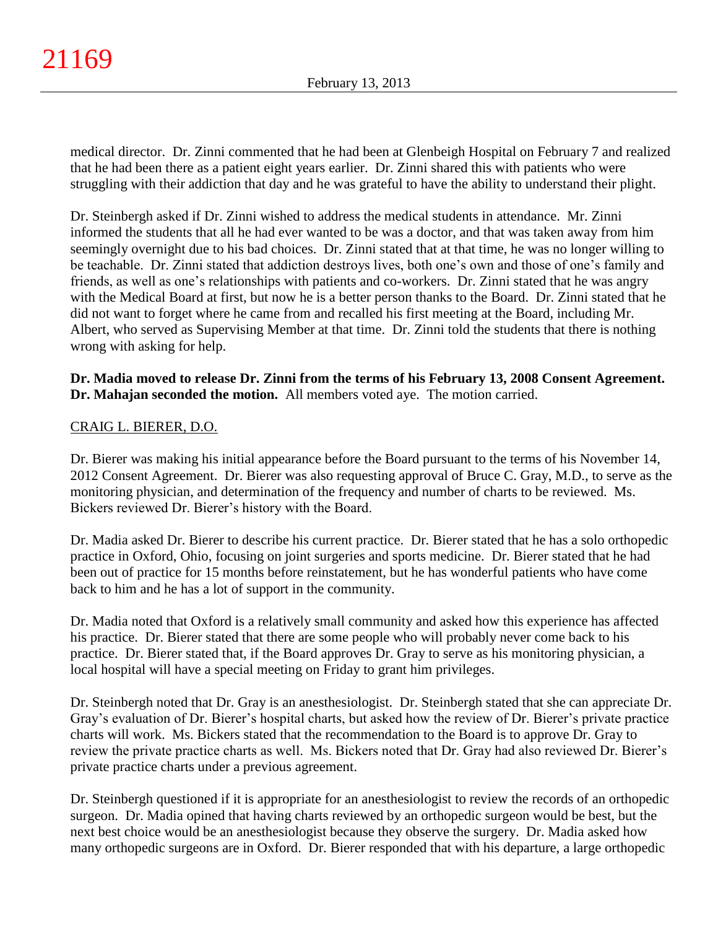medical director. Dr. Zinni commented that he had been at Glenbeigh Hospital on February 7 and realized that he had been there as a patient eight years earlier. Dr. Zinni shared this with patients who were struggling with their addiction that day and he was grateful to have the ability to understand their plight.

Dr. Steinbergh asked if Dr. Zinni wished to address the medical students in attendance. Mr. Zinni informed the students that all he had ever wanted to be was a doctor, and that was taken away from him seemingly overnight due to his bad choices. Dr. Zinni stated that at that time, he was no longer willing to be teachable. Dr. Zinni stated that addiction destroys lives, both one's own and those of one's family and friends, as well as one's relationships with patients and co-workers. Dr. Zinni stated that he was angry with the Medical Board at first, but now he is a better person thanks to the Board. Dr. Zinni stated that he did not want to forget where he came from and recalled his first meeting at the Board, including Mr. Albert, who served as Supervising Member at that time. Dr. Zinni told the students that there is nothing wrong with asking for help.

**Dr. Madia moved to release Dr. Zinni from the terms of his February 13, 2008 Consent Agreement. Dr. Mahajan seconded the motion.** All members voted aye. The motion carried.

# CRAIG L. BIERER, D.O.

Dr. Bierer was making his initial appearance before the Board pursuant to the terms of his November 14, 2012 Consent Agreement. Dr. Bierer was also requesting approval of Bruce C. Gray, M.D., to serve as the monitoring physician, and determination of the frequency and number of charts to be reviewed. Ms. Bickers reviewed Dr. Bierer's history with the Board.

Dr. Madia asked Dr. Bierer to describe his current practice. Dr. Bierer stated that he has a solo orthopedic practice in Oxford, Ohio, focusing on joint surgeries and sports medicine. Dr. Bierer stated that he had been out of practice for 15 months before reinstatement, but he has wonderful patients who have come back to him and he has a lot of support in the community.

Dr. Madia noted that Oxford is a relatively small community and asked how this experience has affected his practice. Dr. Bierer stated that there are some people who will probably never come back to his practice. Dr. Bierer stated that, if the Board approves Dr. Gray to serve as his monitoring physician, a local hospital will have a special meeting on Friday to grant him privileges.

Dr. Steinbergh noted that Dr. Gray is an anesthesiologist. Dr. Steinbergh stated that she can appreciate Dr. Gray's evaluation of Dr. Bierer's hospital charts, but asked how the review of Dr. Bierer's private practice charts will work. Ms. Bickers stated that the recommendation to the Board is to approve Dr. Gray to review the private practice charts as well. Ms. Bickers noted that Dr. Gray had also reviewed Dr. Bierer's private practice charts under a previous agreement.

Dr. Steinbergh questioned if it is appropriate for an anesthesiologist to review the records of an orthopedic surgeon. Dr. Madia opined that having charts reviewed by an orthopedic surgeon would be best, but the next best choice would be an anesthesiologist because they observe the surgery. Dr. Madia asked how many orthopedic surgeons are in Oxford. Dr. Bierer responded that with his departure, a large orthopedic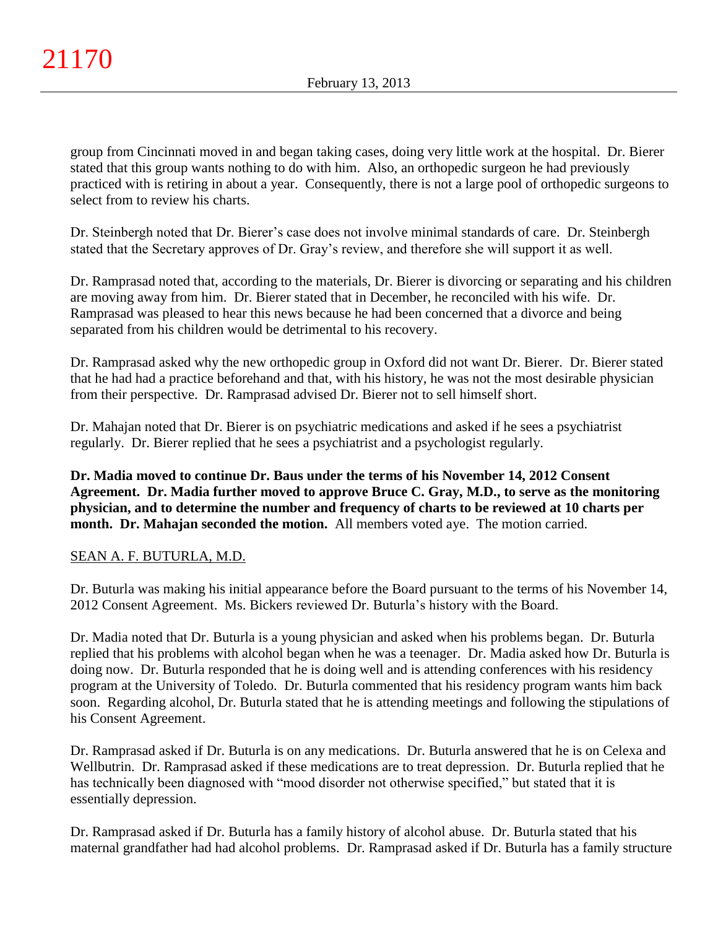group from Cincinnati moved in and began taking cases, doing very little work at the hospital. Dr. Bierer stated that this group wants nothing to do with him. Also, an orthopedic surgeon he had previously practiced with is retiring in about a year. Consequently, there is not a large pool of orthopedic surgeons to select from to review his charts.

Dr. Steinbergh noted that Dr. Bierer's case does not involve minimal standards of care. Dr. Steinbergh stated that the Secretary approves of Dr. Gray's review, and therefore she will support it as well.

Dr. Ramprasad noted that, according to the materials, Dr. Bierer is divorcing or separating and his children are moving away from him. Dr. Bierer stated that in December, he reconciled with his wife. Dr. Ramprasad was pleased to hear this news because he had been concerned that a divorce and being separated from his children would be detrimental to his recovery.

Dr. Ramprasad asked why the new orthopedic group in Oxford did not want Dr. Bierer. Dr. Bierer stated that he had had a practice beforehand and that, with his history, he was not the most desirable physician from their perspective. Dr. Ramprasad advised Dr. Bierer not to sell himself short.

Dr. Mahajan noted that Dr. Bierer is on psychiatric medications and asked if he sees a psychiatrist regularly. Dr. Bierer replied that he sees a psychiatrist and a psychologist regularly.

**Dr. Madia moved to continue Dr. Baus under the terms of his November 14, 2012 Consent Agreement. Dr. Madia further moved to approve Bruce C. Gray, M.D., to serve as the monitoring physician, and to determine the number and frequency of charts to be reviewed at 10 charts per month. Dr. Mahajan seconded the motion.** All members voted aye. The motion carried.

# SEAN A. F. BUTURLA, M.D.

Dr. Buturla was making his initial appearance before the Board pursuant to the terms of his November 14, 2012 Consent Agreement. Ms. Bickers reviewed Dr. Buturla's history with the Board.

Dr. Madia noted that Dr. Buturla is a young physician and asked when his problems began. Dr. Buturla replied that his problems with alcohol began when he was a teenager. Dr. Madia asked how Dr. Buturla is doing now. Dr. Buturla responded that he is doing well and is attending conferences with his residency program at the University of Toledo. Dr. Buturla commented that his residency program wants him back soon. Regarding alcohol, Dr. Buturla stated that he is attending meetings and following the stipulations of his Consent Agreement.

Dr. Ramprasad asked if Dr. Buturla is on any medications. Dr. Buturla answered that he is on Celexa and Wellbutrin. Dr. Ramprasad asked if these medications are to treat depression. Dr. Buturla replied that he has technically been diagnosed with "mood disorder not otherwise specified," but stated that it is essentially depression.

Dr. Ramprasad asked if Dr. Buturla has a family history of alcohol abuse. Dr. Buturla stated that his maternal grandfather had had alcohol problems. Dr. Ramprasad asked if Dr. Buturla has a family structure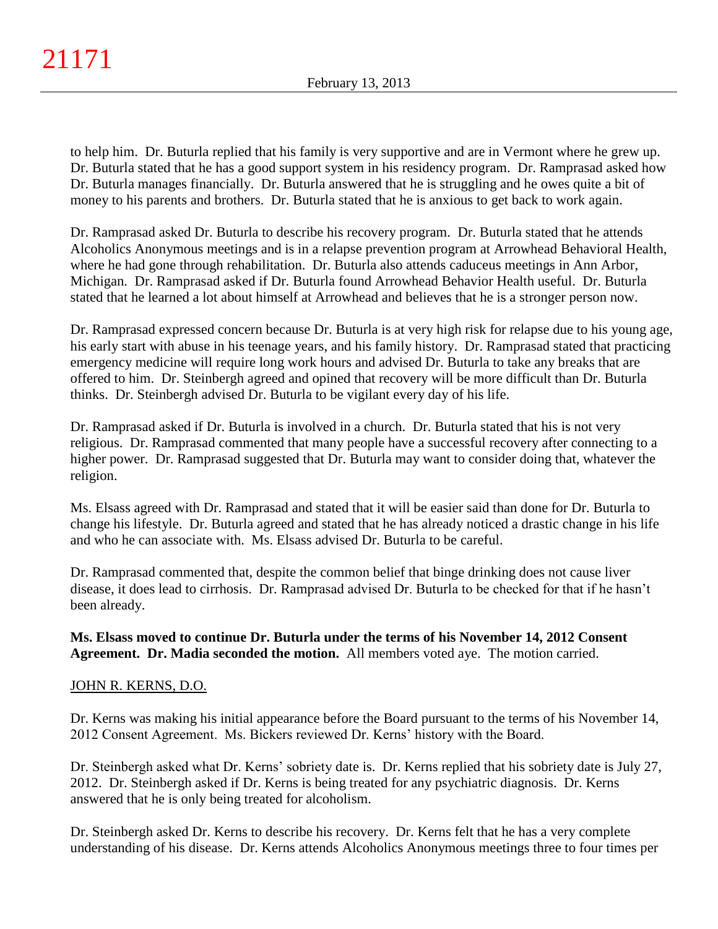to help him. Dr. Buturla replied that his family is very supportive and are in Vermont where he grew up. Dr. Buturla stated that he has a good support system in his residency program. Dr. Ramprasad asked how Dr. Buturla manages financially. Dr. Buturla answered that he is struggling and he owes quite a bit of money to his parents and brothers. Dr. Buturla stated that he is anxious to get back to work again.

Dr. Ramprasad asked Dr. Buturla to describe his recovery program. Dr. Buturla stated that he attends Alcoholics Anonymous meetings and is in a relapse prevention program at Arrowhead Behavioral Health, where he had gone through rehabilitation. Dr. Buturla also attends caduceus meetings in Ann Arbor, Michigan. Dr. Ramprasad asked if Dr. Buturla found Arrowhead Behavior Health useful. Dr. Buturla stated that he learned a lot about himself at Arrowhead and believes that he is a stronger person now.

Dr. Ramprasad expressed concern because Dr. Buturla is at very high risk for relapse due to his young age, his early start with abuse in his teenage years, and his family history. Dr. Ramprasad stated that practicing emergency medicine will require long work hours and advised Dr. Buturla to take any breaks that are offered to him. Dr. Steinbergh agreed and opined that recovery will be more difficult than Dr. Buturla thinks. Dr. Steinbergh advised Dr. Buturla to be vigilant every day of his life.

Dr. Ramprasad asked if Dr. Buturla is involved in a church. Dr. Buturla stated that his is not very religious. Dr. Ramprasad commented that many people have a successful recovery after connecting to a higher power. Dr. Ramprasad suggested that Dr. Buturla may want to consider doing that, whatever the religion.

Ms. Elsass agreed with Dr. Ramprasad and stated that it will be easier said than done for Dr. Buturla to change his lifestyle. Dr. Buturla agreed and stated that he has already noticed a drastic change in his life and who he can associate with. Ms. Elsass advised Dr. Buturla to be careful.

Dr. Ramprasad commented that, despite the common belief that binge drinking does not cause liver disease, it does lead to cirrhosis. Dr. Ramprasad advised Dr. Buturla to be checked for that if he hasn't been already.

# **Ms. Elsass moved to continue Dr. Buturla under the terms of his November 14, 2012 Consent Agreement. Dr. Madia seconded the motion.** All members voted aye. The motion carried.

# JOHN R. KERNS, D.O.

Dr. Kerns was making his initial appearance before the Board pursuant to the terms of his November 14, 2012 Consent Agreement. Ms. Bickers reviewed Dr. Kerns' history with the Board.

Dr. Steinbergh asked what Dr. Kerns' sobriety date is. Dr. Kerns replied that his sobriety date is July 27, 2012. Dr. Steinbergh asked if Dr. Kerns is being treated for any psychiatric diagnosis. Dr. Kerns answered that he is only being treated for alcoholism.

Dr. Steinbergh asked Dr. Kerns to describe his recovery. Dr. Kerns felt that he has a very complete understanding of his disease. Dr. Kerns attends Alcoholics Anonymous meetings three to four times per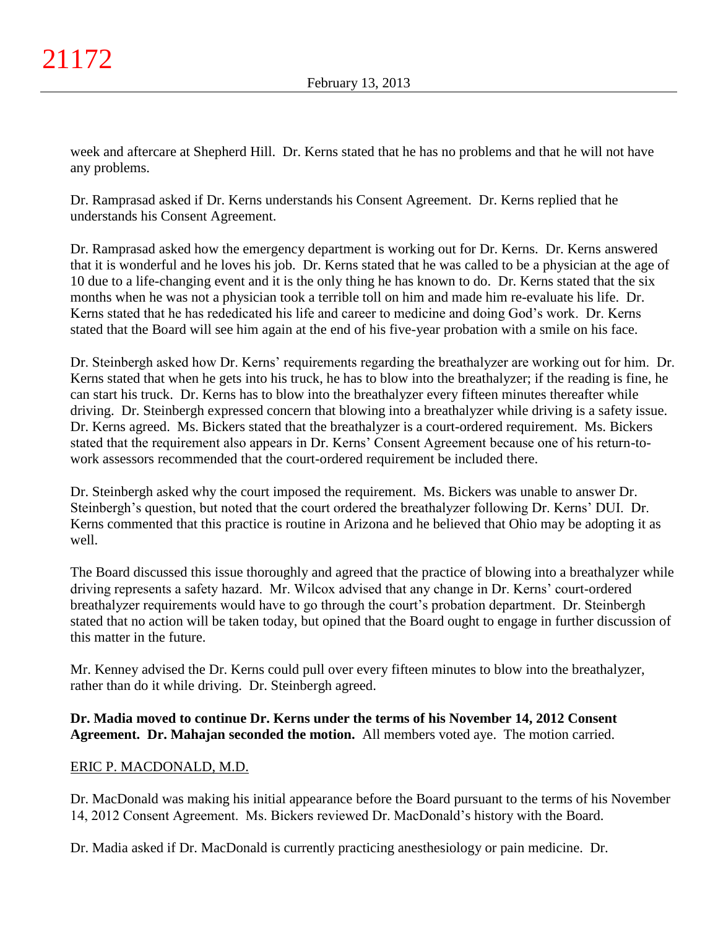week and aftercare at Shepherd Hill. Dr. Kerns stated that he has no problems and that he will not have any problems.

Dr. Ramprasad asked if Dr. Kerns understands his Consent Agreement. Dr. Kerns replied that he understands his Consent Agreement.

Dr. Ramprasad asked how the emergency department is working out for Dr. Kerns. Dr. Kerns answered that it is wonderful and he loves his job. Dr. Kerns stated that he was called to be a physician at the age of 10 due to a life-changing event and it is the only thing he has known to do. Dr. Kerns stated that the six months when he was not a physician took a terrible toll on him and made him re-evaluate his life. Dr. Kerns stated that he has rededicated his life and career to medicine and doing God's work. Dr. Kerns stated that the Board will see him again at the end of his five-year probation with a smile on his face.

Dr. Steinbergh asked how Dr. Kerns' requirements regarding the breathalyzer are working out for him. Dr. Kerns stated that when he gets into his truck, he has to blow into the breathalyzer; if the reading is fine, he can start his truck. Dr. Kerns has to blow into the breathalyzer every fifteen minutes thereafter while driving. Dr. Steinbergh expressed concern that blowing into a breathalyzer while driving is a safety issue. Dr. Kerns agreed. Ms. Bickers stated that the breathalyzer is a court-ordered requirement. Ms. Bickers stated that the requirement also appears in Dr. Kerns' Consent Agreement because one of his return-towork assessors recommended that the court-ordered requirement be included there.

Dr. Steinbergh asked why the court imposed the requirement. Ms. Bickers was unable to answer Dr. Steinbergh's question, but noted that the court ordered the breathalyzer following Dr. Kerns' DUI. Dr. Kerns commented that this practice is routine in Arizona and he believed that Ohio may be adopting it as well.

The Board discussed this issue thoroughly and agreed that the practice of blowing into a breathalyzer while driving represents a safety hazard. Mr. Wilcox advised that any change in Dr. Kerns' court-ordered breathalyzer requirements would have to go through the court's probation department. Dr. Steinbergh stated that no action will be taken today, but opined that the Board ought to engage in further discussion of this matter in the future.

Mr. Kenney advised the Dr. Kerns could pull over every fifteen minutes to blow into the breathalyzer, rather than do it while driving. Dr. Steinbergh agreed.

# **Dr. Madia moved to continue Dr. Kerns under the terms of his November 14, 2012 Consent Agreement. Dr. Mahajan seconded the motion.** All members voted aye. The motion carried.

# ERIC P. MACDONALD, M.D.

Dr. MacDonald was making his initial appearance before the Board pursuant to the terms of his November 14, 2012 Consent Agreement. Ms. Bickers reviewed Dr. MacDonald's history with the Board.

Dr. Madia asked if Dr. MacDonald is currently practicing anesthesiology or pain medicine. Dr.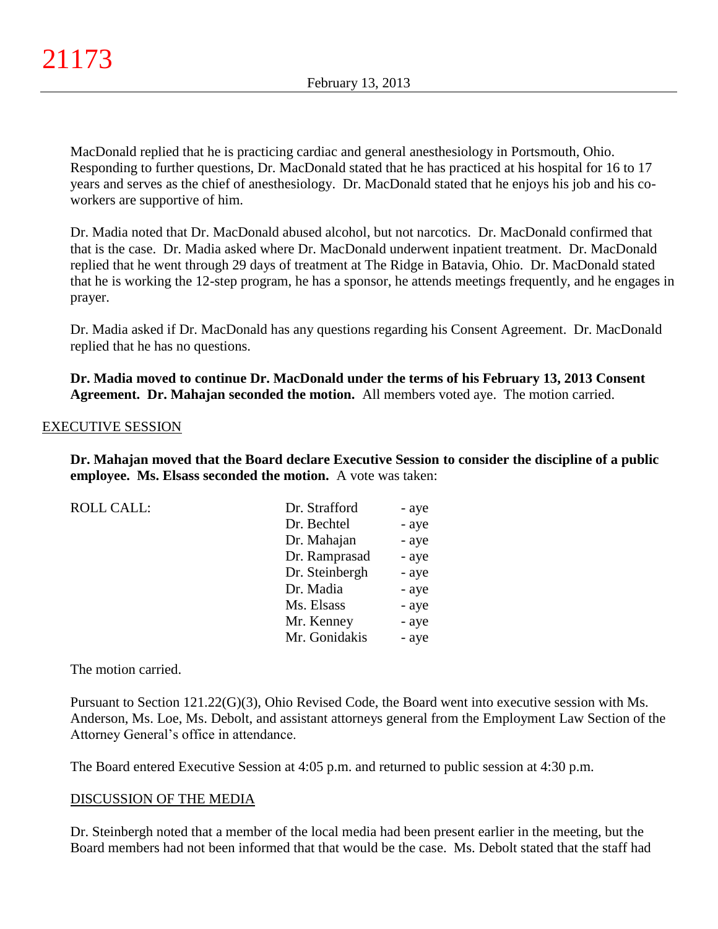MacDonald replied that he is practicing cardiac and general anesthesiology in Portsmouth, Ohio. Responding to further questions, Dr. MacDonald stated that he has practiced at his hospital for 16 to 17 years and serves as the chief of anesthesiology. Dr. MacDonald stated that he enjoys his job and his coworkers are supportive of him.

Dr. Madia noted that Dr. MacDonald abused alcohol, but not narcotics. Dr. MacDonald confirmed that that is the case. Dr. Madia asked where Dr. MacDonald underwent inpatient treatment. Dr. MacDonald replied that he went through 29 days of treatment at The Ridge in Batavia, Ohio. Dr. MacDonald stated that he is working the 12-step program, he has a sponsor, he attends meetings frequently, and he engages in prayer.

Dr. Madia asked if Dr. MacDonald has any questions regarding his Consent Agreement. Dr. MacDonald replied that he has no questions.

**Dr. Madia moved to continue Dr. MacDonald under the terms of his February 13, 2013 Consent Agreement. Dr. Mahajan seconded the motion.** All members voted aye. The motion carried.

## EXECUTIVE SESSION

**Dr. Mahajan moved that the Board declare Executive Session to consider the discipline of a public employee. Ms. Elsass seconded the motion.** A vote was taken:

| <b>ROLL CALL:</b> | Dr. Strafford  | - aye |
|-------------------|----------------|-------|
|                   | Dr. Bechtel    | - aye |
|                   | Dr. Mahajan    | - aye |
|                   | Dr. Ramprasad  | - aye |
|                   | Dr. Steinbergh | - aye |
|                   | Dr. Madia      | - aye |
|                   | Ms. Elsass     | - aye |
|                   | Mr. Kenney     | - aye |
|                   | Mr. Gonidakis  | - aye |
|                   |                |       |

The motion carried.

Pursuant to Section 121.22(G)(3), Ohio Revised Code, the Board went into executive session with Ms. Anderson, Ms. Loe, Ms. Debolt, and assistant attorneys general from the Employment Law Section of the Attorney General's office in attendance.

The Board entered Executive Session at 4:05 p.m. and returned to public session at 4:30 p.m.

## DISCUSSION OF THE MEDIA

Dr. Steinbergh noted that a member of the local media had been present earlier in the meeting, but the Board members had not been informed that that would be the case. Ms. Debolt stated that the staff had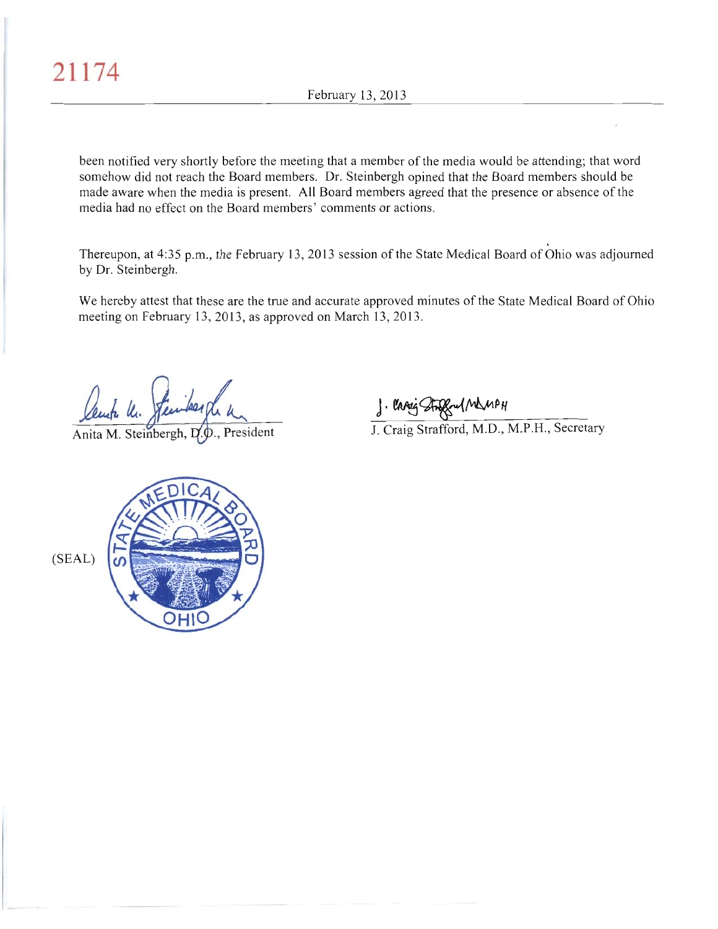been notified very shortly before the meeting that a member of the media would be attending; that word somehow did not reach the Board members. Dr. Steinbergh opined that the Board members should be made aware when the media is present. All Board members agreed that the presence or absence of the media had no effect on the Board members' comments or actions.

Thereupon, at 4:35 p.m., the February 13, 2013 session of the State Medical Board of Ohio was adjourned by Dr. Steinbergh.

We hereby attest that these are the true and accurate approved minutes of the State Medical Board of Ohio meeting on February 13, 2013, as approved on March 13, 2013.

kuta Un.

Anita M. Steinbergh, D.O., President

J. Chang Strage UM MPH<br>J. Craig Strafford, M.D., M.P.H., Secretary

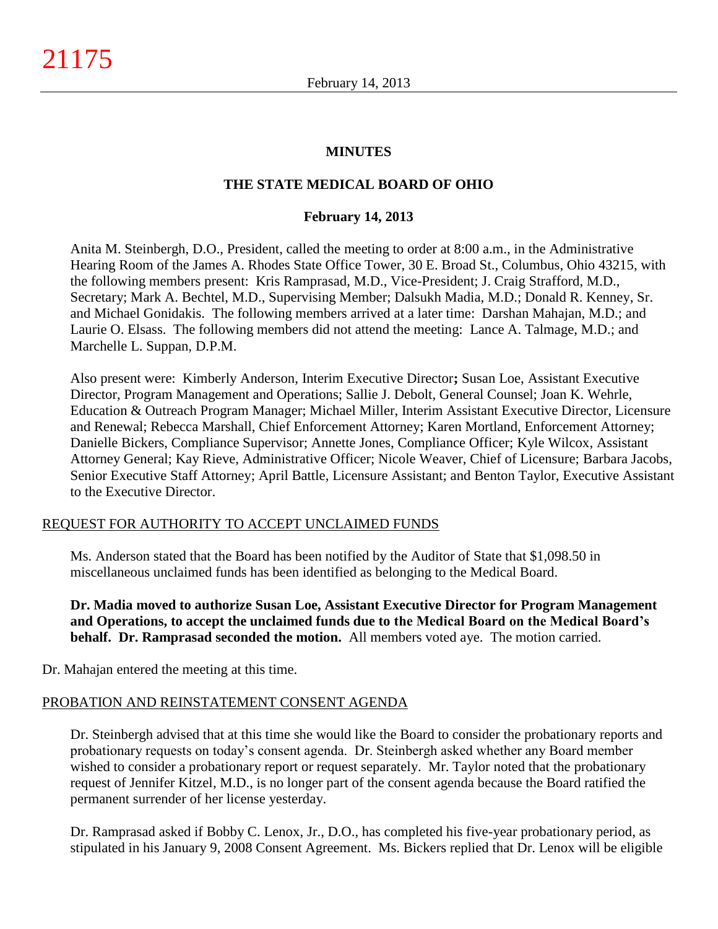## **MINUTES**

# **THE STATE MEDICAL BOARD OF OHIO**

#### **February 14, 2013**

Anita M. Steinbergh, D.O., President, called the meeting to order at 8:00 a.m., in the Administrative Hearing Room of the James A. Rhodes State Office Tower, 30 E. Broad St., Columbus, Ohio 43215, with the following members present: Kris Ramprasad, M.D., Vice-President; J. Craig Strafford, M.D., Secretary; Mark A. Bechtel, M.D., Supervising Member; Dalsukh Madia, M.D.; Donald R. Kenney, Sr. and Michael Gonidakis. The following members arrived at a later time: Darshan Mahajan, M.D.; and Laurie O. Elsass. The following members did not attend the meeting: Lance A. Talmage, M.D.; and Marchelle L. Suppan, D.P.M.

Also present were: Kimberly Anderson, Interim Executive Director**;** Susan Loe, Assistant Executive Director, Program Management and Operations; Sallie J. Debolt, General Counsel; Joan K. Wehrle, Education & Outreach Program Manager; Michael Miller, Interim Assistant Executive Director, Licensure and Renewal; Rebecca Marshall, Chief Enforcement Attorney; Karen Mortland, Enforcement Attorney; Danielle Bickers, Compliance Supervisor; Annette Jones, Compliance Officer; Kyle Wilcox, Assistant Attorney General; Kay Rieve, Administrative Officer; Nicole Weaver, Chief of Licensure; Barbara Jacobs, Senior Executive Staff Attorney; April Battle, Licensure Assistant; and Benton Taylor, Executive Assistant to the Executive Director.

## REQUEST FOR AUTHORITY TO ACCEPT UNCLAIMED FUNDS

Ms. Anderson stated that the Board has been notified by the Auditor of State that \$1,098.50 in miscellaneous unclaimed funds has been identified as belonging to the Medical Board.

**Dr. Madia moved to authorize Susan Loe, Assistant Executive Director for Program Management and Operations, to accept the unclaimed funds due to the Medical Board on the Medical Board's behalf. Dr. Ramprasad seconded the motion.** All members voted aye. The motion carried.

Dr. Mahajan entered the meeting at this time.

## PROBATION AND REINSTATEMENT CONSENT AGENDA

Dr. Steinbergh advised that at this time she would like the Board to consider the probationary reports and probationary requests on today's consent agenda. Dr. Steinbergh asked whether any Board member wished to consider a probationary report or request separately. Mr. Taylor noted that the probationary request of Jennifer Kitzel, M.D., is no longer part of the consent agenda because the Board ratified the permanent surrender of her license yesterday.

Dr. Ramprasad asked if Bobby C. Lenox, Jr., D.O., has completed his five-year probationary period, as stipulated in his January 9, 2008 Consent Agreement. Ms. Bickers replied that Dr. Lenox will be eligible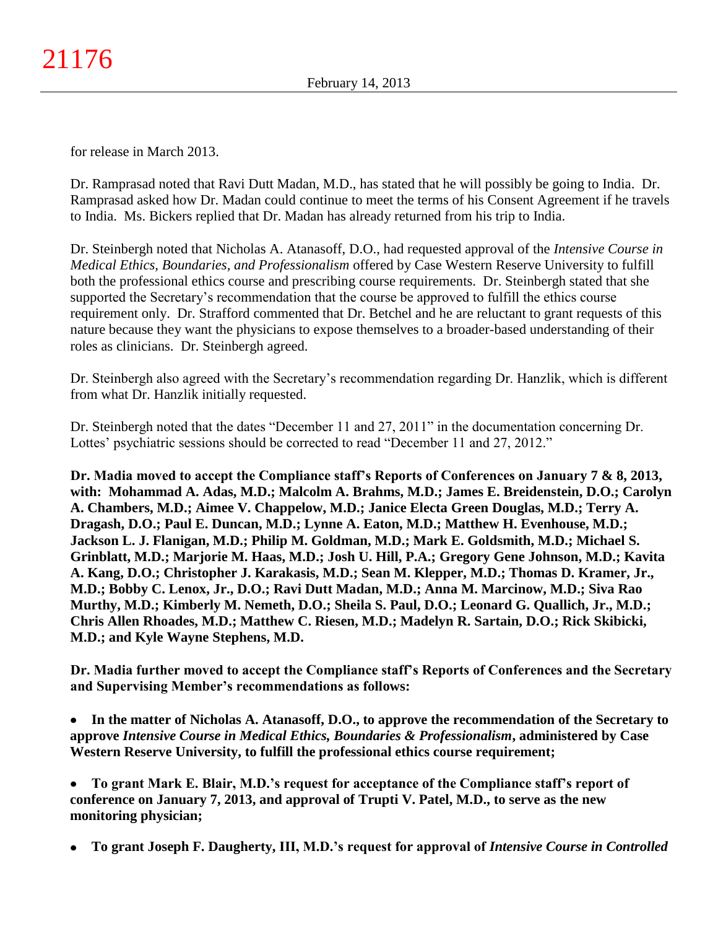for release in March 2013.

Dr. Ramprasad noted that Ravi Dutt Madan, M.D., has stated that he will possibly be going to India. Dr. Ramprasad asked how Dr. Madan could continue to meet the terms of his Consent Agreement if he travels to India. Ms. Bickers replied that Dr. Madan has already returned from his trip to India.

Dr. Steinbergh noted that Nicholas A. Atanasoff, D.O., had requested approval of the *Intensive Course in Medical Ethics, Boundaries, and Professionalism* offered by Case Western Reserve University to fulfill both the professional ethics course and prescribing course requirements. Dr. Steinbergh stated that she supported the Secretary's recommendation that the course be approved to fulfill the ethics course requirement only. Dr. Strafford commented that Dr. Betchel and he are reluctant to grant requests of this nature because they want the physicians to expose themselves to a broader-based understanding of their roles as clinicians. Dr. Steinbergh agreed.

Dr. Steinbergh also agreed with the Secretary's recommendation regarding Dr. Hanzlik, which is different from what Dr. Hanzlik initially requested.

Dr. Steinbergh noted that the dates "December 11 and 27, 2011" in the documentation concerning Dr. Lottes' psychiatric sessions should be corrected to read "December 11 and 27, 2012."

**Dr. Madia moved to accept the Compliance staff's Reports of Conferences on January 7 & 8, 2013, with: Mohammad A. Adas, M.D.; Malcolm A. Brahms, M.D.; James E. Breidenstein, D.O.; Carolyn A. Chambers, M.D.; Aimee V. Chappelow, M.D.; Janice Electa Green Douglas, M.D.; Terry A. Dragash, D.O.; Paul E. Duncan, M.D.; Lynne A. Eaton, M.D.; Matthew H. Evenhouse, M.D.; Jackson L. J. Flanigan, M.D.; Philip M. Goldman, M.D.; Mark E. Goldsmith, M.D.; Michael S. Grinblatt, M.D.; Marjorie M. Haas, M.D.; Josh U. Hill, P.A.; Gregory Gene Johnson, M.D.; Kavita A. Kang, D.O.; Christopher J. Karakasis, M.D.; Sean M. Klepper, M.D.; Thomas D. Kramer, Jr., M.D.; Bobby C. Lenox, Jr., D.O.; Ravi Dutt Madan, M.D.; Anna M. Marcinow, M.D.; Siva Rao Murthy, M.D.; Kimberly M. Nemeth, D.O.; Sheila S. Paul, D.O.; Leonard G. Quallich, Jr., M.D.; Chris Allen Rhoades, M.D.; Matthew C. Riesen, M.D.; Madelyn R. Sartain, D.O.; Rick Skibicki, M.D.; and Kyle Wayne Stephens, M.D.**

**Dr. Madia further moved to accept the Compliance staff's Reports of Conferences and the Secretary and Supervising Member's recommendations as follows:**

**In the matter of Nicholas A. Atanasoff, D.O., to approve the recommendation of the Secretary to approve** *Intensive Course in Medical Ethics, Boundaries & Professionalism***, administered by Case Western Reserve University, to fulfill the professional ethics course requirement;**

**To grant Mark E. Blair, M.D.'s request for acceptance of the Compliance staff's report of conference on January 7, 2013, and approval of Trupti V. Patel, M.D., to serve as the new monitoring physician;**

**To grant Joseph F. Daugherty, III, M.D.'s request for approval of** *Intensive Course in Controlled*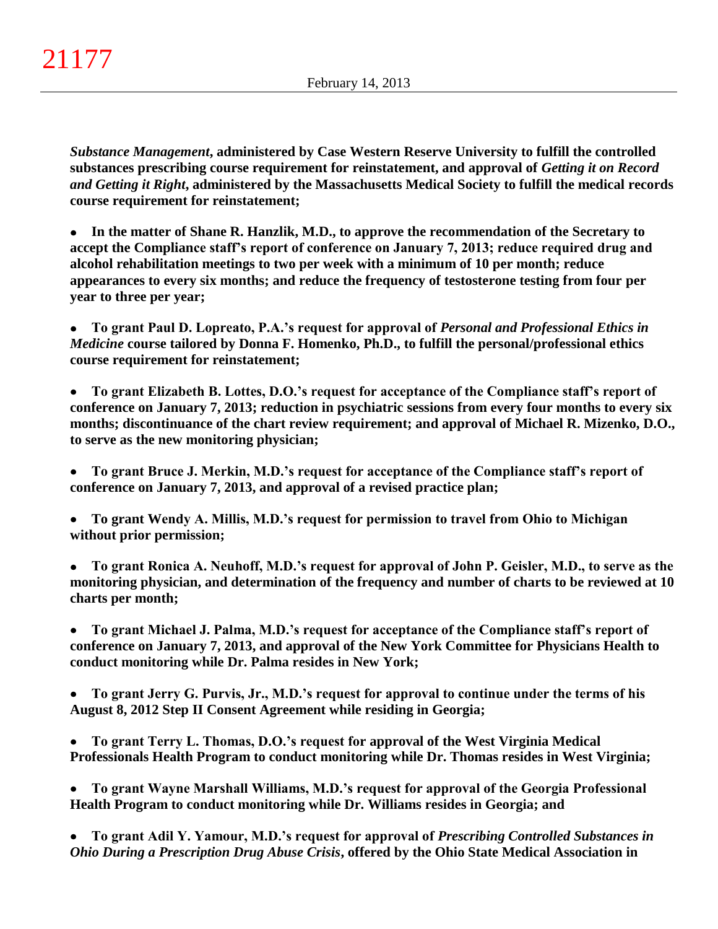*Substance Management***, administered by Case Western Reserve University to fulfill the controlled substances prescribing course requirement for reinstatement, and approval of** *Getting it on Record and Getting it Right***, administered by the Massachusetts Medical Society to fulfill the medical records course requirement for reinstatement;**

 $\bullet$ **In the matter of Shane R. Hanzlik, M.D., to approve the recommendation of the Secretary to accept the Compliance staff's report of conference on January 7, 2013; reduce required drug and alcohol rehabilitation meetings to two per week with a minimum of 10 per month; reduce appearances to every six months; and reduce the frequency of testosterone testing from four per year to three per year;**

**To grant Paul D. Lopreato, P.A.'s request for approval of** *Personal and Professional Ethics in*   $\bullet$ *Medicine* **course tailored by Donna F. Homenko, Ph.D., to fulfill the personal/professional ethics course requirement for reinstatement;**

**To grant Elizabeth B. Lottes, D.O.'s request for acceptance of the Compliance staff's report of**   $\bullet$ **conference on January 7, 2013; reduction in psychiatric sessions from every four months to every six months; discontinuance of the chart review requirement; and approval of Michael R. Mizenko, D.O., to serve as the new monitoring physician;**

**To grant Bruce J. Merkin, M.D.'s request for acceptance of the Compliance staff's report of**   $\bullet$ **conference on January 7, 2013, and approval of a revised practice plan;**

**To grant Wendy A. Millis, M.D.'s request for permission to travel from Ohio to Michigan without prior permission;**

 $\bullet$ **To grant Ronica A. Neuhoff, M.D.'s request for approval of John P. Geisler, M.D., to serve as the monitoring physician, and determination of the frequency and number of charts to be reviewed at 10 charts per month;**

**To grant Michael J. Palma, M.D.'s request for acceptance of the Compliance staff's report of**   $\bullet$ **conference on January 7, 2013, and approval of the New York Committee for Physicians Health to conduct monitoring while Dr. Palma resides in New York;**

**To grant Jerry G. Purvis, Jr., M.D.'s request for approval to continue under the terms of his**   $\bullet$ **August 8, 2012 Step II Consent Agreement while residing in Georgia;**

**To grant Terry L. Thomas, D.O.'s request for approval of the West Virginia Medical Professionals Health Program to conduct monitoring while Dr. Thomas resides in West Virginia;**

**To grant Wayne Marshall Williams, M.D.'s request for approval of the Georgia Professional Health Program to conduct monitoring while Dr. Williams resides in Georgia; and**

**To grant Adil Y. Yamour, M.D.'s request for approval of** *Prescribing Controlled Substances in Ohio During a Prescription Drug Abuse Crisis***, offered by the Ohio State Medical Association in**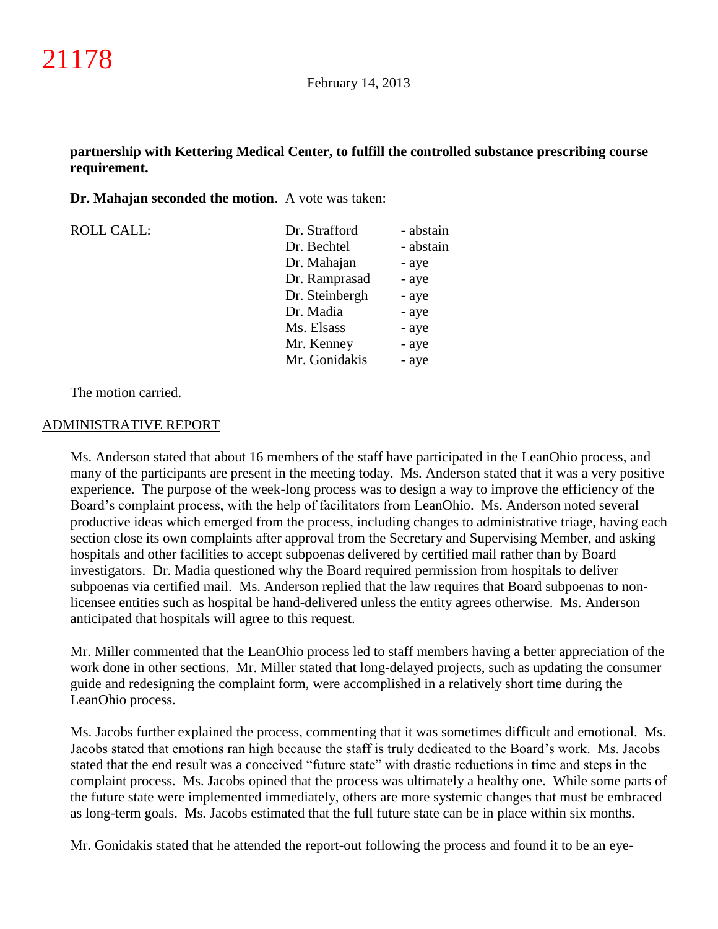## **partnership with Kettering Medical Center, to fulfill the controlled substance prescribing course requirement.**

**Dr. Mahajan seconded the motion**. A vote was taken:

| <b>ROLL CALL:</b> | Dr. Strafford  | - abstain |
|-------------------|----------------|-----------|
|                   | Dr. Bechtel    | - abstain |
|                   | Dr. Mahajan    | - aye     |
|                   | Dr. Ramprasad  | - aye     |
|                   | Dr. Steinbergh | - aye     |
|                   | Dr. Madia      | - aye     |
|                   | Ms. Elsass     | - aye     |
|                   | Mr. Kenney     | - aye     |
|                   | Mr. Gonidakis  | - aye     |

The motion carried.

#### ADMINISTRATIVE REPORT

Ms. Anderson stated that about 16 members of the staff have participated in the LeanOhio process, and many of the participants are present in the meeting today. Ms. Anderson stated that it was a very positive experience. The purpose of the week-long process was to design a way to improve the efficiency of the Board's complaint process, with the help of facilitators from LeanOhio. Ms. Anderson noted several productive ideas which emerged from the process, including changes to administrative triage, having each section close its own complaints after approval from the Secretary and Supervising Member, and asking hospitals and other facilities to accept subpoenas delivered by certified mail rather than by Board investigators. Dr. Madia questioned why the Board required permission from hospitals to deliver subpoenas via certified mail. Ms. Anderson replied that the law requires that Board subpoenas to nonlicensee entities such as hospital be hand-delivered unless the entity agrees otherwise. Ms. Anderson anticipated that hospitals will agree to this request.

Mr. Miller commented that the LeanOhio process led to staff members having a better appreciation of the work done in other sections. Mr. Miller stated that long-delayed projects, such as updating the consumer guide and redesigning the complaint form, were accomplished in a relatively short time during the LeanOhio process.

Ms. Jacobs further explained the process, commenting that it was sometimes difficult and emotional. Ms. Jacobs stated that emotions ran high because the staff is truly dedicated to the Board's work. Ms. Jacobs stated that the end result was a conceived "future state" with drastic reductions in time and steps in the complaint process. Ms. Jacobs opined that the process was ultimately a healthy one. While some parts of the future state were implemented immediately, others are more systemic changes that must be embraced as long-term goals. Ms. Jacobs estimated that the full future state can be in place within six months.

Mr. Gonidakis stated that he attended the report-out following the process and found it to be an eye-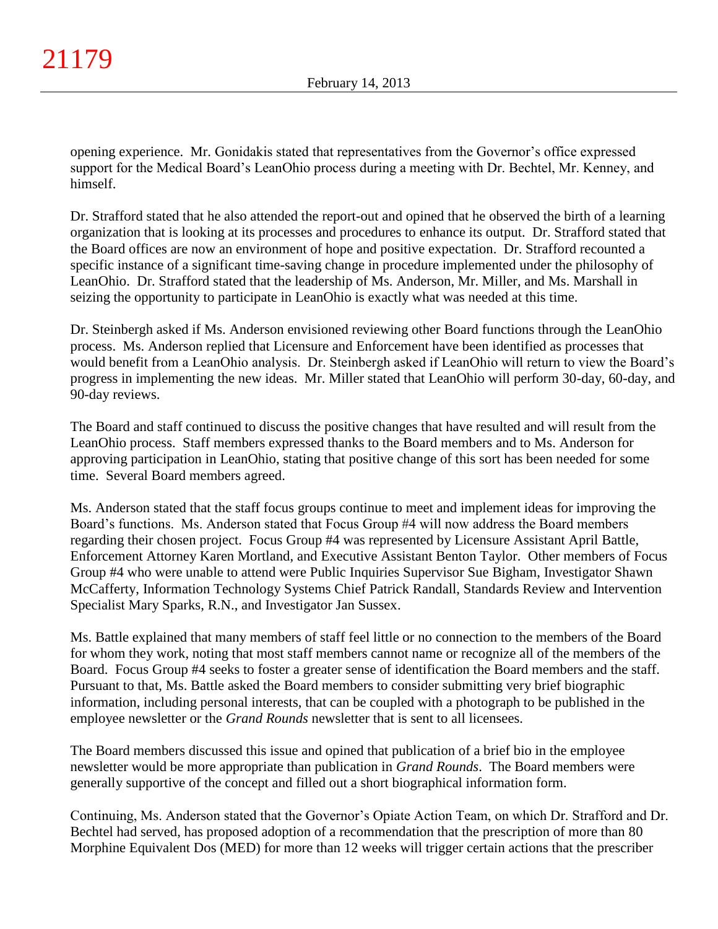opening experience. Mr. Gonidakis stated that representatives from the Governor's office expressed support for the Medical Board's LeanOhio process during a meeting with Dr. Bechtel, Mr. Kenney, and himself.

Dr. Strafford stated that he also attended the report-out and opined that he observed the birth of a learning organization that is looking at its processes and procedures to enhance its output. Dr. Strafford stated that the Board offices are now an environment of hope and positive expectation. Dr. Strafford recounted a specific instance of a significant time-saving change in procedure implemented under the philosophy of LeanOhio. Dr. Strafford stated that the leadership of Ms. Anderson, Mr. Miller, and Ms. Marshall in seizing the opportunity to participate in LeanOhio is exactly what was needed at this time.

Dr. Steinbergh asked if Ms. Anderson envisioned reviewing other Board functions through the LeanOhio process. Ms. Anderson replied that Licensure and Enforcement have been identified as processes that would benefit from a LeanOhio analysis. Dr. Steinbergh asked if LeanOhio will return to view the Board's progress in implementing the new ideas. Mr. Miller stated that LeanOhio will perform 30-day, 60-day, and 90-day reviews.

The Board and staff continued to discuss the positive changes that have resulted and will result from the LeanOhio process. Staff members expressed thanks to the Board members and to Ms. Anderson for approving participation in LeanOhio, stating that positive change of this sort has been needed for some time. Several Board members agreed.

Ms. Anderson stated that the staff focus groups continue to meet and implement ideas for improving the Board's functions. Ms. Anderson stated that Focus Group #4 will now address the Board members regarding their chosen project. Focus Group #4 was represented by Licensure Assistant April Battle, Enforcement Attorney Karen Mortland, and Executive Assistant Benton Taylor. Other members of Focus Group #4 who were unable to attend were Public Inquiries Supervisor Sue Bigham, Investigator Shawn McCafferty, Information Technology Systems Chief Patrick Randall, Standards Review and Intervention Specialist Mary Sparks, R.N., and Investigator Jan Sussex.

Ms. Battle explained that many members of staff feel little or no connection to the members of the Board for whom they work, noting that most staff members cannot name or recognize all of the members of the Board. Focus Group #4 seeks to foster a greater sense of identification the Board members and the staff. Pursuant to that, Ms. Battle asked the Board members to consider submitting very brief biographic information, including personal interests, that can be coupled with a photograph to be published in the employee newsletter or the *Grand Rounds* newsletter that is sent to all licensees.

The Board members discussed this issue and opined that publication of a brief bio in the employee newsletter would be more appropriate than publication in *Grand Rounds*. The Board members were generally supportive of the concept and filled out a short biographical information form.

Continuing, Ms. Anderson stated that the Governor's Opiate Action Team, on which Dr. Strafford and Dr. Bechtel had served, has proposed adoption of a recommendation that the prescription of more than 80 Morphine Equivalent Dos (MED) for more than 12 weeks will trigger certain actions that the prescriber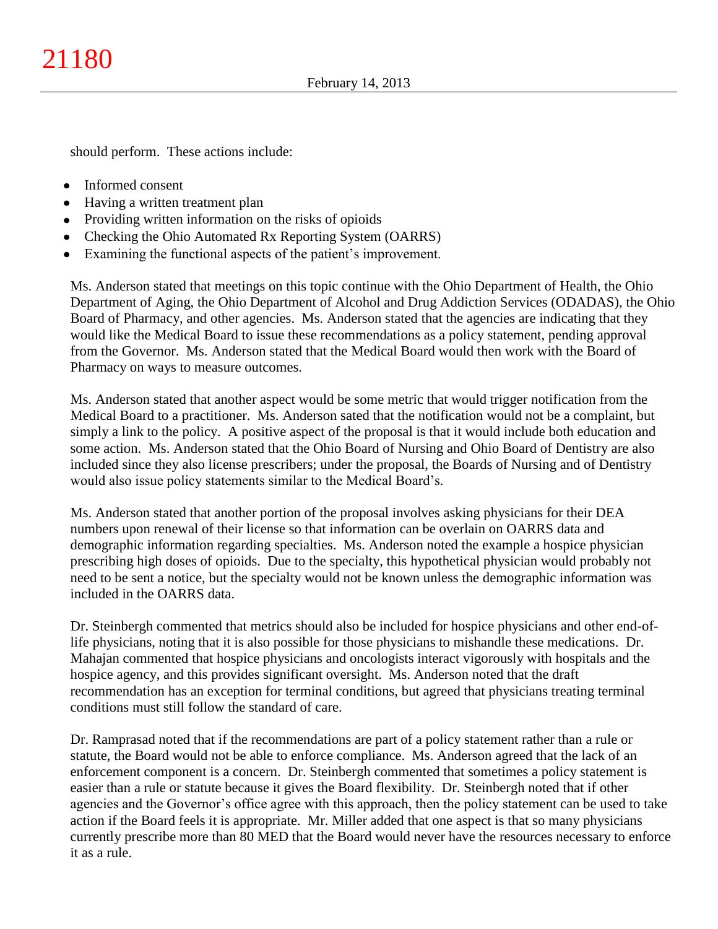should perform. These actions include:

- $\bullet$ Informed consent
- Having a written treatment plan
- Providing written information on the risks of opioids
- Checking the Ohio Automated Rx Reporting System (OARRS)
- Examining the functional aspects of the patient's improvement.

Ms. Anderson stated that meetings on this topic continue with the Ohio Department of Health, the Ohio Department of Aging, the Ohio Department of Alcohol and Drug Addiction Services (ODADAS), the Ohio Board of Pharmacy, and other agencies. Ms. Anderson stated that the agencies are indicating that they would like the Medical Board to issue these recommendations as a policy statement, pending approval from the Governor. Ms. Anderson stated that the Medical Board would then work with the Board of Pharmacy on ways to measure outcomes.

Ms. Anderson stated that another aspect would be some metric that would trigger notification from the Medical Board to a practitioner. Ms. Anderson sated that the notification would not be a complaint, but simply a link to the policy. A positive aspect of the proposal is that it would include both education and some action. Ms. Anderson stated that the Ohio Board of Nursing and Ohio Board of Dentistry are also included since they also license prescribers; under the proposal, the Boards of Nursing and of Dentistry would also issue policy statements similar to the Medical Board's.

Ms. Anderson stated that another portion of the proposal involves asking physicians for their DEA numbers upon renewal of their license so that information can be overlain on OARRS data and demographic information regarding specialties. Ms. Anderson noted the example a hospice physician prescribing high doses of opioids. Due to the specialty, this hypothetical physician would probably not need to be sent a notice, but the specialty would not be known unless the demographic information was included in the OARRS data.

Dr. Steinbergh commented that metrics should also be included for hospice physicians and other end-oflife physicians, noting that it is also possible for those physicians to mishandle these medications. Dr. Mahajan commented that hospice physicians and oncologists interact vigorously with hospitals and the hospice agency, and this provides significant oversight. Ms. Anderson noted that the draft recommendation has an exception for terminal conditions, but agreed that physicians treating terminal conditions must still follow the standard of care.

Dr. Ramprasad noted that if the recommendations are part of a policy statement rather than a rule or statute, the Board would not be able to enforce compliance. Ms. Anderson agreed that the lack of an enforcement component is a concern. Dr. Steinbergh commented that sometimes a policy statement is easier than a rule or statute because it gives the Board flexibility. Dr. Steinbergh noted that if other agencies and the Governor's office agree with this approach, then the policy statement can be used to take action if the Board feels it is appropriate. Mr. Miller added that one aspect is that so many physicians currently prescribe more than 80 MED that the Board would never have the resources necessary to enforce it as a rule.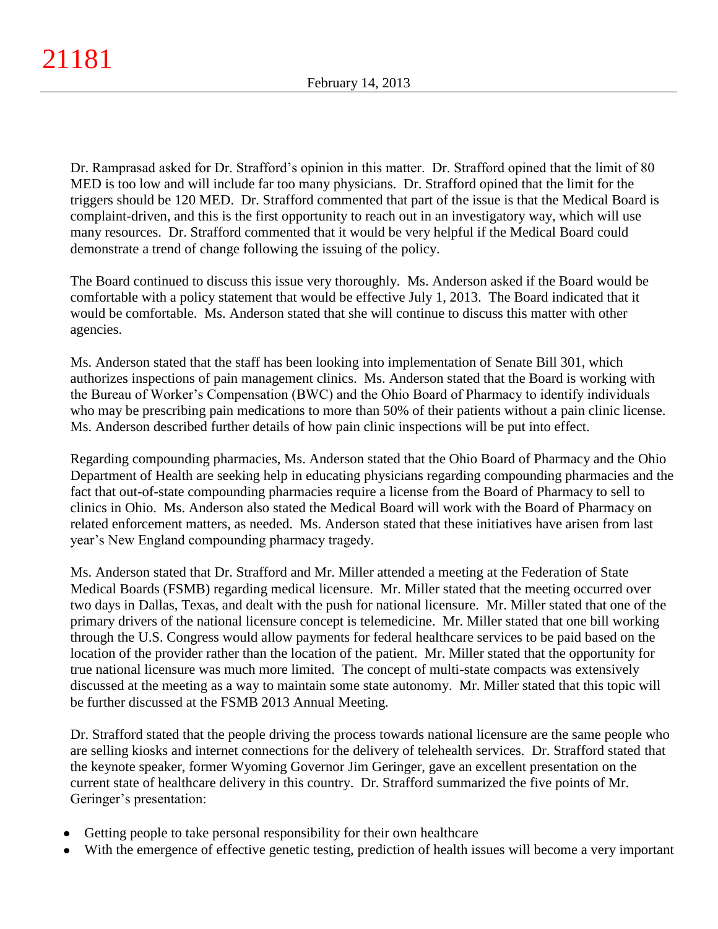Dr. Ramprasad asked for Dr. Strafford's opinion in this matter. Dr. Strafford opined that the limit of 80 MED is too low and will include far too many physicians. Dr. Strafford opined that the limit for the triggers should be 120 MED. Dr. Strafford commented that part of the issue is that the Medical Board is complaint-driven, and this is the first opportunity to reach out in an investigatory way, which will use many resources. Dr. Strafford commented that it would be very helpful if the Medical Board could demonstrate a trend of change following the issuing of the policy.

The Board continued to discuss this issue very thoroughly. Ms. Anderson asked if the Board would be comfortable with a policy statement that would be effective July 1, 2013. The Board indicated that it would be comfortable. Ms. Anderson stated that she will continue to discuss this matter with other agencies.

Ms. Anderson stated that the staff has been looking into implementation of Senate Bill 301, which authorizes inspections of pain management clinics. Ms. Anderson stated that the Board is working with the Bureau of Worker's Compensation (BWC) and the Ohio Board of Pharmacy to identify individuals who may be prescribing pain medications to more than 50% of their patients without a pain clinic license. Ms. Anderson described further details of how pain clinic inspections will be put into effect.

Regarding compounding pharmacies, Ms. Anderson stated that the Ohio Board of Pharmacy and the Ohio Department of Health are seeking help in educating physicians regarding compounding pharmacies and the fact that out-of-state compounding pharmacies require a license from the Board of Pharmacy to sell to clinics in Ohio. Ms. Anderson also stated the Medical Board will work with the Board of Pharmacy on related enforcement matters, as needed. Ms. Anderson stated that these initiatives have arisen from last year's New England compounding pharmacy tragedy.

Ms. Anderson stated that Dr. Strafford and Mr. Miller attended a meeting at the Federation of State Medical Boards (FSMB) regarding medical licensure. Mr. Miller stated that the meeting occurred over two days in Dallas, Texas, and dealt with the push for national licensure. Mr. Miller stated that one of the primary drivers of the national licensure concept is telemedicine. Mr. Miller stated that one bill working through the U.S. Congress would allow payments for federal healthcare services to be paid based on the location of the provider rather than the location of the patient. Mr. Miller stated that the opportunity for true national licensure was much more limited. The concept of multi-state compacts was extensively discussed at the meeting as a way to maintain some state autonomy. Mr. Miller stated that this topic will be further discussed at the FSMB 2013 Annual Meeting.

Dr. Strafford stated that the people driving the process towards national licensure are the same people who are selling kiosks and internet connections for the delivery of telehealth services. Dr. Strafford stated that the keynote speaker, former Wyoming Governor Jim Geringer, gave an excellent presentation on the current state of healthcare delivery in this country. Dr. Strafford summarized the five points of Mr. Geringer's presentation:

- Getting people to take personal responsibility for their own healthcare
- With the emergence of effective genetic testing, prediction of health issues will become a very important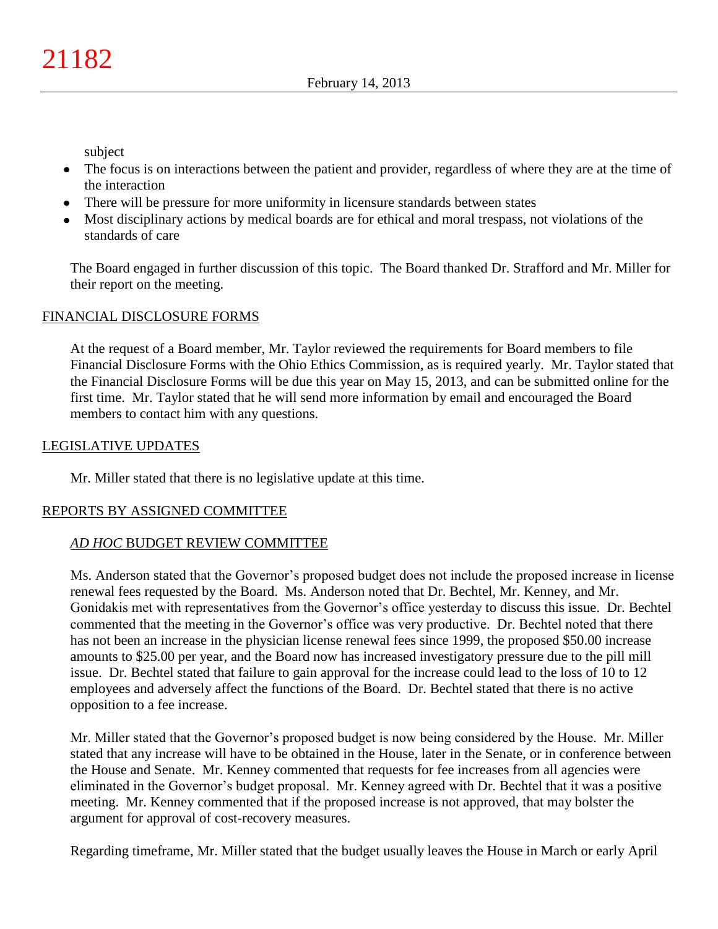subject

- The focus is on interactions between the patient and provider, regardless of where they are at the time of the interaction
- There will be pressure for more uniformity in licensure standards between states
- Most disciplinary actions by medical boards are for ethical and moral trespass, not violations of the standards of care

The Board engaged in further discussion of this topic. The Board thanked Dr. Strafford and Mr. Miller for their report on the meeting.

# FINANCIAL DISCLOSURE FORMS

At the request of a Board member, Mr. Taylor reviewed the requirements for Board members to file Financial Disclosure Forms with the Ohio Ethics Commission, as is required yearly. Mr. Taylor stated that the Financial Disclosure Forms will be due this year on May 15, 2013, and can be submitted online for the first time. Mr. Taylor stated that he will send more information by email and encouraged the Board members to contact him with any questions.

# LEGISLATIVE UPDATES

Mr. Miller stated that there is no legislative update at this time.

# REPORTS BY ASSIGNED COMMITTEE

# *AD HOC* BUDGET REVIEW COMMITTEE

Ms. Anderson stated that the Governor's proposed budget does not include the proposed increase in license renewal fees requested by the Board. Ms. Anderson noted that Dr. Bechtel, Mr. Kenney, and Mr. Gonidakis met with representatives from the Governor's office yesterday to discuss this issue. Dr. Bechtel commented that the meeting in the Governor's office was very productive. Dr. Bechtel noted that there has not been an increase in the physician license renewal fees since 1999, the proposed \$50.00 increase amounts to \$25.00 per year, and the Board now has increased investigatory pressure due to the pill mill issue. Dr. Bechtel stated that failure to gain approval for the increase could lead to the loss of 10 to 12 employees and adversely affect the functions of the Board. Dr. Bechtel stated that there is no active opposition to a fee increase.

Mr. Miller stated that the Governor's proposed budget is now being considered by the House. Mr. Miller stated that any increase will have to be obtained in the House, later in the Senate, or in conference between the House and Senate. Mr. Kenney commented that requests for fee increases from all agencies were eliminated in the Governor's budget proposal. Mr. Kenney agreed with Dr. Bechtel that it was a positive meeting. Mr. Kenney commented that if the proposed increase is not approved, that may bolster the argument for approval of cost-recovery measures.

Regarding timeframe, Mr. Miller stated that the budget usually leaves the House in March or early April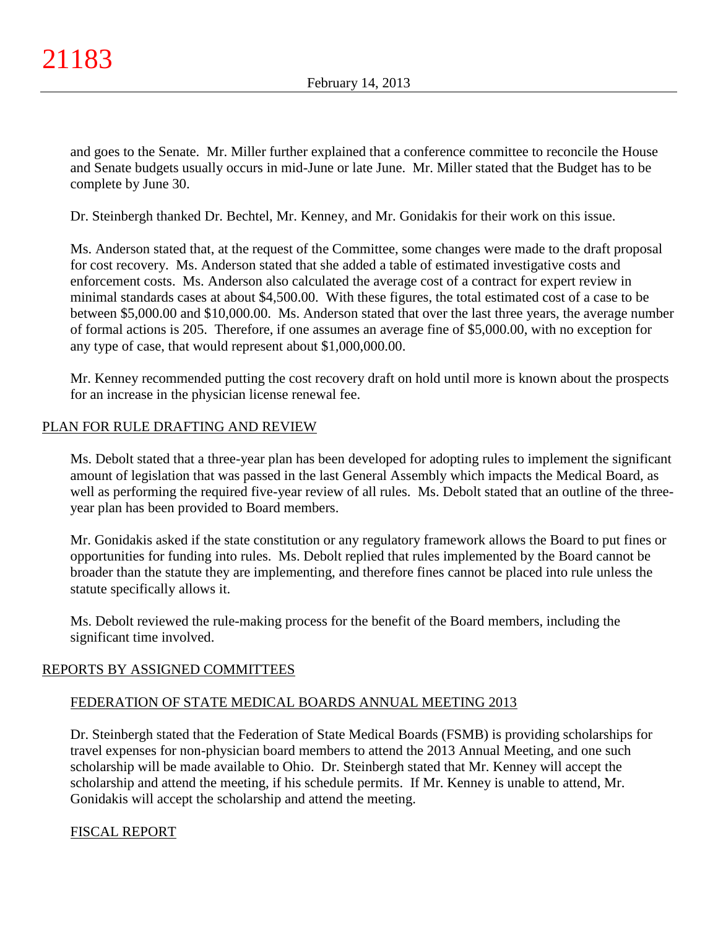and goes to the Senate. Mr. Miller further explained that a conference committee to reconcile the House and Senate budgets usually occurs in mid-June or late June. Mr. Miller stated that the Budget has to be complete by June 30.

Dr. Steinbergh thanked Dr. Bechtel, Mr. Kenney, and Mr. Gonidakis for their work on this issue.

Ms. Anderson stated that, at the request of the Committee, some changes were made to the draft proposal for cost recovery. Ms. Anderson stated that she added a table of estimated investigative costs and enforcement costs. Ms. Anderson also calculated the average cost of a contract for expert review in minimal standards cases at about \$4,500.00. With these figures, the total estimated cost of a case to be between \$5,000.00 and \$10,000.00. Ms. Anderson stated that over the last three years, the average number of formal actions is 205. Therefore, if one assumes an average fine of \$5,000.00, with no exception for any type of case, that would represent about \$1,000,000.00.

Mr. Kenney recommended putting the cost recovery draft on hold until more is known about the prospects for an increase in the physician license renewal fee.

# PLAN FOR RULE DRAFTING AND REVIEW

Ms. Debolt stated that a three-year plan has been developed for adopting rules to implement the significant amount of legislation that was passed in the last General Assembly which impacts the Medical Board, as well as performing the required five-year review of all rules. Ms. Debolt stated that an outline of the threeyear plan has been provided to Board members.

Mr. Gonidakis asked if the state constitution or any regulatory framework allows the Board to put fines or opportunities for funding into rules. Ms. Debolt replied that rules implemented by the Board cannot be broader than the statute they are implementing, and therefore fines cannot be placed into rule unless the statute specifically allows it.

Ms. Debolt reviewed the rule-making process for the benefit of the Board members, including the significant time involved.

# REPORTS BY ASSIGNED COMMITTEES

## FEDERATION OF STATE MEDICAL BOARDS ANNUAL MEETING 2013

Dr. Steinbergh stated that the Federation of State Medical Boards (FSMB) is providing scholarships for travel expenses for non-physician board members to attend the 2013 Annual Meeting, and one such scholarship will be made available to Ohio. Dr. Steinbergh stated that Mr. Kenney will accept the scholarship and attend the meeting, if his schedule permits. If Mr. Kenney is unable to attend, Mr. Gonidakis will accept the scholarship and attend the meeting.

## FISCAL REPORT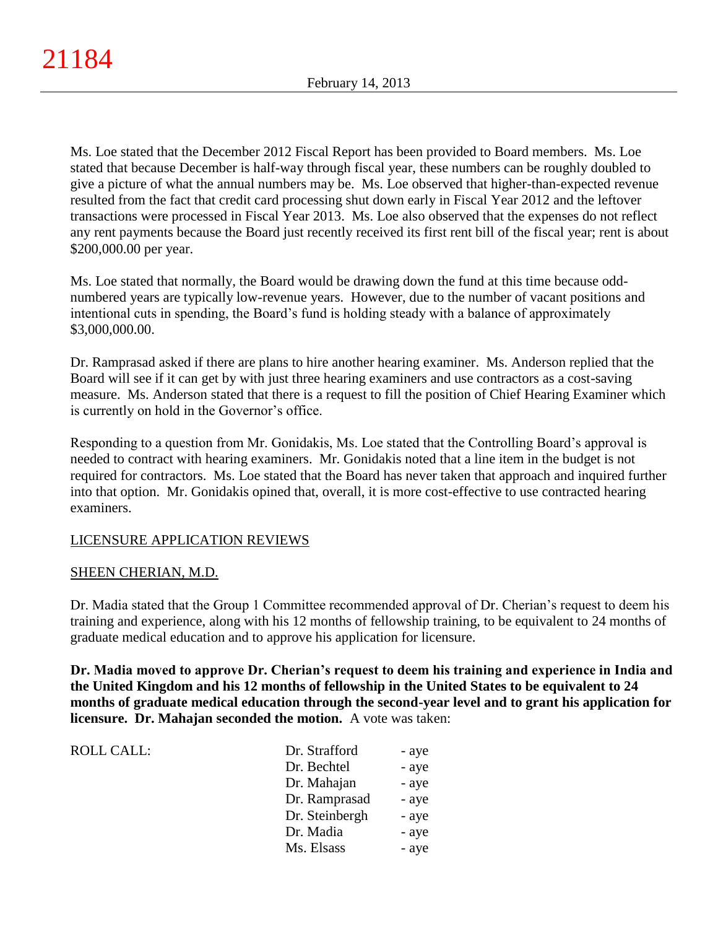Ms. Loe stated that the December 2012 Fiscal Report has been provided to Board members. Ms. Loe stated that because December is half-way through fiscal year, these numbers can be roughly doubled to give a picture of what the annual numbers may be. Ms. Loe observed that higher-than-expected revenue resulted from the fact that credit card processing shut down early in Fiscal Year 2012 and the leftover transactions were processed in Fiscal Year 2013. Ms. Loe also observed that the expenses do not reflect any rent payments because the Board just recently received its first rent bill of the fiscal year; rent is about \$200,000.00 per year.

Ms. Loe stated that normally, the Board would be drawing down the fund at this time because oddnumbered years are typically low-revenue years. However, due to the number of vacant positions and intentional cuts in spending, the Board's fund is holding steady with a balance of approximately \$3,000,000.00.

Dr. Ramprasad asked if there are plans to hire another hearing examiner. Ms. Anderson replied that the Board will see if it can get by with just three hearing examiners and use contractors as a cost-saving measure. Ms. Anderson stated that there is a request to fill the position of Chief Hearing Examiner which is currently on hold in the Governor's office.

Responding to a question from Mr. Gonidakis, Ms. Loe stated that the Controlling Board's approval is needed to contract with hearing examiners. Mr. Gonidakis noted that a line item in the budget is not required for contractors. Ms. Loe stated that the Board has never taken that approach and inquired further into that option. Mr. Gonidakis opined that, overall, it is more cost-effective to use contracted hearing examiners.

# LICENSURE APPLICATION REVIEWS

## SHEEN CHERIAN, M.D.

ROLL CALL:

Dr. Madia stated that the Group 1 Committee recommended approval of Dr. Cherian's request to deem his training and experience, along with his 12 months of fellowship training, to be equivalent to 24 months of graduate medical education and to approve his application for licensure.

**Dr. Madia moved to approve Dr. Cherian's request to deem his training and experience in India and the United Kingdom and his 12 months of fellowship in the United States to be equivalent to 24 months of graduate medical education through the second-year level and to grant his application for licensure. Dr. Mahajan seconded the motion.** A vote was taken:

| Dr. Strafford  | - aye |
|----------------|-------|
| Dr. Bechtel    | - aye |
| Dr. Mahajan    | - aye |
| Dr. Ramprasad  | - aye |
| Dr. Steinbergh | - aye |
| Dr. Madia      | - aye |
| Ms. Elsass     | - aye |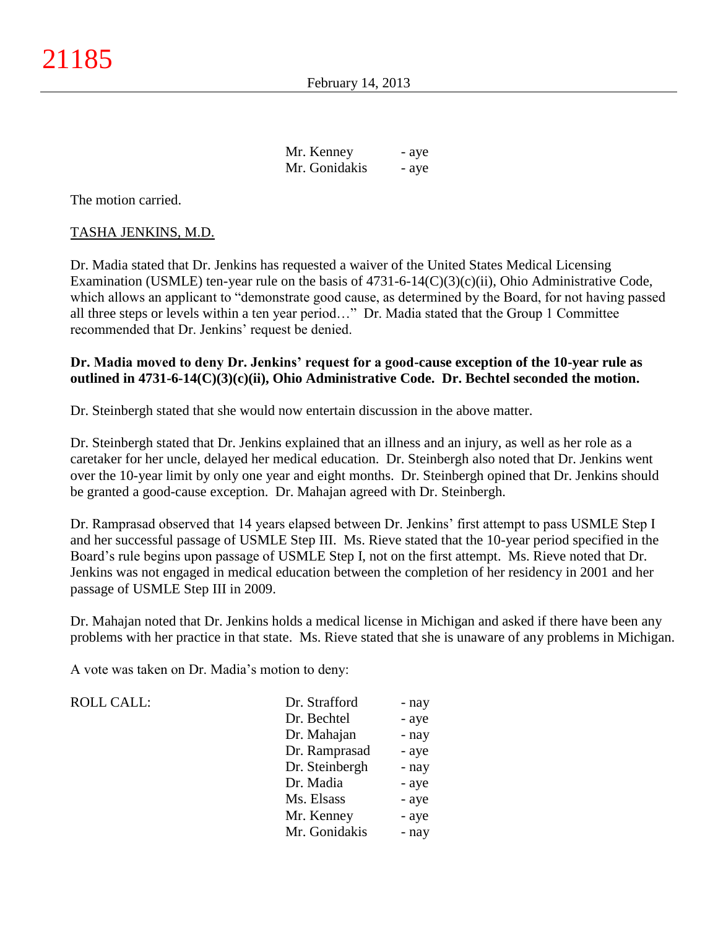| Mr. Kenney    | - aye |
|---------------|-------|
| Mr. Gonidakis | - aye |

The motion carried.

#### TASHA JENKINS, M.D.

Dr. Madia stated that Dr. Jenkins has requested a waiver of the United States Medical Licensing Examination (USMLE) ten-year rule on the basis of  $4731-6-14(C)(3)(c)(ii)$ , Ohio Administrative Code, which allows an applicant to "demonstrate good cause, as determined by the Board, for not having passed all three steps or levels within a ten year period…" Dr. Madia stated that the Group 1 Committee recommended that Dr. Jenkins' request be denied.

## **Dr. Madia moved to deny Dr. Jenkins' request for a good-cause exception of the 10-year rule as outlined in 4731-6-14(C)(3)(c)(ii), Ohio Administrative Code. Dr. Bechtel seconded the motion.**

Dr. Steinbergh stated that she would now entertain discussion in the above matter.

Dr. Steinbergh stated that Dr. Jenkins explained that an illness and an injury, as well as her role as a caretaker for her uncle, delayed her medical education. Dr. Steinbergh also noted that Dr. Jenkins went over the 10-year limit by only one year and eight months. Dr. Steinbergh opined that Dr. Jenkins should be granted a good-cause exception. Dr. Mahajan agreed with Dr. Steinbergh.

Dr. Ramprasad observed that 14 years elapsed between Dr. Jenkins' first attempt to pass USMLE Step I and her successful passage of USMLE Step III. Ms. Rieve stated that the 10-year period specified in the Board's rule begins upon passage of USMLE Step I, not on the first attempt. Ms. Rieve noted that Dr. Jenkins was not engaged in medical education between the completion of her residency in 2001 and her passage of USMLE Step III in 2009.

Dr. Mahajan noted that Dr. Jenkins holds a medical license in Michigan and asked if there have been any problems with her practice in that state. Ms. Rieve stated that she is unaware of any problems in Michigan.

A vote was taken on Dr. Madia's motion to deny:

ROLL CALL:

| Dr. Strafford  | - nay |
|----------------|-------|
| Dr. Bechtel    | - aye |
| Dr. Mahajan    | - nay |
| Dr. Ramprasad  | - aye |
| Dr. Steinbergh | - nay |
| Dr. Madia      | - aye |
| Ms. Elsass     | - aye |
| Mr. Kenney     | - aye |
| Mr. Gonidakis  | - nav |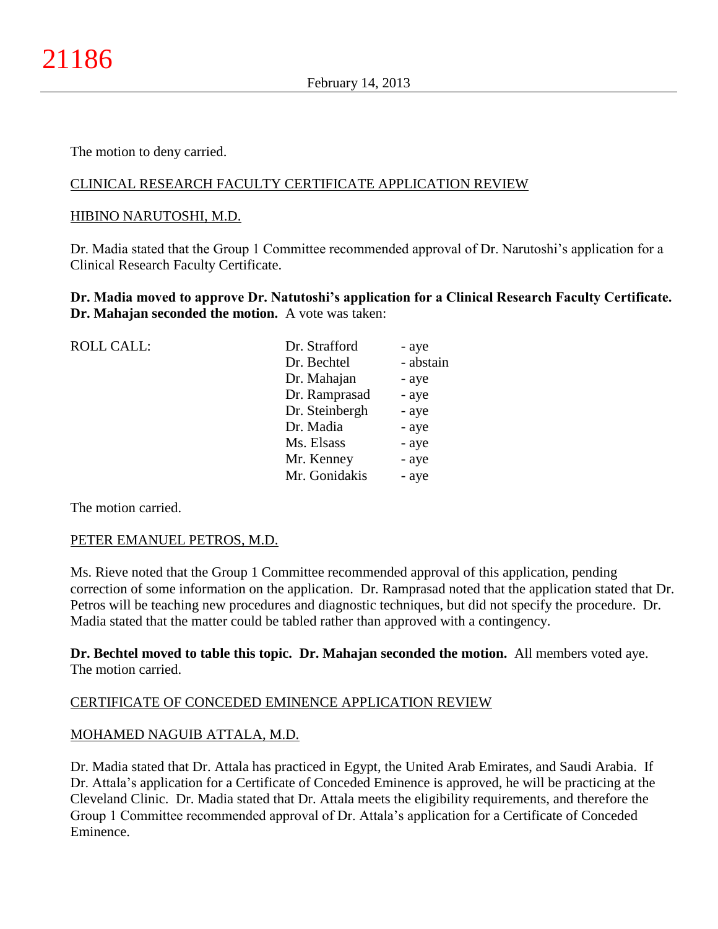The motion to deny carried.

# CLINICAL RESEARCH FACULTY CERTIFICATE APPLICATION REVIEW

#### HIBINO NARUTOSHI, M.D.

Dr. Madia stated that the Group 1 Committee recommended approval of Dr. Narutoshi's application for a Clinical Research Faculty Certificate.

**Dr. Madia moved to approve Dr. Natutoshi's application for a Clinical Research Faculty Certificate. Dr. Mahajan seconded the motion.** A vote was taken:

| <b>ROLL CALL:</b> | Dr. Strafford  | - aye     |
|-------------------|----------------|-----------|
|                   | Dr. Bechtel    | - abstain |
|                   | Dr. Mahajan    | - aye     |
|                   | Dr. Ramprasad  | - aye     |
|                   | Dr. Steinbergh | - aye     |
|                   | Dr. Madia      | - aye     |
|                   | Ms. Elsass     | - aye     |
|                   | Mr. Kenney     | - aye     |
|                   | Mr. Gonidakis  | - aye     |
|                   |                |           |

The motion carried.

#### PETER EMANUEL PETROS, M.D.

Ms. Rieve noted that the Group 1 Committee recommended approval of this application, pending correction of some information on the application. Dr. Ramprasad noted that the application stated that Dr. Petros will be teaching new procedures and diagnostic techniques, but did not specify the procedure. Dr. Madia stated that the matter could be tabled rather than approved with a contingency.

**Dr. Bechtel moved to table this topic. Dr. Mahajan seconded the motion.** All members voted aye. The motion carried.

## CERTIFICATE OF CONCEDED EMINENCE APPLICATION REVIEW

## MOHAMED NAGUIB ATTALA, M.D.

Dr. Madia stated that Dr. Attala has practiced in Egypt, the United Arab Emirates, and Saudi Arabia. If Dr. Attala's application for a Certificate of Conceded Eminence is approved, he will be practicing at the Cleveland Clinic. Dr. Madia stated that Dr. Attala meets the eligibility requirements, and therefore the Group 1 Committee recommended approval of Dr. Attala's application for a Certificate of Conceded Eminence.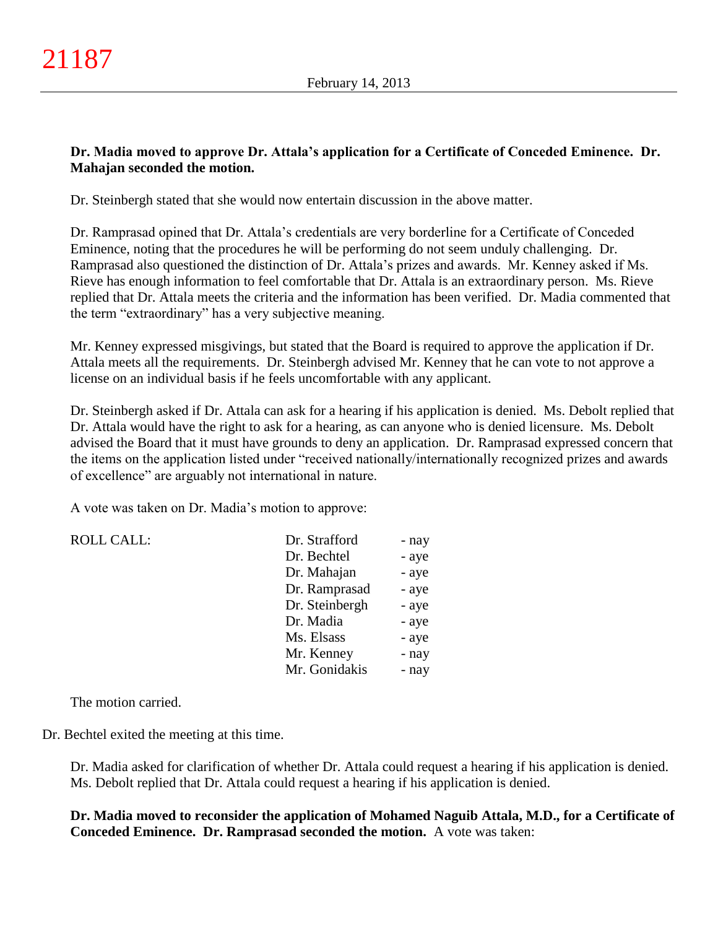# **Dr. Madia moved to approve Dr. Attala's application for a Certificate of Conceded Eminence. Dr. Mahajan seconded the motion.**

Dr. Steinbergh stated that she would now entertain discussion in the above matter.

Dr. Ramprasad opined that Dr. Attala's credentials are very borderline for a Certificate of Conceded Eminence, noting that the procedures he will be performing do not seem unduly challenging. Dr. Ramprasad also questioned the distinction of Dr. Attala's prizes and awards. Mr. Kenney asked if Ms. Rieve has enough information to feel comfortable that Dr. Attala is an extraordinary person. Ms. Rieve replied that Dr. Attala meets the criteria and the information has been verified. Dr. Madia commented that the term "extraordinary" has a very subjective meaning.

Mr. Kenney expressed misgivings, but stated that the Board is required to approve the application if Dr. Attala meets all the requirements. Dr. Steinbergh advised Mr. Kenney that he can vote to not approve a license on an individual basis if he feels uncomfortable with any applicant.

Dr. Steinbergh asked if Dr. Attala can ask for a hearing if his application is denied. Ms. Debolt replied that Dr. Attala would have the right to ask for a hearing, as can anyone who is denied licensure. Ms. Debolt advised the Board that it must have grounds to deny an application. Dr. Ramprasad expressed concern that the items on the application listed under "received nationally/internationally recognized prizes and awards of excellence" are arguably not international in nature.

A vote was taken on Dr. Madia's motion to approve:

| <b>ROLL CALL:</b> | Dr. Strafford  | - nay |
|-------------------|----------------|-------|
|                   | Dr. Bechtel    | - aye |
|                   | Dr. Mahajan    | - aye |
|                   | Dr. Ramprasad  | - aye |
|                   | Dr. Steinbergh | - aye |
|                   | Dr. Madia      | - aye |
|                   | Ms. Elsass     | - aye |
|                   | Mr. Kenney     | - nay |
|                   | Mr. Gonidakis  | - nay |

The motion carried.

Dr. Bechtel exited the meeting at this time.

Dr. Madia asked for clarification of whether Dr. Attala could request a hearing if his application is denied. Ms. Debolt replied that Dr. Attala could request a hearing if his application is denied.

**Dr. Madia moved to reconsider the application of Mohamed Naguib Attala, M.D., for a Certificate of Conceded Eminence. Dr. Ramprasad seconded the motion.** A vote was taken: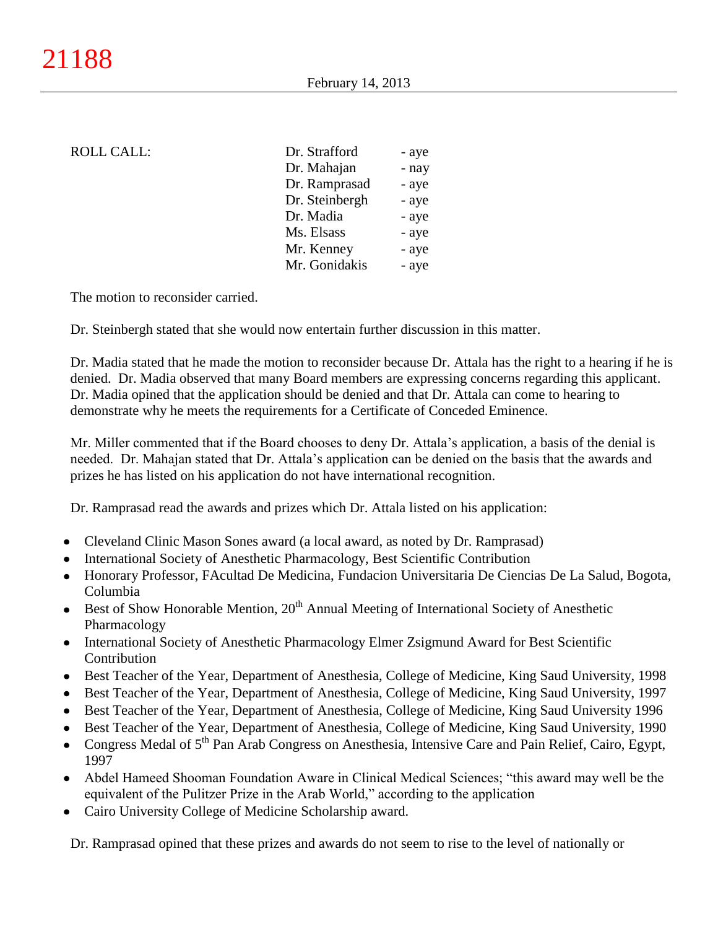#### ROLL CALL:

| Dr. Strafford  | - aye |
|----------------|-------|
| Dr. Mahajan    | - nay |
| Dr. Ramprasad  | - aye |
| Dr. Steinbergh | - aye |
| Dr. Madia      | - aye |
| Ms. Elsass     | - aye |
| Mr. Kenney     | - aye |
| Mr. Gonidakis  | - aye |

The motion to reconsider carried.

Dr. Steinbergh stated that she would now entertain further discussion in this matter.

Dr. Madia stated that he made the motion to reconsider because Dr. Attala has the right to a hearing if he is denied. Dr. Madia observed that many Board members are expressing concerns regarding this applicant. Dr. Madia opined that the application should be denied and that Dr. Attala can come to hearing to demonstrate why he meets the requirements for a Certificate of Conceded Eminence.

Mr. Miller commented that if the Board chooses to deny Dr. Attala's application, a basis of the denial is needed. Dr. Mahajan stated that Dr. Attala's application can be denied on the basis that the awards and prizes he has listed on his application do not have international recognition.

Dr. Ramprasad read the awards and prizes which Dr. Attala listed on his application:

- Cleveland Clinic Mason Sones award (a local award, as noted by Dr. Ramprasad)
- International Society of Anesthetic Pharmacology, Best Scientific Contribution
- Honorary Professor, FAcultad De Medicina, Fundacion Universitaria De Ciencias De La Salud, Bogota, Columbia
- Best of Show Honorable Mention,  $20<sup>th</sup>$  Annual Meeting of International Society of Anesthetic Pharmacology
- International Society of Anesthetic Pharmacology Elmer Zsigmund Award for Best Scientific Contribution
- Best Teacher of the Year, Department of Anesthesia, College of Medicine, King Saud University, 1998
- Best Teacher of the Year, Department of Anesthesia, College of Medicine, King Saud University, 1997
- Best Teacher of the Year, Department of Anesthesia, College of Medicine, King Saud University 1996
- Best Teacher of the Year, Department of Anesthesia, College of Medicine, King Saud University, 1990
- Congress Medal of 5<sup>th</sup> Pan Arab Congress on Anesthesia, Intensive Care and Pain Relief, Cairo, Egypt, 1997
- Abdel Hameed Shooman Foundation Aware in Clinical Medical Sciences; "this award may well be the  $\bullet$ equivalent of the Pulitzer Prize in the Arab World," according to the application
- Cairo University College of Medicine Scholarship award.

Dr. Ramprasad opined that these prizes and awards do not seem to rise to the level of nationally or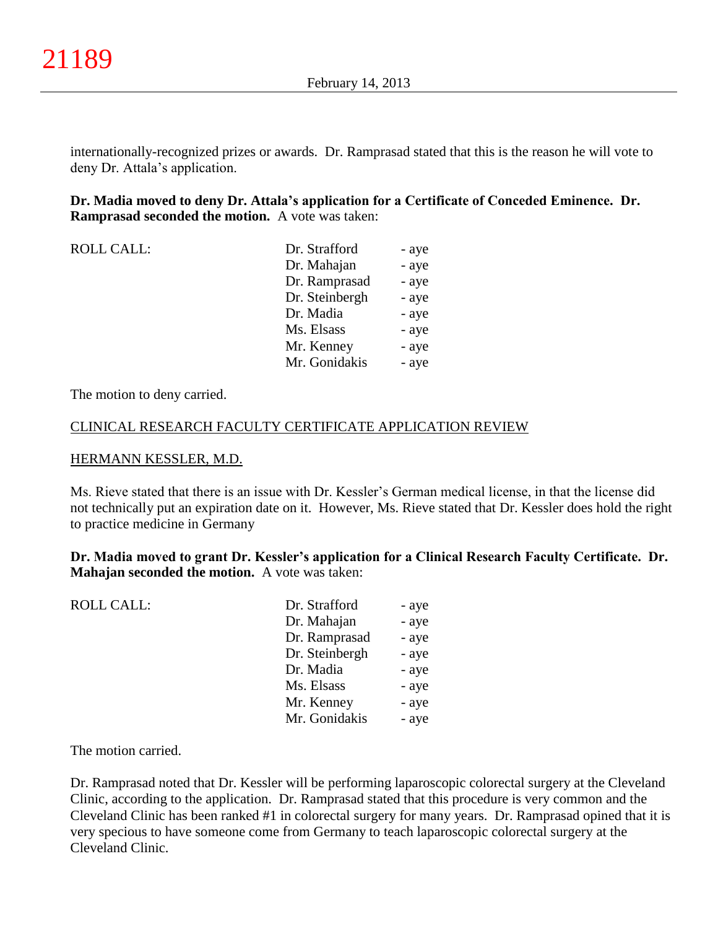internationally-recognized prizes or awards. Dr. Ramprasad stated that this is the reason he will vote to deny Dr. Attala's application.

**Dr. Madia moved to deny Dr. Attala's application for a Certificate of Conceded Eminence. Dr. Ramprasad seconded the motion.** A vote was taken:

| <b>ROLL CALL:</b> | Dr. Strafford  | - aye |
|-------------------|----------------|-------|
|                   | Dr. Mahajan    | - aye |
|                   | Dr. Ramprasad  | - aye |
|                   | Dr. Steinbergh | - aye |
|                   | Dr. Madia      | - aye |
|                   | Ms. Elsass     | - aye |
|                   | Mr. Kenney     | - aye |
|                   | Mr. Gonidakis  | - aye |

The motion to deny carried.

# CLINICAL RESEARCH FACULTY CERTIFICATE APPLICATION REVIEW

#### HERMANN KESSLER, M.D.

Ms. Rieve stated that there is an issue with Dr. Kessler's German medical license, in that the license did not technically put an expiration date on it. However, Ms. Rieve stated that Dr. Kessler does hold the right to practice medicine in Germany

**Dr. Madia moved to grant Dr. Kessler's application for a Clinical Research Faculty Certificate. Dr. Mahajan seconded the motion.** A vote was taken:

| <b>ROLL CALL:</b> | Dr. Strafford  | - aye |
|-------------------|----------------|-------|
|                   | Dr. Mahajan    | - aye |
|                   | Dr. Ramprasad  | - aye |
|                   | Dr. Steinbergh | - aye |
|                   | Dr. Madia      | - aye |
|                   | Ms. Elsass     | - aye |
|                   | Mr. Kenney     | - aye |
|                   | Mr. Gonidakis  | - aye |

The motion carried.

Dr. Ramprasad noted that Dr. Kessler will be performing laparoscopic colorectal surgery at the Cleveland Clinic, according to the application. Dr. Ramprasad stated that this procedure is very common and the Cleveland Clinic has been ranked #1 in colorectal surgery for many years. Dr. Ramprasad opined that it is very specious to have someone come from Germany to teach laparoscopic colorectal surgery at the Cleveland Clinic.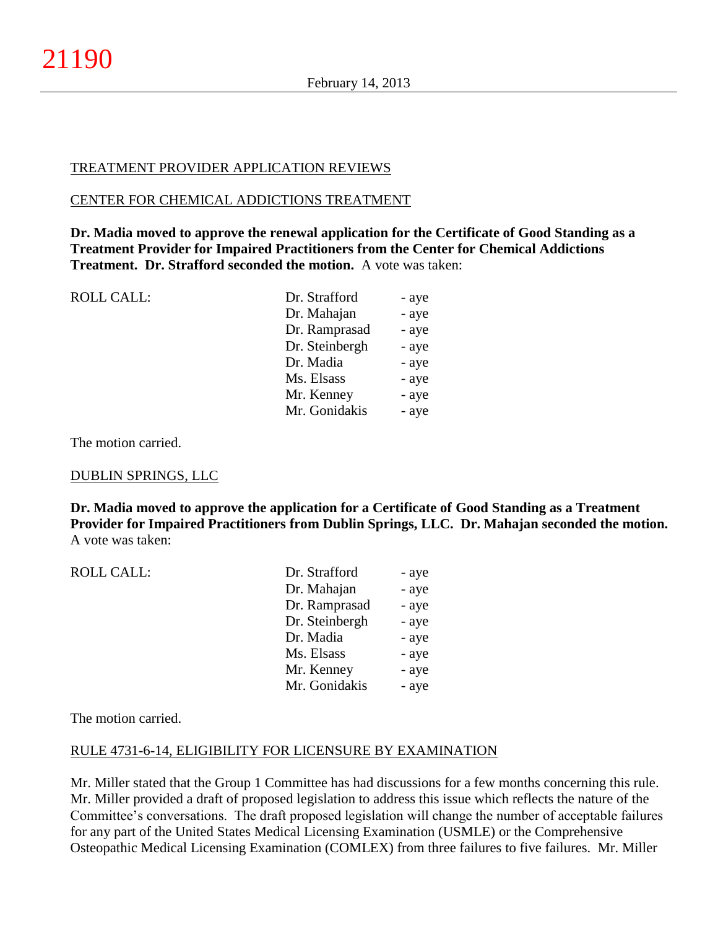# TREATMENT PROVIDER APPLICATION REVIEWS

#### CENTER FOR CHEMICAL ADDICTIONS TREATMENT

**Dr. Madia moved to approve the renewal application for the Certificate of Good Standing as a Treatment Provider for Impaired Practitioners from the Center for Chemical Addictions Treatment. Dr. Strafford seconded the motion.** A vote was taken:

| - aye |
|-------|
| - aye |
| - aye |
| - aye |
| - aye |
| - aye |
| - aye |
| - aye |
|       |

The motion carried.

## DUBLIN SPRINGS, LLC

**Dr. Madia moved to approve the application for a Certificate of Good Standing as a Treatment Provider for Impaired Practitioners from Dublin Springs, LLC. Dr. Mahajan seconded the motion.** A vote was taken:

| <b>ROLL CALL:</b> | Dr. Strafford  | - aye |
|-------------------|----------------|-------|
|                   | Dr. Mahajan    | - aye |
|                   | Dr. Ramprasad  | - aye |
|                   | Dr. Steinbergh | - aye |
|                   | Dr. Madia      | - aye |
|                   | Ms. Elsass     | - aye |
|                   | Mr. Kenney     | - aye |
|                   | Mr. Gonidakis  | - aye |

The motion carried.

## RULE 4731-6-14, ELIGIBILITY FOR LICENSURE BY EXAMINATION

Mr. Miller stated that the Group 1 Committee has had discussions for a few months concerning this rule. Mr. Miller provided a draft of proposed legislation to address this issue which reflects the nature of the Committee's conversations. The draft proposed legislation will change the number of acceptable failures for any part of the United States Medical Licensing Examination (USMLE) or the Comprehensive Osteopathic Medical Licensing Examination (COMLEX) from three failures to five failures. Mr. Miller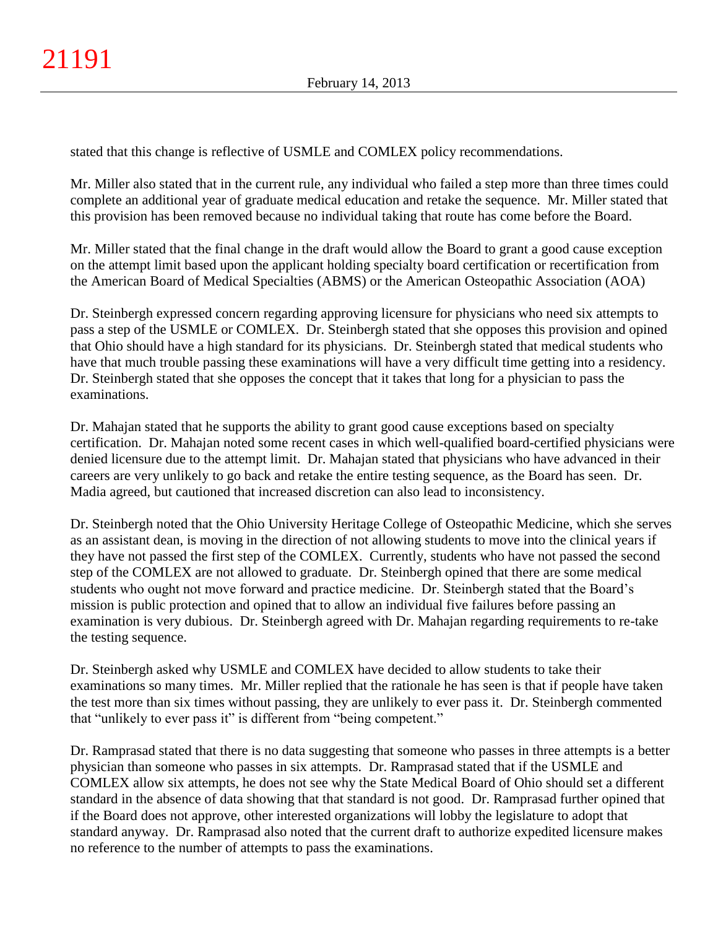stated that this change is reflective of USMLE and COMLEX policy recommendations.

Mr. Miller also stated that in the current rule, any individual who failed a step more than three times could complete an additional year of graduate medical education and retake the sequence. Mr. Miller stated that this provision has been removed because no individual taking that route has come before the Board.

Mr. Miller stated that the final change in the draft would allow the Board to grant a good cause exception on the attempt limit based upon the applicant holding specialty board certification or recertification from the American Board of Medical Specialties (ABMS) or the American Osteopathic Association (AOA)

Dr. Steinbergh expressed concern regarding approving licensure for physicians who need six attempts to pass a step of the USMLE or COMLEX. Dr. Steinbergh stated that she opposes this provision and opined that Ohio should have a high standard for its physicians. Dr. Steinbergh stated that medical students who have that much trouble passing these examinations will have a very difficult time getting into a residency. Dr. Steinbergh stated that she opposes the concept that it takes that long for a physician to pass the examinations.

Dr. Mahajan stated that he supports the ability to grant good cause exceptions based on specialty certification. Dr. Mahajan noted some recent cases in which well-qualified board-certified physicians were denied licensure due to the attempt limit. Dr. Mahajan stated that physicians who have advanced in their careers are very unlikely to go back and retake the entire testing sequence, as the Board has seen. Dr. Madia agreed, but cautioned that increased discretion can also lead to inconsistency.

Dr. Steinbergh noted that the Ohio University Heritage College of Osteopathic Medicine, which she serves as an assistant dean, is moving in the direction of not allowing students to move into the clinical years if they have not passed the first step of the COMLEX. Currently, students who have not passed the second step of the COMLEX are not allowed to graduate. Dr. Steinbergh opined that there are some medical students who ought not move forward and practice medicine. Dr. Steinbergh stated that the Board's mission is public protection and opined that to allow an individual five failures before passing an examination is very dubious. Dr. Steinbergh agreed with Dr. Mahajan regarding requirements to re-take the testing sequence.

Dr. Steinbergh asked why USMLE and COMLEX have decided to allow students to take their examinations so many times. Mr. Miller replied that the rationale he has seen is that if people have taken the test more than six times without passing, they are unlikely to ever pass it. Dr. Steinbergh commented that "unlikely to ever pass it" is different from "being competent."

Dr. Ramprasad stated that there is no data suggesting that someone who passes in three attempts is a better physician than someone who passes in six attempts. Dr. Ramprasad stated that if the USMLE and COMLEX allow six attempts, he does not see why the State Medical Board of Ohio should set a different standard in the absence of data showing that that standard is not good. Dr. Ramprasad further opined that if the Board does not approve, other interested organizations will lobby the legislature to adopt that standard anyway. Dr. Ramprasad also noted that the current draft to authorize expedited licensure makes no reference to the number of attempts to pass the examinations.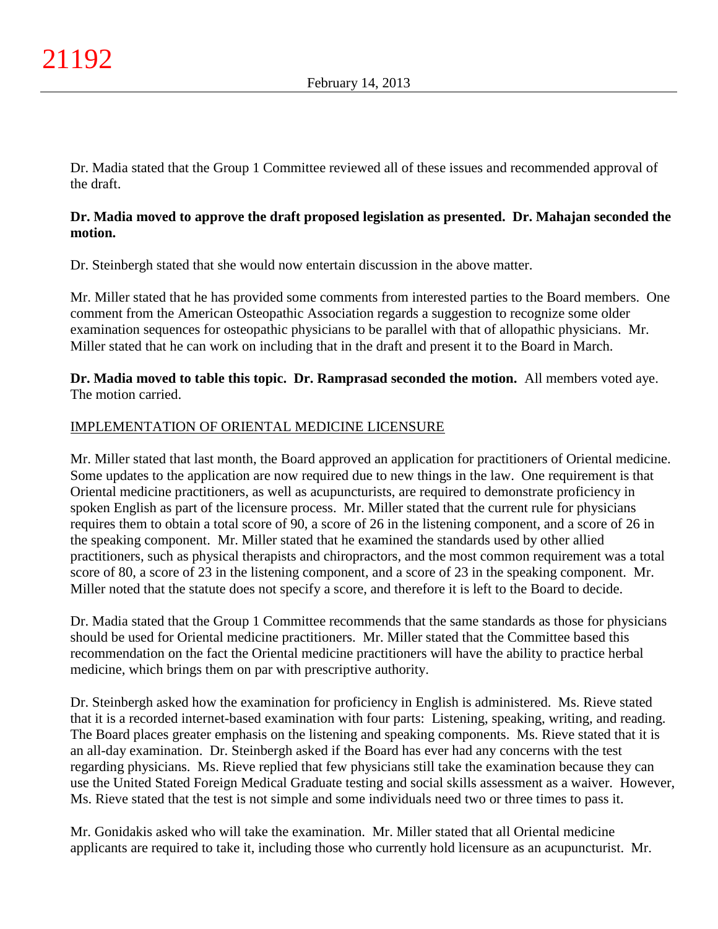Dr. Madia stated that the Group 1 Committee reviewed all of these issues and recommended approval of the draft.

# **Dr. Madia moved to approve the draft proposed legislation as presented. Dr. Mahajan seconded the motion.**

Dr. Steinbergh stated that she would now entertain discussion in the above matter.

Mr. Miller stated that he has provided some comments from interested parties to the Board members. One comment from the American Osteopathic Association regards a suggestion to recognize some older examination sequences for osteopathic physicians to be parallel with that of allopathic physicians. Mr. Miller stated that he can work on including that in the draft and present it to the Board in March.

# **Dr. Madia moved to table this topic. Dr. Ramprasad seconded the motion.** All members voted aye. The motion carried.

# IMPLEMENTATION OF ORIENTAL MEDICINE LICENSURE

Mr. Miller stated that last month, the Board approved an application for practitioners of Oriental medicine. Some updates to the application are now required due to new things in the law. One requirement is that Oriental medicine practitioners, as well as acupuncturists, are required to demonstrate proficiency in spoken English as part of the licensure process. Mr. Miller stated that the current rule for physicians requires them to obtain a total score of 90, a score of 26 in the listening component, and a score of 26 in the speaking component. Mr. Miller stated that he examined the standards used by other allied practitioners, such as physical therapists and chiropractors, and the most common requirement was a total score of 80, a score of 23 in the listening component, and a score of 23 in the speaking component. Mr. Miller noted that the statute does not specify a score, and therefore it is left to the Board to decide.

Dr. Madia stated that the Group 1 Committee recommends that the same standards as those for physicians should be used for Oriental medicine practitioners. Mr. Miller stated that the Committee based this recommendation on the fact the Oriental medicine practitioners will have the ability to practice herbal medicine, which brings them on par with prescriptive authority.

Dr. Steinbergh asked how the examination for proficiency in English is administered. Ms. Rieve stated that it is a recorded internet-based examination with four parts: Listening, speaking, writing, and reading. The Board places greater emphasis on the listening and speaking components. Ms. Rieve stated that it is an all-day examination. Dr. Steinbergh asked if the Board has ever had any concerns with the test regarding physicians. Ms. Rieve replied that few physicians still take the examination because they can use the United Stated Foreign Medical Graduate testing and social skills assessment as a waiver. However, Ms. Rieve stated that the test is not simple and some individuals need two or three times to pass it.

Mr. Gonidakis asked who will take the examination. Mr. Miller stated that all Oriental medicine applicants are required to take it, including those who currently hold licensure as an acupuncturist. Mr.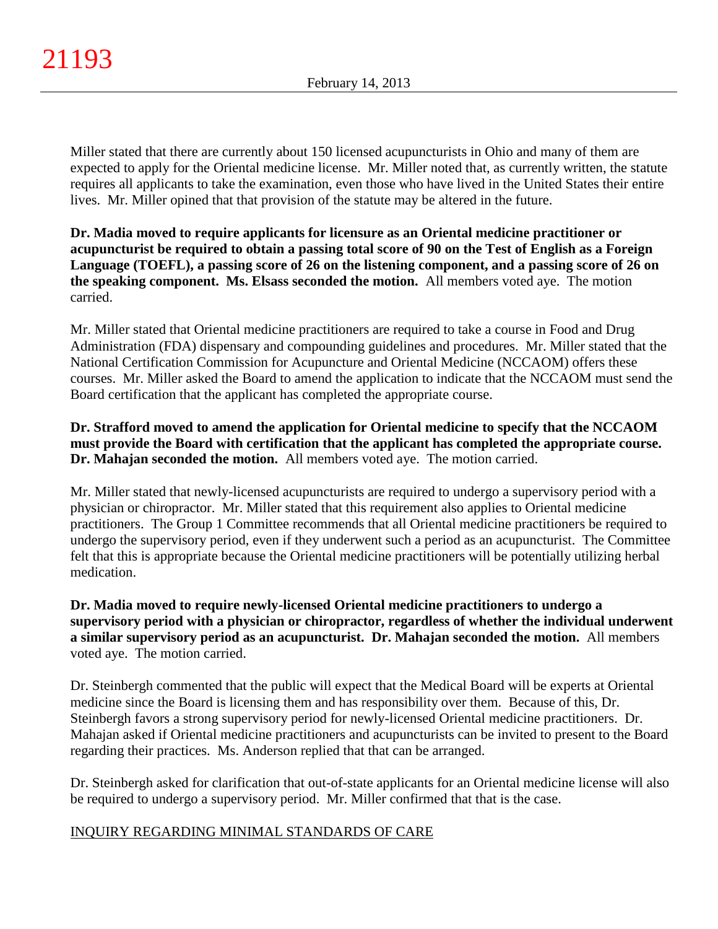Miller stated that there are currently about 150 licensed acupuncturists in Ohio and many of them are expected to apply for the Oriental medicine license. Mr. Miller noted that, as currently written, the statute requires all applicants to take the examination, even those who have lived in the United States their entire lives. Mr. Miller opined that that provision of the statute may be altered in the future.

**Dr. Madia moved to require applicants for licensure as an Oriental medicine practitioner or acupuncturist be required to obtain a passing total score of 90 on the Test of English as a Foreign Language (TOEFL), a passing score of 26 on the listening component, and a passing score of 26 on the speaking component. Ms. Elsass seconded the motion.** All members voted aye. The motion carried.

Mr. Miller stated that Oriental medicine practitioners are required to take a course in Food and Drug Administration (FDA) dispensary and compounding guidelines and procedures. Mr. Miller stated that the National Certification Commission for Acupuncture and Oriental Medicine (NCCAOM) offers these courses. Mr. Miller asked the Board to amend the application to indicate that the NCCAOM must send the Board certification that the applicant has completed the appropriate course.

# **Dr. Strafford moved to amend the application for Oriental medicine to specify that the NCCAOM must provide the Board with certification that the applicant has completed the appropriate course. Dr. Mahajan seconded the motion.** All members voted aye. The motion carried.

Mr. Miller stated that newly-licensed acupuncturists are required to undergo a supervisory period with a physician or chiropractor. Mr. Miller stated that this requirement also applies to Oriental medicine practitioners. The Group 1 Committee recommends that all Oriental medicine practitioners be required to undergo the supervisory period, even if they underwent such a period as an acupuncturist. The Committee felt that this is appropriate because the Oriental medicine practitioners will be potentially utilizing herbal medication.

# **Dr. Madia moved to require newly-licensed Oriental medicine practitioners to undergo a supervisory period with a physician or chiropractor, regardless of whether the individual underwent a similar supervisory period as an acupuncturist. Dr. Mahajan seconded the motion.** All members voted aye. The motion carried.

Dr. Steinbergh commented that the public will expect that the Medical Board will be experts at Oriental medicine since the Board is licensing them and has responsibility over them. Because of this, Dr. Steinbergh favors a strong supervisory period for newly-licensed Oriental medicine practitioners. Dr. Mahajan asked if Oriental medicine practitioners and acupuncturists can be invited to present to the Board regarding their practices. Ms. Anderson replied that that can be arranged.

Dr. Steinbergh asked for clarification that out-of-state applicants for an Oriental medicine license will also be required to undergo a supervisory period. Mr. Miller confirmed that that is the case.

# INQUIRY REGARDING MINIMAL STANDARDS OF CARE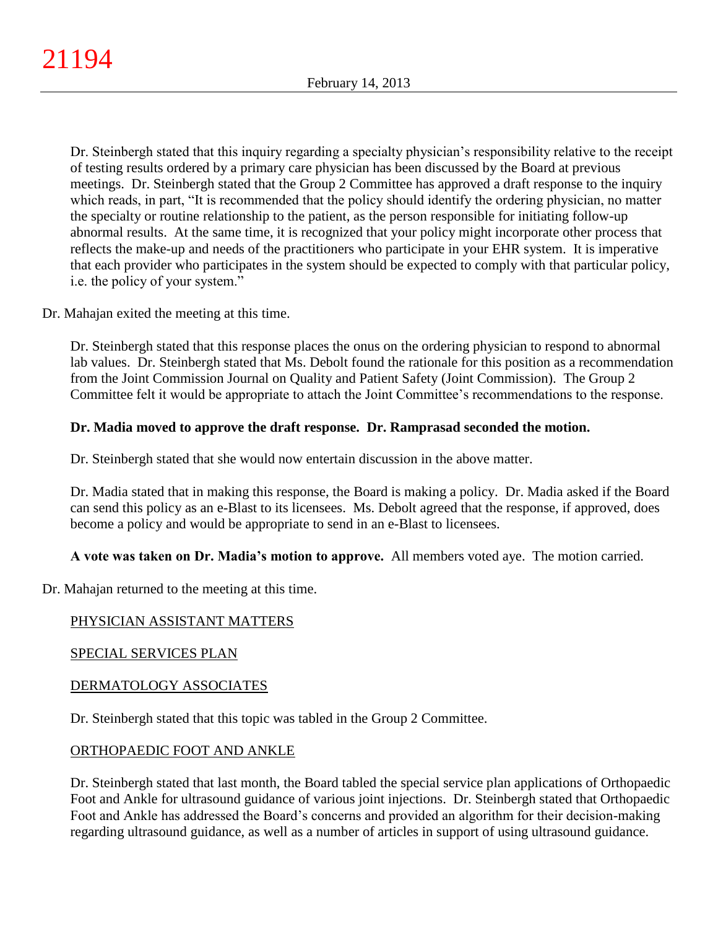Dr. Steinbergh stated that this inquiry regarding a specialty physician's responsibility relative to the receipt of testing results ordered by a primary care physician has been discussed by the Board at previous meetings. Dr. Steinbergh stated that the Group 2 Committee has approved a draft response to the inquiry which reads, in part, "It is recommended that the policy should identify the ordering physician, no matter the specialty or routine relationship to the patient, as the person responsible for initiating follow-up abnormal results. At the same time, it is recognized that your policy might incorporate other process that reflects the make-up and needs of the practitioners who participate in your EHR system. It is imperative that each provider who participates in the system should be expected to comply with that particular policy, i.e. the policy of your system."

Dr. Mahajan exited the meeting at this time.

Dr. Steinbergh stated that this response places the onus on the ordering physician to respond to abnormal lab values. Dr. Steinbergh stated that Ms. Debolt found the rationale for this position as a recommendation from the Joint Commission Journal on Quality and Patient Safety (Joint Commission). The Group 2 Committee felt it would be appropriate to attach the Joint Committee's recommendations to the response.

# **Dr. Madia moved to approve the draft response. Dr. Ramprasad seconded the motion.**

Dr. Steinbergh stated that she would now entertain discussion in the above matter.

Dr. Madia stated that in making this response, the Board is making a policy. Dr. Madia asked if the Board can send this policy as an e-Blast to its licensees. Ms. Debolt agreed that the response, if approved, does become a policy and would be appropriate to send in an e-Blast to licensees.

**A vote was taken on Dr. Madia's motion to approve.** All members voted aye. The motion carried.

Dr. Mahajan returned to the meeting at this time.

# PHYSICIAN ASSISTANT MATTERS

## SPECIAL SERVICES PLAN

## DERMATOLOGY ASSOCIATES

Dr. Steinbergh stated that this topic was tabled in the Group 2 Committee.

## ORTHOPAEDIC FOOT AND ANKLE

Dr. Steinbergh stated that last month, the Board tabled the special service plan applications of Orthopaedic Foot and Ankle for ultrasound guidance of various joint injections. Dr. Steinbergh stated that Orthopaedic Foot and Ankle has addressed the Board's concerns and provided an algorithm for their decision-making regarding ultrasound guidance, as well as a number of articles in support of using ultrasound guidance.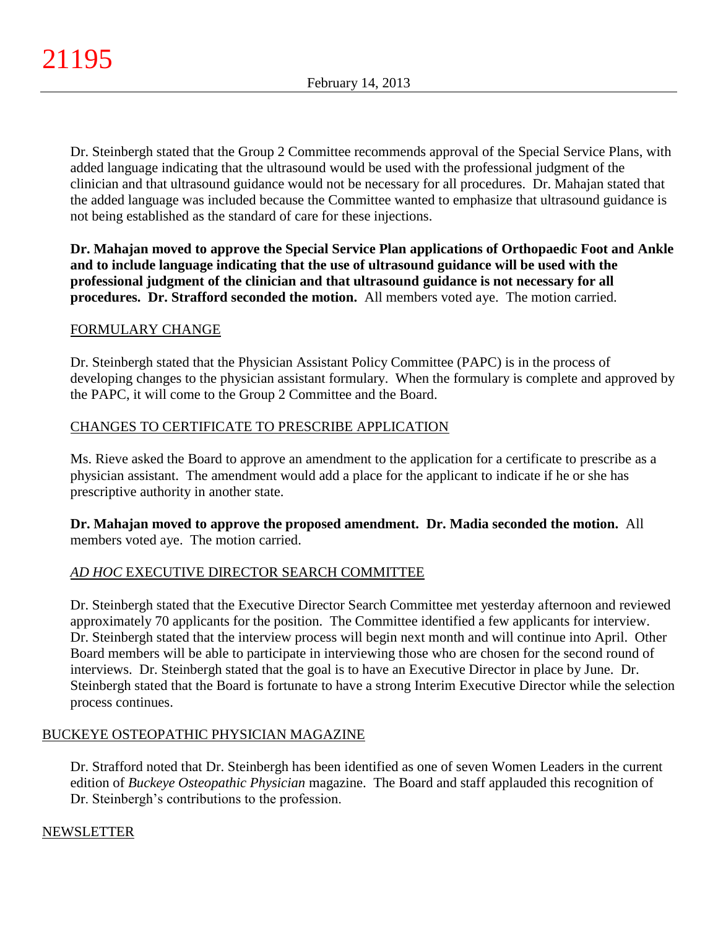Dr. Steinbergh stated that the Group 2 Committee recommends approval of the Special Service Plans, with added language indicating that the ultrasound would be used with the professional judgment of the clinician and that ultrasound guidance would not be necessary for all procedures. Dr. Mahajan stated that the added language was included because the Committee wanted to emphasize that ultrasound guidance is not being established as the standard of care for these injections.

**Dr. Mahajan moved to approve the Special Service Plan applications of Orthopaedic Foot and Ankle and to include language indicating that the use of ultrasound guidance will be used with the professional judgment of the clinician and that ultrasound guidance is not necessary for all procedures. Dr. Strafford seconded the motion.** All members voted aye. The motion carried.

# FORMULARY CHANGE

Dr. Steinbergh stated that the Physician Assistant Policy Committee (PAPC) is in the process of developing changes to the physician assistant formulary. When the formulary is complete and approved by the PAPC, it will come to the Group 2 Committee and the Board.

# CHANGES TO CERTIFICATE TO PRESCRIBE APPLICATION

Ms. Rieve asked the Board to approve an amendment to the application for a certificate to prescribe as a physician assistant. The amendment would add a place for the applicant to indicate if he or she has prescriptive authority in another state.

**Dr. Mahajan moved to approve the proposed amendment. Dr. Madia seconded the motion.** All members voted aye. The motion carried.

# *AD HOC* EXECUTIVE DIRECTOR SEARCH COMMITTEE

Dr. Steinbergh stated that the Executive Director Search Committee met yesterday afternoon and reviewed approximately 70 applicants for the position. The Committee identified a few applicants for interview. Dr. Steinbergh stated that the interview process will begin next month and will continue into April. Other Board members will be able to participate in interviewing those who are chosen for the second round of interviews. Dr. Steinbergh stated that the goal is to have an Executive Director in place by June. Dr. Steinbergh stated that the Board is fortunate to have a strong Interim Executive Director while the selection process continues.

## BUCKEYE OSTEOPATHIC PHYSICIAN MAGAZINE

Dr. Strafford noted that Dr. Steinbergh has been identified as one of seven Women Leaders in the current edition of *Buckeye Osteopathic Physician* magazine. The Board and staff applauded this recognition of Dr. Steinbergh's contributions to the profession.

## NEWSLETTER